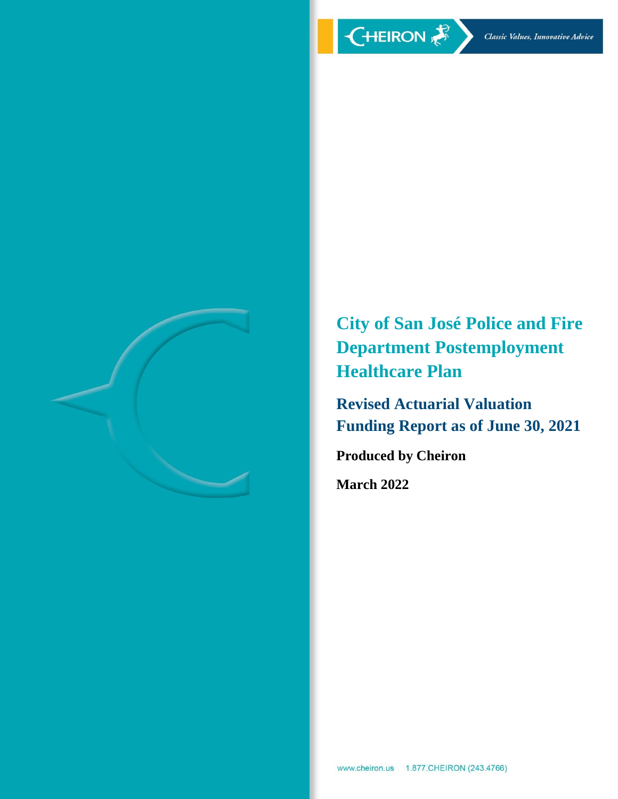

**City of San José Police and Fire Department Postemployment Healthcare Plan**

**Revised Actuarial Valuation Funding Report as of June 30, 2021**

**Produced by Cheiron**

**March 2022**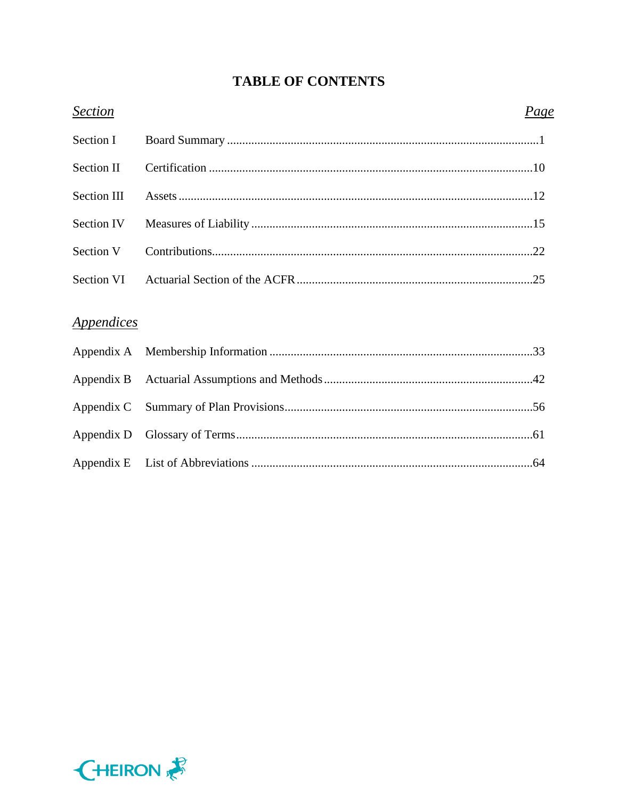# **TABLE OF CONTENTS**

| <b>Section</b>                  | Page |
|---------------------------------|------|
| Section I                       |      |
| Section II                      |      |
| <b>Section III</b>              |      |
| <b>Section IV</b>               |      |
| Section V                       |      |
| Section VI                      |      |
|                                 |      |
| <i><u><b>Appendices</b></u></i> |      |
| Appendix A                      |      |
| Appendix B                      |      |
| Appendix C                      |      |
| Appendix D                      |      |
| Appendix E                      |      |

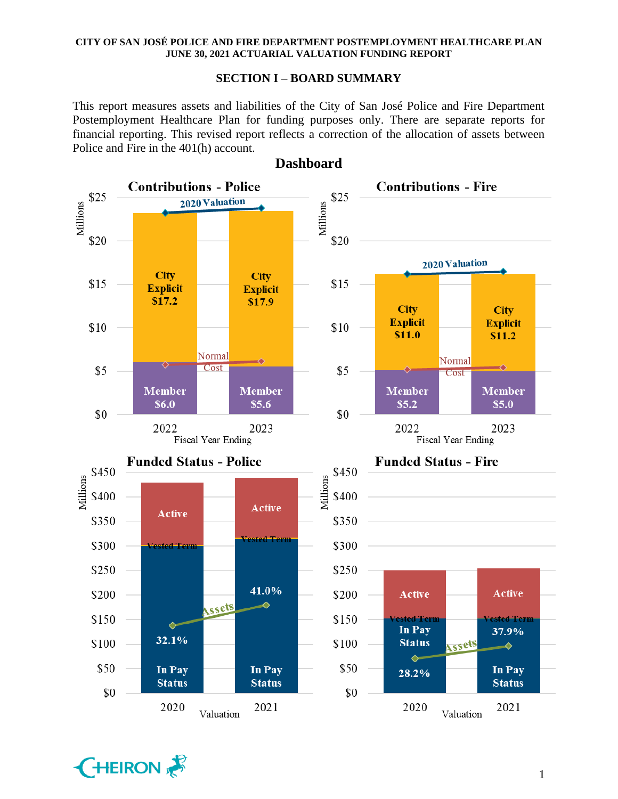### **SECTION I – BOARD SUMMARY**

This report measures assets and liabilities of the City of San José Police and Fire Department Postemployment Healthcare Plan for funding purposes only. There are separate reports for financial reporting. This revised report reflects a correction of the allocation of assets between Police and Fire in the 401(h) account.





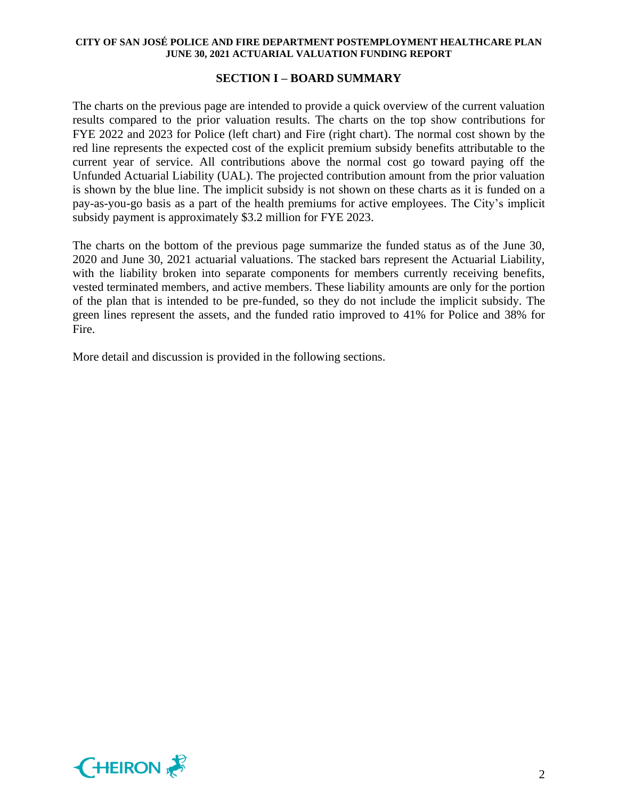## **SECTION I – BOARD SUMMARY**

The charts on the previous page are intended to provide a quick overview of the current valuation results compared to the prior valuation results. The charts on the top show contributions for FYE 2022 and 2023 for Police (left chart) and Fire (right chart). The normal cost shown by the red line represents the expected cost of the explicit premium subsidy benefits attributable to the current year of service. All contributions above the normal cost go toward paying off the Unfunded Actuarial Liability (UAL). The projected contribution amount from the prior valuation is shown by the blue line. The implicit subsidy is not shown on these charts as it is funded on a pay-as-you-go basis as a part of the health premiums for active employees. The City's implicit subsidy payment is approximately \$3.2 million for FYE 2023.

The charts on the bottom of the previous page summarize the funded status as of the June 30, 2020 and June 30, 2021 actuarial valuations. The stacked bars represent the Actuarial Liability, with the liability broken into separate components for members currently receiving benefits, vested terminated members, and active members. These liability amounts are only for the portion of the plan that is intended to be pre-funded, so they do not include the implicit subsidy. The green lines represent the assets, and the funded ratio improved to 41% for Police and 38% for Fire.

More detail and discussion is provided in the following sections.

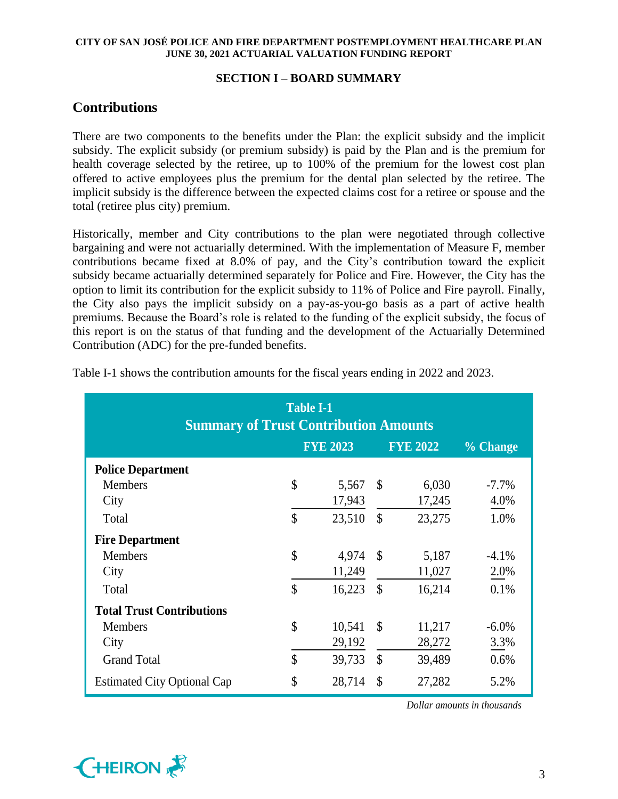## **SECTION I – BOARD SUMMARY**

# **Contributions**

There are two components to the benefits under the Plan: the explicit subsidy and the implicit subsidy. The explicit subsidy (or premium subsidy) is paid by the Plan and is the premium for health coverage selected by the retiree, up to 100% of the premium for the lowest cost plan offered to active employees plus the premium for the dental plan selected by the retiree. The implicit subsidy is the difference between the expected claims cost for a retiree or spouse and the total (retiree plus city) premium.

Historically, member and City contributions to the plan were negotiated through collective bargaining and were not actuarially determined. With the implementation of Measure F, member contributions became fixed at 8.0% of pay, and the City's contribution toward the explicit subsidy became actuarially determined separately for Police and Fire. However, the City has the option to limit its contribution for the explicit subsidy to 11% of Police and Fire payroll. Finally, the City also pays the implicit subsidy on a pay-as-you-go basis as a part of active health premiums. Because the Board's role is related to the funding of the explicit subsidy, the focus of this report is on the status of that funding and the development of the Actuarially Determined Contribution (ADC) for the pre-funded benefits.

| <b>Table I-1</b><br><b>Summary of Trust Contribution Amounts</b> |               |                 |               |                 |          |  |  |  |  |  |  |
|------------------------------------------------------------------|---------------|-----------------|---------------|-----------------|----------|--|--|--|--|--|--|
|                                                                  |               | <b>FYE 2023</b> |               | <b>FYE 2022</b> | % Change |  |  |  |  |  |  |
| <b>Police Department</b>                                         |               |                 |               |                 |          |  |  |  |  |  |  |
| <b>Members</b>                                                   | $\mathcal{S}$ | 5,567           | <sup>S</sup>  | 6,030           | $-7.7\%$ |  |  |  |  |  |  |
| City                                                             |               | 17,943          |               | 17,245          | 4.0%     |  |  |  |  |  |  |
| Total                                                            | $\mathcal{S}$ | 23,510          | $\mathcal{S}$ | 23,275          | 1.0%     |  |  |  |  |  |  |
| <b>Fire Department</b>                                           |               |                 |               |                 |          |  |  |  |  |  |  |
| <b>Members</b>                                                   | $\mathcal{S}$ | 4,974           | $\mathcal{S}$ | 5,187           | $-4.1\%$ |  |  |  |  |  |  |
| City                                                             |               | 11,249          |               | 11,027          | 2.0%     |  |  |  |  |  |  |
| Total                                                            | \$            | 16,223          | <sup>\$</sup> | 16,214          | 0.1%     |  |  |  |  |  |  |
| <b>Total Trust Contributions</b>                                 |               |                 |               |                 |          |  |  |  |  |  |  |
| <b>Members</b>                                                   | \$            | 10,541          | <sup>\$</sup> | 11,217          | $-6.0\%$ |  |  |  |  |  |  |
| City                                                             |               | 29,192          |               | 28,272          | 3.3%     |  |  |  |  |  |  |
| <b>Grand Total</b>                                               | $\mathcal{S}$ | 39,733          | $\mathcal{S}$ | 39,489          | 0.6%     |  |  |  |  |  |  |
| <b>Estimated City Optional Cap</b>                               | \$            | 28,714          | $\mathcal{S}$ | 27,282          | 5.2%     |  |  |  |  |  |  |

Table I-1 shows the contribution amounts for the fiscal years ending in 2022 and 2023.

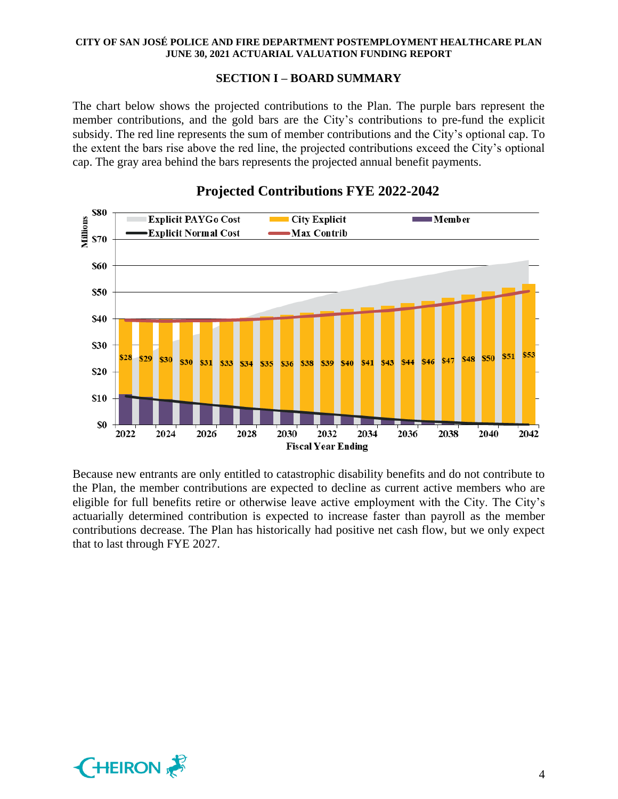### **SECTION I – BOARD SUMMARY**

The chart below shows the projected contributions to the Plan. The purple bars represent the member contributions, and the gold bars are the City's contributions to pre-fund the explicit subsidy. The red line represents the sum of member contributions and the City's optional cap. To the extent the bars rise above the red line, the projected contributions exceed the City's optional cap. The gray area behind the bars represents the projected annual benefit payments.



# **Projected Contributions FYE 2022-2042**

Because new entrants are only entitled to catastrophic disability benefits and do not contribute to the Plan, the member contributions are expected to decline as current active members who are eligible for full benefits retire or otherwise leave active employment with the City. The City's actuarially determined contribution is expected to increase faster than payroll as the member contributions decrease. The Plan has historically had positive net cash flow, but we only expect that to last through FYE 2027.

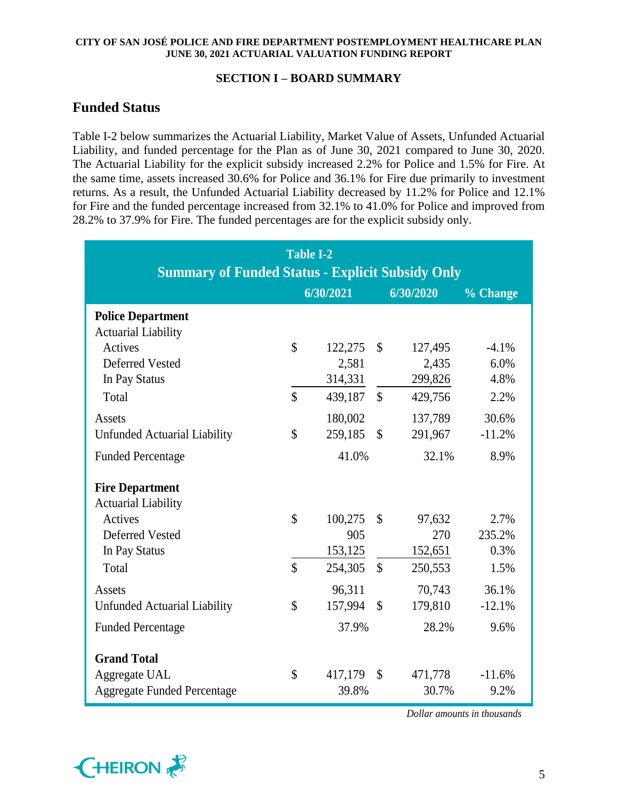## **SECTION I – BOARD SUMMARY**

# **Funded Status**

Table I-2 below summarizes the Actuarial Liability, Market Value of Assets, Unfunded Actuarial Liability, and funded percentage for the Plan as of June 30, 2021 compared to June 30, 2020. The Actuarial Liability for the explicit subsidy increased 2.2% for Police and 1.5% for Fire. At the same time, assets increased 30.6% for Police and 36.1% for Fire due primarily to investment returns. As a result, the Unfunded Actuarial Liability decreased by 11.2% for Police and 12.1% for Fire and the funded percentage increased from 32.1% to 41.0% for Police and improved from 28.2% to 37.9% for Fire. The funded percentages are for the explicit subsidy only.

| <b>Summary of Funded Status - Explicit Subsidy Only</b>                                               | <b>Table I-2</b>   |                             |               |                             |                         |
|-------------------------------------------------------------------------------------------------------|--------------------|-----------------------------|---------------|-----------------------------|-------------------------|
|                                                                                                       |                    | 6/30/2021                   |               | 6/30/2020                   | % Change                |
| <b>Police Department</b><br><b>Actuarial Liability</b><br>Actives<br>Deferred Vested<br>In Pay Status | $\mathcal{S}$      | 122,275<br>2,581<br>314,331 | $\mathcal{S}$ | 127,495<br>2,435<br>299,826 | $-4.1%$<br>6.0%<br>4.8% |
| Total                                                                                                 | $\mathsf{\$}$      | 439,187                     | $\mathcal{S}$ | 429,756                     | 2.2%                    |
| Assets<br><b>Unfunded Actuarial Liability</b>                                                         | $\mathbb{S}$       | 180,002<br>259,185          | $\mathcal{S}$ | 137,789<br>291,967          | 30.6%<br>$-11.2%$       |
| <b>Funded Percentage</b>                                                                              |                    | 41.0%                       |               | 32.1%                       | 8.9%                    |
| <b>Fire Department</b><br><b>Actuarial Liability</b><br>Actives<br><b>Deferred Vested</b>             | $\mathsf{\$}$      | 100,275<br>905              | $\mathcal{S}$ | 97,632<br>270               | 2.7%<br>235.2%          |
| In Pay Status                                                                                         |                    | 153,125                     |               | 152,651                     | 0.3%                    |
| Total                                                                                                 | $\mathbf{\hat{S}}$ | 254,305                     | $\mathcal{S}$ | 250,553                     | 1.5%                    |
| Assets<br><b>Unfunded Actuarial Liability</b>                                                         | \$                 | 96,311<br>157,994           | $\mathcal{S}$ | 70,743<br>179,810           | 36.1%<br>$-12.1%$       |
| <b>Funded Percentage</b>                                                                              |                    | 37.9%                       |               | 28.2%                       | 9.6%                    |
| <b>Grand Total</b><br>Aggregate UAL<br><b>Aggregate Funded Percentage</b>                             | \$                 | 417,179<br>39.8%            | $\mathcal{S}$ | 471,778<br>30.7%            | $-11.6%$<br>9.2%        |



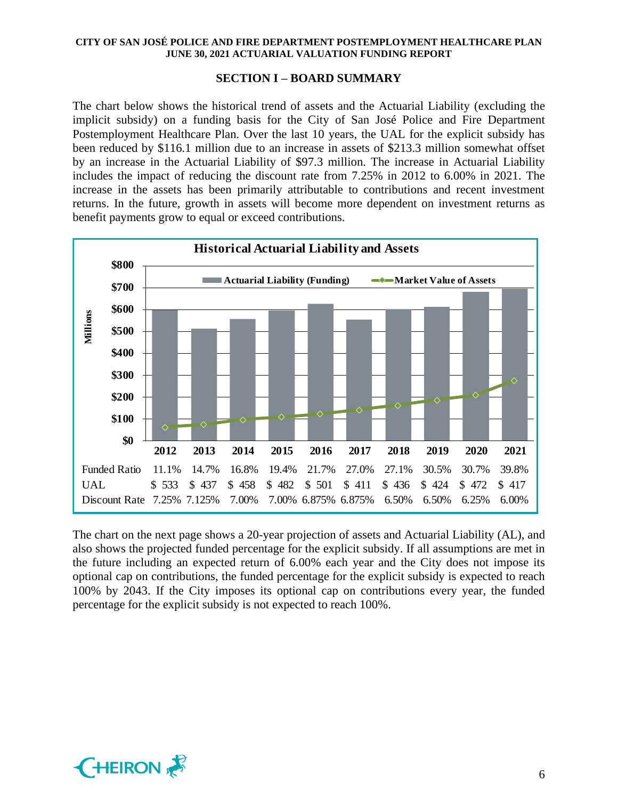## **SECTION I – BOARD SUMMARY**

The chart below shows the historical trend of assets and the Actuarial Liability (excluding the implicit subsidy) on a funding basis for the City of San José Police and Fire Department Postemployment Healthcare Plan. Over the last 10 years, the UAL for the explicit subsidy has been reduced by \$116.1 million due to an increase in assets of \$213.3 million somewhat offset by an increase in the Actuarial Liability of \$97.3 million. The increase in Actuarial Liability includes the impact of reducing the discount rate from 7.25% in 2012 to 6.00% in 2021. The increase in the assets has been primarily attributable to contributions and recent investment returns. In the future, growth in assets will become more dependent on investment returns as benefit payments grow to equal or exceed contributions.



The chart on the next page shows a 20-year projection of assets and Actuarial Liability (AL), and also shows the projected funded percentage for the explicit subsidy. If all assumptions are met in the future including an expected return of 6.00% each year and the City does not impose its optional cap on contributions, the funded percentage for the explicit subsidy is expected to reach 100% by 2043. If the City imposes its optional cap on contributions every year, the funded percentage for the explicit subsidy is not expected to reach 100%.

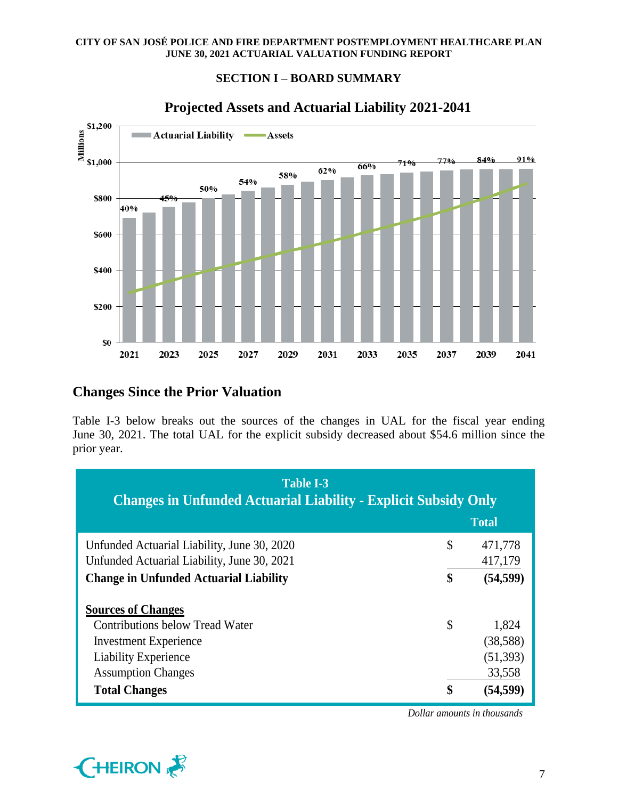## **SECTION I – BOARD SUMMARY**



# **Projected Assets and Actuarial Liability 2021-2041**

## **Changes Since the Prior Valuation**

Table I-3 below breaks out the sources of the changes in UAL for the fiscal year ending June 30, 2021. The total UAL for the explicit subsidy decreased about \$54.6 million since the prior year.

| Table I-3<br><b>Changes in Unfunded Actuarial Liability - Explicit Subsidy Only</b>        |                          |
|--------------------------------------------------------------------------------------------|--------------------------|
|                                                                                            | <b>Total</b>             |
| Unfunded Actuarial Liability, June 30, 2020<br>Unfunded Actuarial Liability, June 30, 2021 | \$<br>471,778<br>417,179 |
| <b>Change in Unfunded Actuarial Liability</b>                                              | \$<br>(54, 599)          |
| <b>Sources of Changes</b>                                                                  |                          |
| <b>Contributions below Tread Water</b>                                                     | \$<br>1,824              |
| <b>Investment Experience</b>                                                               | (38, 588)                |
| <b>Liability Experience</b>                                                                | (51, 393)                |
| <b>Assumption Changes</b>                                                                  | 33,558                   |
| <b>Total Changes</b>                                                                       | \$<br>(54.599)           |

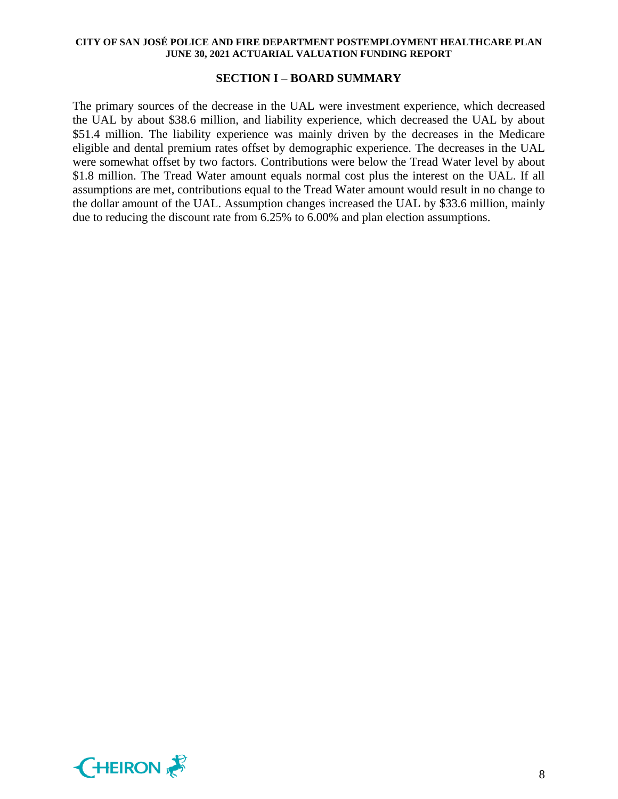### **SECTION I – BOARD SUMMARY**

The primary sources of the decrease in the UAL were investment experience, which decreased the UAL by about \$38.6 million, and liability experience, which decreased the UAL by about \$51.4 million. The liability experience was mainly driven by the decreases in the Medicare eligible and dental premium rates offset by demographic experience. The decreases in the UAL were somewhat offset by two factors. Contributions were below the Tread Water level by about \$1.8 million. The Tread Water amount equals normal cost plus the interest on the UAL. If all assumptions are met, contributions equal to the Tread Water amount would result in no change to the dollar amount of the UAL. Assumption changes increased the UAL by \$33.6 million, mainly due to reducing the discount rate from 6.25% to 6.00% and plan election assumptions.

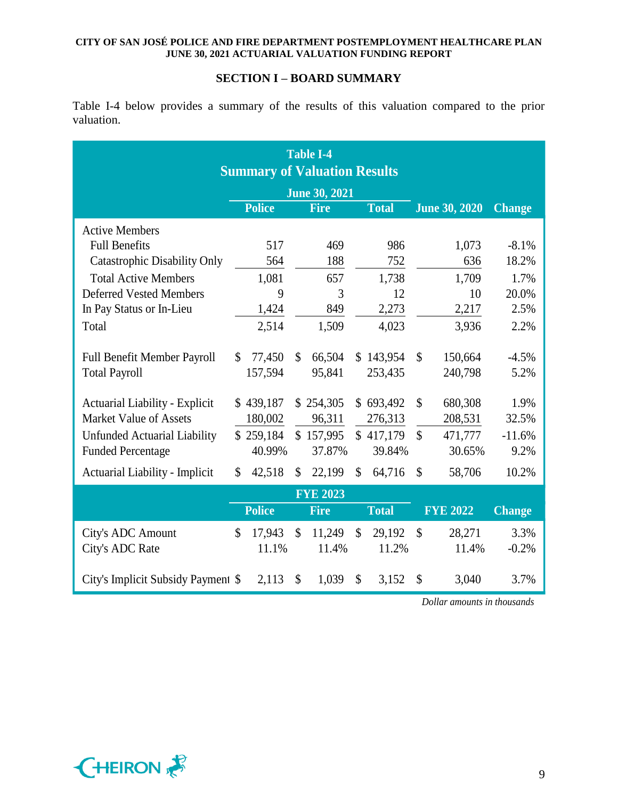## **SECTION I – BOARD SUMMARY**

Table I-4 below provides a summary of the results of this valuation compared to the prior valuation.

| <b>Summary of Valuation Results</b>   |                      |               |               |                 |    |              |                           |                      |               |  |
|---------------------------------------|----------------------|---------------|---------------|-----------------|----|--------------|---------------------------|----------------------|---------------|--|
|                                       | <b>June 30, 2021</b> |               |               |                 |    |              |                           |                      |               |  |
|                                       |                      | <b>Police</b> |               | <b>Fire</b>     |    | <b>Total</b> |                           | <b>June 30, 2020</b> | <b>Change</b> |  |
| <b>Active Members</b>                 |                      |               |               |                 |    |              |                           |                      |               |  |
| <b>Full Benefits</b>                  |                      | 517           |               | 469             |    | 986          |                           | 1,073                | $-8.1\%$      |  |
| <b>Catastrophic Disability Only</b>   |                      | 564           |               | 188             |    | 752          |                           | 636                  | 18.2%         |  |
| <b>Total Active Members</b>           |                      | 1,081         |               | 657             |    | 1,738        |                           | 1,709                | 1.7%          |  |
| <b>Deferred Vested Members</b>        |                      | 9             |               | 3               |    | 12           |                           | 10                   | 20.0%         |  |
| In Pay Status or In-Lieu              |                      | 1,424         |               | 849             |    | 2,273        |                           | 2,217                | 2.5%          |  |
| Total                                 |                      | 2,514         |               | 1,509           |    | 4,023        |                           | 3,936                | 2.2%          |  |
| <b>Full Benefit Member Payroll</b>    | \$                   | 77,450        | \$            | 66,504          |    | \$143,954    | $\mathcal{S}$             | 150,664              | $-4.5%$       |  |
| <b>Total Payroll</b>                  |                      | 157,594       |               | 95,841          |    | 253,435      |                           | 240,798              | 5.2%          |  |
| <b>Actuarial Liability - Explicit</b> |                      | \$439,187     |               | \$254,305       |    | \$693,492    | $\mathcal{S}$             | 680,308              | 1.9%          |  |
| <b>Market Value of Assets</b>         |                      | 180,002       |               | 96,311          |    | 276,313      |                           | 208,531              | 32.5%         |  |
| Unfunded Actuarial Liability          |                      | \$259,184     |               | \$157,995       |    | \$417,179    | $\mathcal{S}$             | 471,777              | $-11.6%$      |  |
| <b>Funded Percentage</b>              |                      | 40.99%        |               | 37.87%          |    | 39.84%       |                           | 30.65%               | 9.2%          |  |
| Actuarial Liability - Implicit        | \$                   | 42,518        | \$            | 22,199          | \$ | 64,716       | \$                        | 58,706               | 10.2%         |  |
|                                       |                      |               |               | <b>FYE 2023</b> |    |              |                           |                      |               |  |
|                                       |                      | <b>Police</b> |               | <b>Fire</b>     |    | <b>Total</b> |                           | <b>FYE 2022</b>      | <b>Change</b> |  |
| City's ADC Amount                     | \$                   | 17,943        | $\mathcal{S}$ | 11,249          | \$ | 29,192       | $\boldsymbol{\mathsf{S}}$ | 28,271               | 3.3%          |  |
| City's ADC Rate                       |                      | 11.1%         |               | 11.4%           |    | 11.2%        |                           | 11.4%                | $-0.2%$       |  |
| City's Implicit Subsidy Payment \$    |                      | 2,113         | \$            | 1,039           | \$ | 3,152        | \$                        | 3,040                | 3.7%          |  |

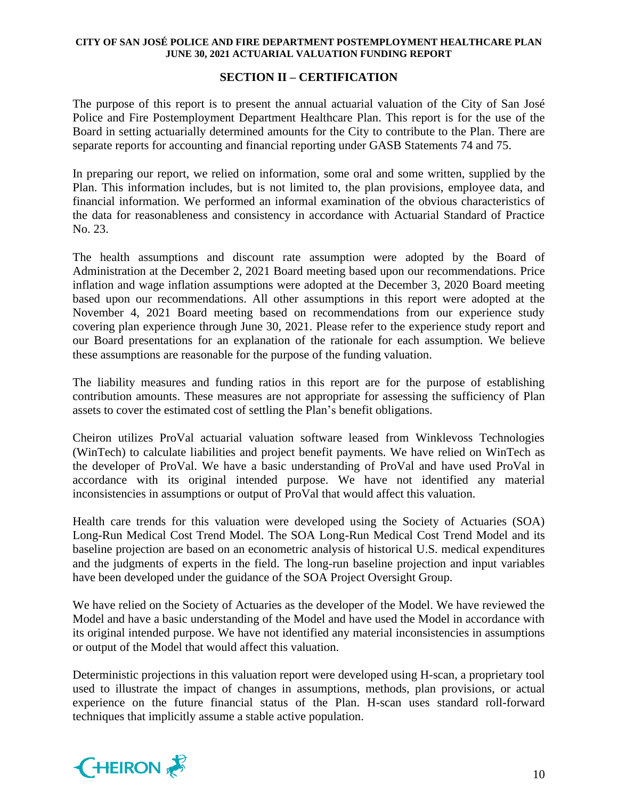## **SECTION II – CERTIFICATION**

The purpose of this report is to present the annual actuarial valuation of the City of San José Police and Fire Postemployment Department Healthcare Plan. This report is for the use of the Board in setting actuarially determined amounts for the City to contribute to the Plan. There are separate reports for accounting and financial reporting under GASB Statements 74 and 75.

In preparing our report, we relied on information, some oral and some written, supplied by the Plan. This information includes, but is not limited to, the plan provisions, employee data, and financial information. We performed an informal examination of the obvious characteristics of the data for reasonableness and consistency in accordance with Actuarial Standard of Practice No. 23.

The health assumptions and discount rate assumption were adopted by the Board of Administration at the December 2, 2021 Board meeting based upon our recommendations. Price inflation and wage inflation assumptions were adopted at the December 3, 2020 Board meeting based upon our recommendations. All other assumptions in this report were adopted at the November 4, 2021 Board meeting based on recommendations from our experience study covering plan experience through June 30, 2021. Please refer to the experience study report and our Board presentations for an explanation of the rationale for each assumption. We believe these assumptions are reasonable for the purpose of the funding valuation.

The liability measures and funding ratios in this report are for the purpose of establishing contribution amounts. These measures are not appropriate for assessing the sufficiency of Plan assets to cover the estimated cost of settling the Plan's benefit obligations.

Cheiron utilizes ProVal actuarial valuation software leased from Winklevoss Technologies (WinTech) to calculate liabilities and project benefit payments. We have relied on WinTech as the developer of ProVal. We have a basic understanding of ProVal and have used ProVal in accordance with its original intended purpose. We have not identified any material inconsistencies in assumptions or output of ProVal that would affect this valuation.

Health care trends for this valuation were developed using the Society of Actuaries (SOA) Long-Run Medical Cost Trend Model. The SOA Long-Run Medical Cost Trend Model and its baseline projection are based on an econometric analysis of historical U.S. medical expenditures and the judgments of experts in the field. The long-run baseline projection and input variables have been developed under the guidance of the SOA Project Oversight Group.

We have relied on the Society of Actuaries as the developer of the Model. We have reviewed the Model and have a basic understanding of the Model and have used the Model in accordance with its original intended purpose. We have not identified any material inconsistencies in assumptions or output of the Model that would affect this valuation.

Deterministic projections in this valuation report were developed using H-scan, a proprietary tool used to illustrate the impact of changes in assumptions, methods, plan provisions, or actual experience on the future financial status of the Plan. H-scan uses standard roll-forward techniques that implicitly assume a stable active population.

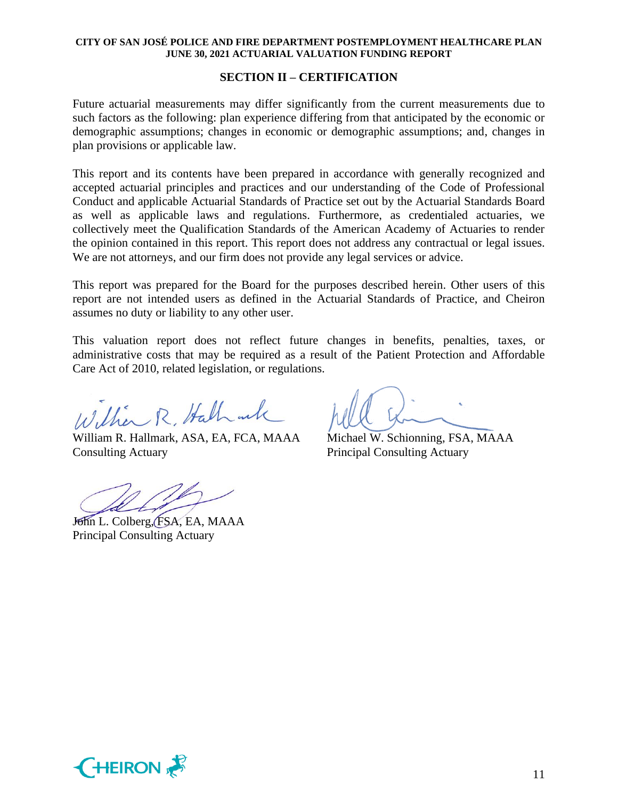### **SECTION II – CERTIFICATION**

Future actuarial measurements may differ significantly from the current measurements due to such factors as the following: plan experience differing from that anticipated by the economic or demographic assumptions; changes in economic or demographic assumptions; and, changes in plan provisions or applicable law.

This report and its contents have been prepared in accordance with generally recognized and accepted actuarial principles and practices and our understanding of the Code of Professional Conduct and applicable Actuarial Standards of Practice set out by the Actuarial Standards Board as well as applicable laws and regulations. Furthermore, as credentialed actuaries, we collectively meet the Qualification Standards of the American Academy of Actuaries to render the opinion contained in this report. This report does not address any contractual or legal issues. We are not attorneys, and our firm does not provide any legal services or advice.

This report was prepared for the Board for the purposes described herein. Other users of this report are not intended users as defined in the Actuarial Standards of Practice, and Cheiron assumes no duty or liability to any other user.

This valuation report does not reflect future changes in benefits, penalties, taxes, or administrative costs that may be required as a result of the Patient Protection and Affordable Care Act of 2010, related legislation, or regulations.

William R. Hallmack

William R. Hallmark, ASA, EA, FCA, MAAA Michael W. Schionning, FSA, MAAA Consulting Actuary Principal Consulting Actuary

John L. Colberg, FSA, EA, MAAA Principal Consulting Actuary

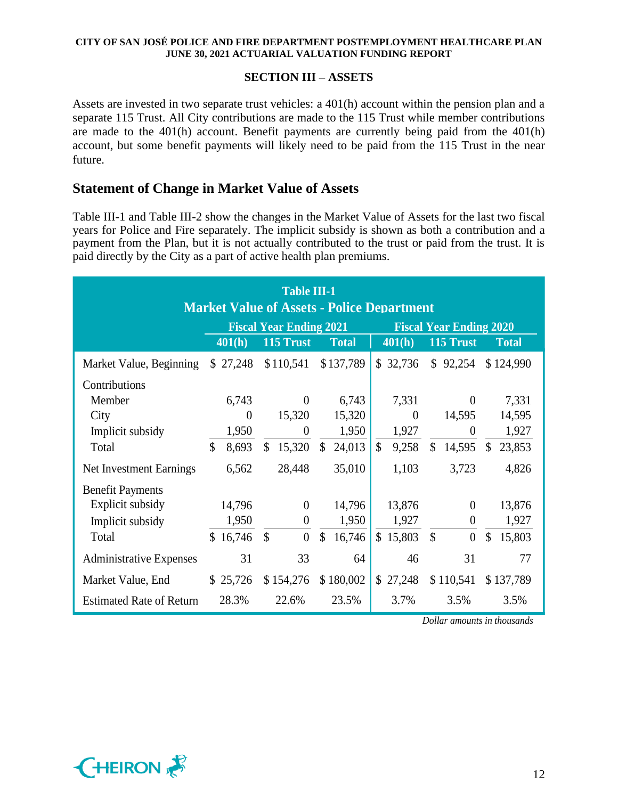## **SECTION III – ASSETS**

Assets are invested in two separate trust vehicles: a 401(h) account within the pension plan and a separate 115 Trust. All City contributions are made to the 115 Trust while member contributions are made to the 401(h) account. Benefit payments are currently being paid from the 401(h) account, but some benefit payments will likely need to be paid from the 115 Trust in the near future.

## **Statement of Change in Market Value of Assets**

Table III-1 and Table III-2 show the changes in the Market Value of Assets for the last two fiscal years for Police and Fire separately. The implicit subsidy is shown as both a contribution and a payment from the Plan, but it is not actually contributed to the trust or paid from the trust. It is paid directly by the City as a part of active health plan premiums.

| <b>Table III-1</b><br><b>Market Value of Assets - Police Department</b> |                        |                                       |                         |                        |                                   |                         |  |  |  |  |  |  |  |  |
|-------------------------------------------------------------------------|------------------------|---------------------------------------|-------------------------|------------------------|-----------------------------------|-------------------------|--|--|--|--|--|--|--|--|
|                                                                         |                        | <b>Fiscal Year Ending 2021</b>        |                         |                        | <b>Fiscal Year Ending 2020</b>    |                         |  |  |  |  |  |  |  |  |
|                                                                         | 401(h)                 | 115 Trust                             | <b>Total</b>            | 401(h)                 | 115 Trust                         | <b>Total</b>            |  |  |  |  |  |  |  |  |
| Market Value, Beginning                                                 | \$27,248               | \$110,541                             | \$137,789               | \$32,736               | \$92,254                          | \$124,990               |  |  |  |  |  |  |  |  |
| Contributions                                                           |                        |                                       |                         |                        |                                   |                         |  |  |  |  |  |  |  |  |
| Member                                                                  | 6,743                  | $\theta$                              | 6,743                   | 7,331                  | $\theta$                          | 7,331                   |  |  |  |  |  |  |  |  |
| City                                                                    | $\theta$               | 15,320                                | 15,320                  | $\theta$               | 14,595                            | 14,595                  |  |  |  |  |  |  |  |  |
| Implicit subsidy                                                        | 1,950                  | $\theta$                              | 1,950                   | 1,927                  | $\theta$                          | 1,927                   |  |  |  |  |  |  |  |  |
| Total                                                                   | $\mathcal{S}$<br>8,693 | $\mathbb{S}$<br>15,320                | $\mathbb{S}$<br>24,013  | $\mathcal{S}$<br>9,258 | 14,595<br>\$                      | 23,853<br>\$            |  |  |  |  |  |  |  |  |
| Net Investment Earnings                                                 | 6,562                  | 28,448                                | 35,010                  | 1,103                  | 3,723                             | 4,826                   |  |  |  |  |  |  |  |  |
| <b>Benefit Payments</b>                                                 |                        |                                       |                         |                        |                                   |                         |  |  |  |  |  |  |  |  |
| Explicit subsidy                                                        | 14,796                 | $\theta$                              | 14,796                  | 13,876                 | $\overline{0}$                    | 13,876                  |  |  |  |  |  |  |  |  |
| Implicit subsidy                                                        | 1,950                  | $\overline{0}$                        | 1,950                   | 1,927                  | $\boldsymbol{0}$                  | 1,927                   |  |  |  |  |  |  |  |  |
| Total                                                                   | \$16,746               | $\boldsymbol{\mathsf{S}}$<br>$\theta$ | $\mathcal{S}$<br>16,746 | \$15,803               | $\mathcal{S}$<br>$\boldsymbol{0}$ | $\mathcal{S}$<br>15,803 |  |  |  |  |  |  |  |  |
| <b>Administrative Expenses</b>                                          | 31                     | 33                                    | 64                      | 46                     | 31                                | 77                      |  |  |  |  |  |  |  |  |
| Market Value, End                                                       | \$25,726               | \$154,276                             | \$180,002               | \$27,248               | \$110,541                         | \$137,789               |  |  |  |  |  |  |  |  |
| <b>Estimated Rate of Return</b>                                         | 28.3%                  | 22.6%                                 | 23.5%                   | 3.7%                   | 3.5%                              | 3.5%                    |  |  |  |  |  |  |  |  |

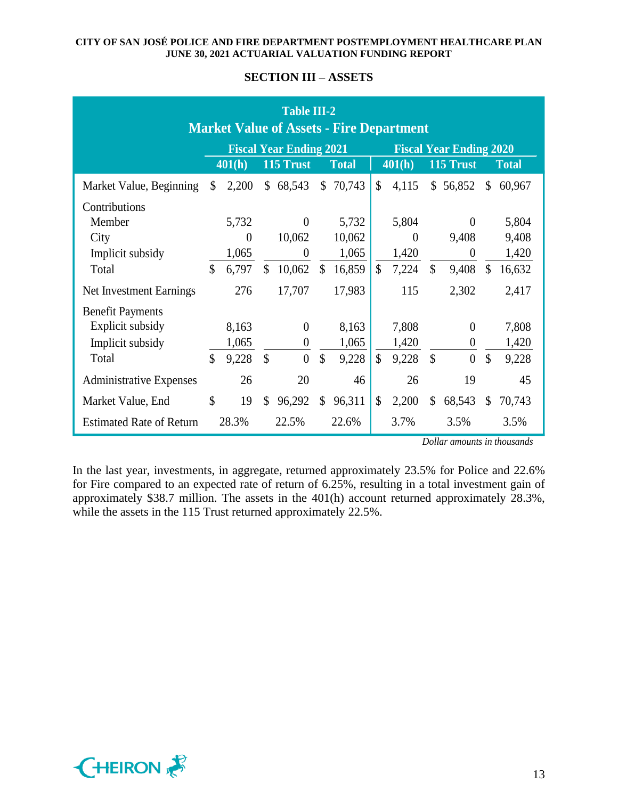## **SECTION III – ASSETS**

| <b>Table III-2</b><br><b>Market Value of Assets - Fire Department</b> |    |          |                |                                |               |              |                                |          |               |                |    |              |  |  |
|-----------------------------------------------------------------------|----|----------|----------------|--------------------------------|---------------|--------------|--------------------------------|----------|---------------|----------------|----|--------------|--|--|
|                                                                       |    |          |                | <b>Fiscal Year Ending 2021</b> |               |              | <b>Fiscal Year Ending 2020</b> |          |               |                |    |              |  |  |
|                                                                       |    | 401(h)   |                | 115 Trust                      |               | <b>Total</b> | 401(h)                         |          |               | 115 Trust      |    | <b>Total</b> |  |  |
| Market Value, Beginning                                               | \$ | 2,200    | $\mathbb{S}^-$ | 68,543                         | $\mathbb{S}$  | 70,743       | $\mathcal{S}$                  | 4,115    |               | \$56,852       | \$ | 60,967       |  |  |
| Contributions                                                         |    |          |                |                                |               |              |                                |          |               |                |    |              |  |  |
| Member                                                                |    | 5,732    |                | $\theta$                       |               | 5,732        |                                | 5,804    |               | $\theta$       |    | 5,804        |  |  |
| City                                                                  |    | $\Omega$ |                | 10,062                         |               | 10,062       |                                | $\theta$ |               | 9,408          |    | 9,408        |  |  |
| Implicit subsidy                                                      |    | 1,065    |                | $\Omega$                       |               | 1,065        |                                | 1,420    |               | $\theta$       |    | 1,420        |  |  |
| Total                                                                 | \$ | 6,797    | $\mathcal{S}$  | 10,062                         | \$            | 16,859       | \$                             | 7,224    | $\mathcal{S}$ | 9,408          | \$ | 16,632       |  |  |
| Net Investment Earnings                                               |    | 276      |                | 17,707                         |               | 17,983       |                                | 115      |               | 2,302          |    | 2,417        |  |  |
| <b>Benefit Payments</b>                                               |    |          |                |                                |               |              |                                |          |               |                |    |              |  |  |
| Explicit subsidy                                                      |    | 8,163    |                | $\theta$                       |               | 8,163        |                                | 7,808    |               | $\theta$       |    | 7,808        |  |  |
| Implicit subsidy                                                      |    | 1,065    |                | $\theta$                       |               | 1,065        |                                | 1,420    |               | $\theta$       |    | 1,420        |  |  |
| Total                                                                 | \$ | 9,228    | $\mathcal{S}$  | $\overline{0}$                 | $\mathcal{S}$ | 9,228        | \$                             | 9,228    | $\mathcal{S}$ | $\overline{0}$ | \$ | 9,228        |  |  |
| <b>Administrative Expenses</b>                                        |    | 26       |                | 20                             |               | 46           |                                | 26       |               | 19             |    | 45           |  |  |
| Market Value, End                                                     | \$ | 19       | $\mathcal{S}$  | 96,292                         | \$            | 96,311       | \$                             | 2,200    | \$            | 68,543         | \$ | 70,743       |  |  |
| <b>Estimated Rate of Return</b>                                       |    | 28.3%    |                | 22.5%                          |               | 22.6%        |                                | 3.7%     |               | 3.5%           |    | 3.5%         |  |  |

*Dollar amounts in thousands*

In the last year, investments, in aggregate, returned approximately 23.5% for Police and 22.6% for Fire compared to an expected rate of return of 6.25%, resulting in a total investment gain of approximately \$38.7 million. The assets in the 401(h) account returned approximately 28.3%, while the assets in the 115 Trust returned approximately 22.5%.

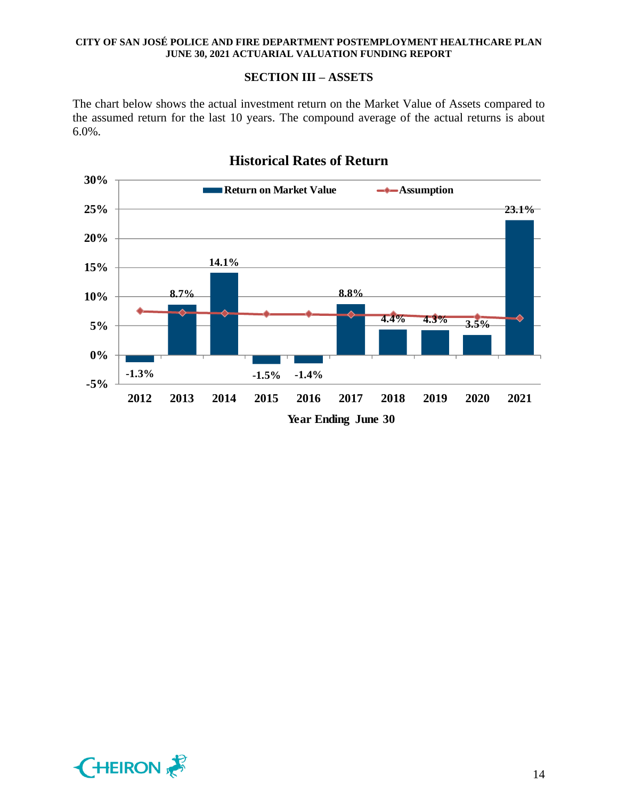## **SECTION III – ASSETS**

The chart below shows the actual investment return on the Market Value of Assets compared to the assumed return for the last 10 years. The compound average of the actual returns is about 6.0%.



# **Historical Rates of Return**

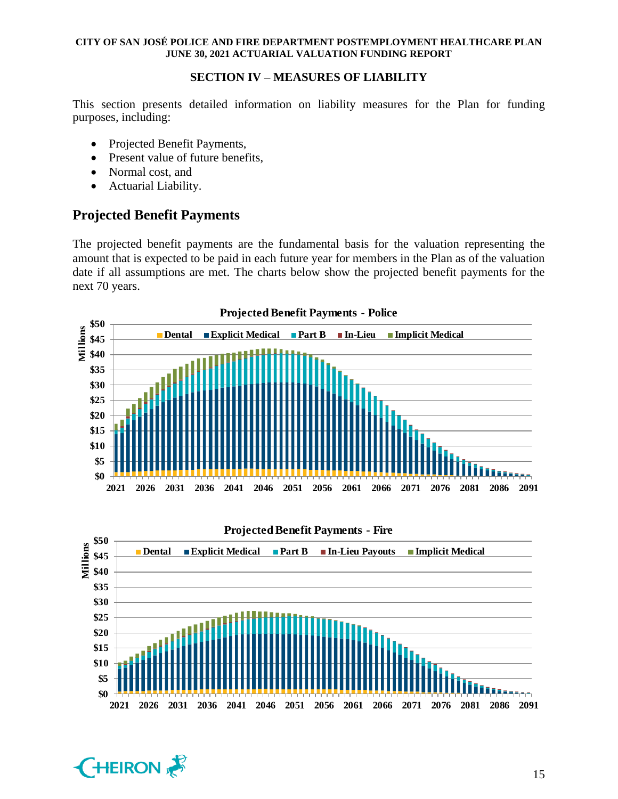## **SECTION IV – MEASURES OF LIABILITY**

This section presents detailed information on liability measures for the Plan for funding purposes, including:

- Projected Benefit Payments,
- Present value of future benefits,
- Normal cost, and
- Actuarial Liability.

# **Projected Benefit Payments**

The projected benefit payments are the fundamental basis for the valuation representing the amount that is expected to be paid in each future year for members in the Plan as of the valuation date if all assumptions are met. The charts below show the projected benefit payments for the next 70 years.





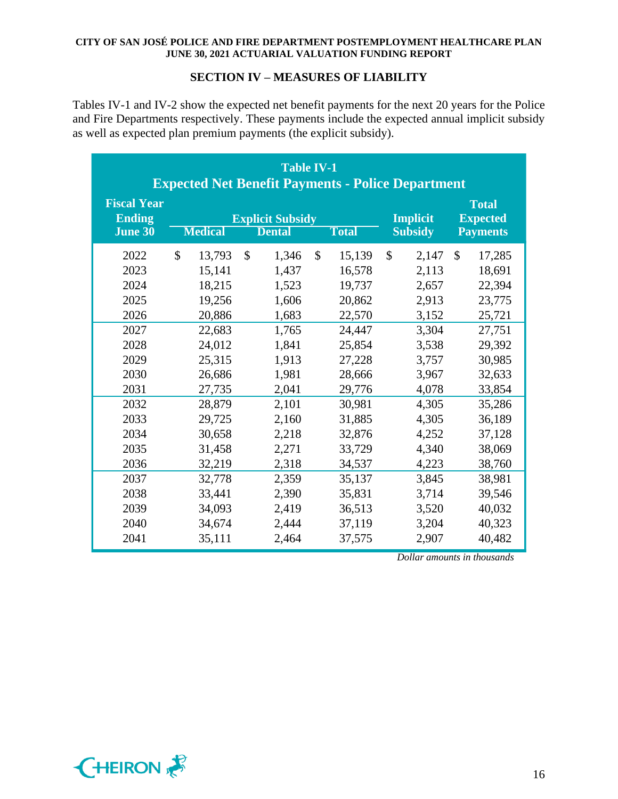## **SECTION IV – MEASURES OF LIABILITY**

Tables IV-1 and IV-2 show the expected net benefit payments for the next 20 years for the Police and Fire Departments respectively. These payments include the expected annual implicit subsidy as well as expected plan premium payments (the explicit subsidy).

| <b>Table IV-1</b><br><b>Expected Net Benefit Payments - Police Department</b>                                                |                                                                                                                                                                              |                                                                                                                                                              |                                                                                                                                                                    |                                                                                                                                                    |                                                                                                                                                                    |  |  |  |  |  |  |  |  |
|------------------------------------------------------------------------------------------------------------------------------|------------------------------------------------------------------------------------------------------------------------------------------------------------------------------|--------------------------------------------------------------------------------------------------------------------------------------------------------------|--------------------------------------------------------------------------------------------------------------------------------------------------------------------|----------------------------------------------------------------------------------------------------------------------------------------------------|--------------------------------------------------------------------------------------------------------------------------------------------------------------------|--|--|--|--|--|--|--|--|
| <b>Fiscal Year</b><br><b>Ending</b><br><b>June 30</b>                                                                        | <b>Medical</b>                                                                                                                                                               | <b>Explicit Subsidy</b><br><b>Dental</b>                                                                                                                     | <b>Total</b>                                                                                                                                                       | <b>Implicit</b><br><b>Subsidy</b>                                                                                                                  | <b>Total</b><br><b>Expected</b><br><b>Payments</b>                                                                                                                 |  |  |  |  |  |  |  |  |
| 2022<br>2023<br>2024<br>2025<br>2026<br>2027<br>2028<br>2029<br>2030<br>2031<br>2032<br>2033<br>2034<br>2035<br>2036<br>2037 | $\mathbb{S}$<br>13,793<br>15,141<br>18,215<br>19,256<br>20,886<br>22,683<br>24,012<br>25,315<br>26,686<br>27,735<br>28,879<br>29,725<br>30,658<br>31,458<br>32,219<br>32,778 | $\mathbb{S}$<br>1,346<br>1,437<br>1,523<br>1,606<br>1,683<br>1,765<br>1,841<br>1,913<br>1,981<br>2,041<br>2,101<br>2,160<br>2,218<br>2,271<br>2,318<br>2,359 | \$<br>15,139<br>16,578<br>19,737<br>20,862<br>22,570<br>24,447<br>25,854<br>27,228<br>28,666<br>29,776<br>30,981<br>31,885<br>32,876<br>33,729<br>34,537<br>35,137 | \$<br>2,147<br>2,113<br>2,657<br>2,913<br>3,152<br>3,304<br>3,538<br>3,757<br>3,967<br>4,078<br>4,305<br>4,305<br>4,252<br>4,340<br>4,223<br>3,845 | \$<br>17,285<br>18,691<br>22,394<br>23,775<br>25,721<br>27,751<br>29,392<br>30,985<br>32,633<br>33,854<br>35,286<br>36,189<br>37,128<br>38,069<br>38,760<br>38,981 |  |  |  |  |  |  |  |  |
| 2038<br>2039<br>2040<br>2041                                                                                                 | 33,441<br>34,093<br>34,674<br>35,111                                                                                                                                         | 2,390<br>2,419<br>2,444<br>2,464                                                                                                                             | 35,831<br>36,513<br>37,119<br>37,575                                                                                                                               | 3,714<br>3,520<br>3,204<br>2,907                                                                                                                   | 39,546<br>40,032<br>40,323<br>40,482                                                                                                                               |  |  |  |  |  |  |  |  |

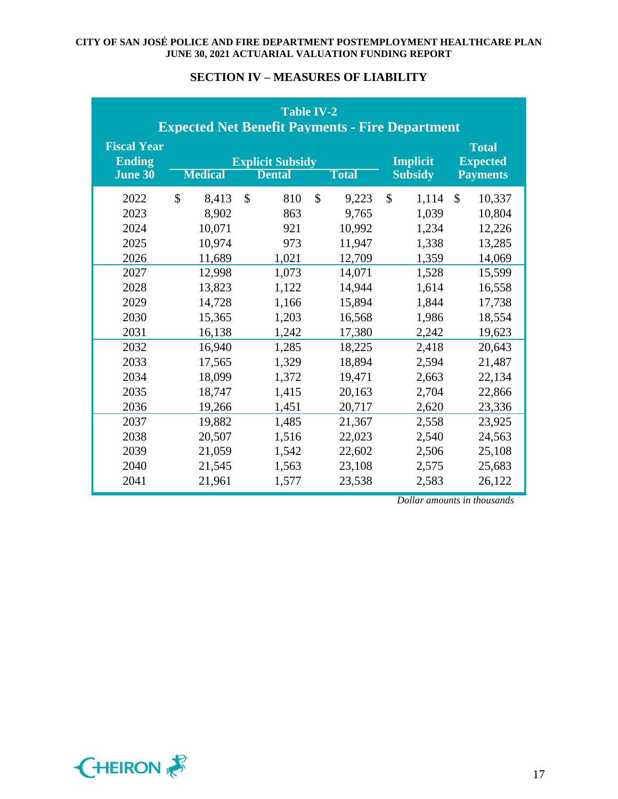| <b>Table IV-2</b><br><b>Expected Net Benefit Payments - Fire Department</b>                                                  |                                                                                                                                                                             |                                                                                                                                                       |                                                                                                                                                                             |                                                                                                                                                    |                                                                                                                                                                               |  |  |  |  |  |  |  |  |
|------------------------------------------------------------------------------------------------------------------------------|-----------------------------------------------------------------------------------------------------------------------------------------------------------------------------|-------------------------------------------------------------------------------------------------------------------------------------------------------|-----------------------------------------------------------------------------------------------------------------------------------------------------------------------------|----------------------------------------------------------------------------------------------------------------------------------------------------|-------------------------------------------------------------------------------------------------------------------------------------------------------------------------------|--|--|--|--|--|--|--|--|
| <b>Fiscal Year</b><br><b>Ending</b><br><b>June 30</b>                                                                        | <b>Medical</b>                                                                                                                                                              | <b>Explicit Subsidy</b><br><b>Dental</b>                                                                                                              | <b>Total</b>                                                                                                                                                                | <b>Implicit</b><br><b>Subsidy</b>                                                                                                                  | <b>Total</b><br><b>Expected</b><br><b>Payments</b>                                                                                                                            |  |  |  |  |  |  |  |  |
| 2022<br>2023<br>2024<br>2025<br>2026<br>2027<br>2028<br>2029<br>2030<br>2031<br>2032<br>2033<br>2034<br>2035<br>2036<br>2037 | $\mathcal{S}$<br>8,413<br>8,902<br>10,071<br>10,974<br>11,689<br>12,998<br>13,823<br>14,728<br>15,365<br>16,138<br>16,940<br>17,565<br>18,099<br>18,747<br>19,266<br>19,882 | $\mathcal{S}$<br>810<br>863<br>921<br>973<br>1,021<br>1,073<br>1,122<br>1,166<br>1,203<br>1,242<br>1,285<br>1,329<br>1,372<br>1,415<br>1,451<br>1,485 | $\mathcal{S}$<br>9,223<br>9,765<br>10,992<br>11,947<br>12,709<br>14,071<br>14,944<br>15,894<br>16,568<br>17,380<br>18,225<br>18,894<br>19,471<br>20,163<br>20,717<br>21,367 | \$<br>1,114<br>1,039<br>1,234<br>1,338<br>1,359<br>1,528<br>1,614<br>1,844<br>1,986<br>2,242<br>2,418<br>2,594<br>2,663<br>2,704<br>2,620<br>2,558 | $\mathcal{S}$<br>10,337<br>10,804<br>12,226<br>13,285<br>14,069<br>15,599<br>16,558<br>17,738<br>18,554<br>19,623<br>20,643<br>21,487<br>22,134<br>22,866<br>23,336<br>23,925 |  |  |  |  |  |  |  |  |
| 2038<br>2039<br>2040<br>2041                                                                                                 | 20,507<br>21,059<br>21,545<br>21,961                                                                                                                                        | 1,516<br>1,542<br>1,563<br>1,577                                                                                                                      | 22,023<br>22,602<br>23,108<br>23,538                                                                                                                                        | 2,540<br>2,506<br>2,575<br>2,583                                                                                                                   | 24,563<br>25,108<br>25,683<br>26,122                                                                                                                                          |  |  |  |  |  |  |  |  |

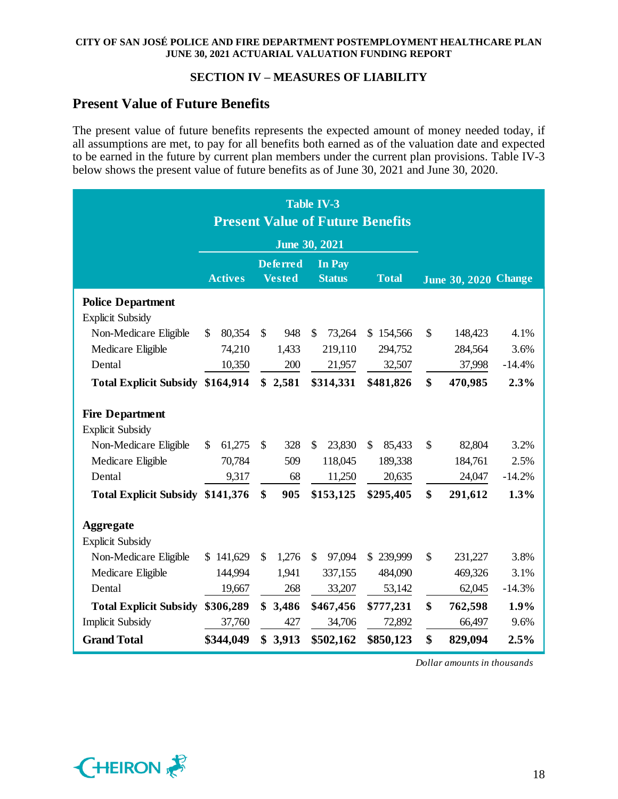## **SECTION IV – MEASURES OF LIABILITY**

## **Present Value of Future Benefits**

The present value of future benefits represents the expected amount of money needed today, if all assumptions are met, to pay for all benefits both earned as of the valuation date and expected to be earned in the future by current plan members under the current plan provisions. Table IV-3 below shows the present value of future benefits as of June 30, 2021 and June 30, 2020.

|                                  |                         | <b>Table IV-3</b><br><b>Present Value of Future Benefits</b> |                                                   |                             |          |
|----------------------------------|-------------------------|--------------------------------------------------------------|---------------------------------------------------|-----------------------------|----------|
|                                  |                         | <b>June 30, 2021</b>                                         |                                                   |                             |          |
|                                  | <b>Actives</b>          | <b>Deferred</b><br><b>Vested</b>                             | In Pay<br><b>Status</b><br><b>Total</b>           | <b>June 30, 2020 Change</b> |          |
| <b>Police Department</b>         |                         |                                                              |                                                   |                             |          |
| <b>Explicit Subsidy</b>          |                         |                                                              |                                                   |                             |          |
| Non-Medicare Eligible            | $\mathcal{S}$<br>80,354 | $\mathcal{S}$<br>948                                         | \$<br>73,264<br>\$154,566                         | \$<br>148,423               | 4.1%     |
| Medicare Eligible                | 74,210                  | 1,433                                                        | 219,110<br>294,752                                | 284,564                     | 3.6%     |
| Dental                           | 10,350                  | 200                                                          | 21,957<br>32,507                                  | 37,998                      | $-14.4%$ |
| Total Explicit Subsidy \$164,914 |                         | \$2,581                                                      | \$314,331<br>\$481,826                            | \$<br>470,985               | 2.3%     |
| <b>Fire Department</b>           |                         |                                                              |                                                   |                             |          |
| <b>Explicit Subsidy</b>          |                         |                                                              |                                                   |                             |          |
| Non-Medicare Eligible            | 61,275<br>\$            | $\mathcal{S}$<br>328                                         | $\mathcal{S}$<br>23,830<br>$\mathbb{S}$<br>85,433 | \$<br>82,804                | 3.2%     |
| Medicare Eligible                | 70,784                  | 509                                                          | 118,045<br>189,338                                | 184,761                     | 2.5%     |
| Dental                           | 9,317                   | 68                                                           | 11,250<br>20,635                                  | 24,047                      | $-14.2%$ |
| Total Explicit Subsidy \$141,376 |                         | \$<br>905                                                    | \$153,125<br>\$295,405                            | \$<br>291,612               | 1.3%     |
| <b>Aggregate</b>                 |                         |                                                              |                                                   |                             |          |
| <b>Explicit Subsidy</b>          |                         |                                                              |                                                   |                             |          |
| Non-Medicare Eligible            | \$141,629               | 1,276<br>$\mathcal{S}$                                       | \$<br>97,094<br>\$239,999                         | $\mathcal{S}$<br>231,227    | 3.8%     |
| Medicare Eligible                | 144,994                 | 1,941                                                        | 337,155<br>484,090                                | 469,326                     | 3.1%     |
| Dental                           | 19,667                  | 268                                                          | 33,207<br>53,142                                  | 62,045                      | $-14.3%$ |
| <b>Total Explicit Subsidy</b>    | \$306,289               | \$3,486                                                      | \$467,456<br>\$777,231                            | \$<br>762,598               | 1.9%     |
| <b>Implicit Subsidy</b>          | 37,760                  | 427                                                          | 34,706<br>72,892                                  | 66,497                      | 9.6%     |
| <b>Grand Total</b>               | \$344,049               | \$3,913                                                      | \$502,162<br>\$850,123                            | \$<br>829,094               | 2.5%     |

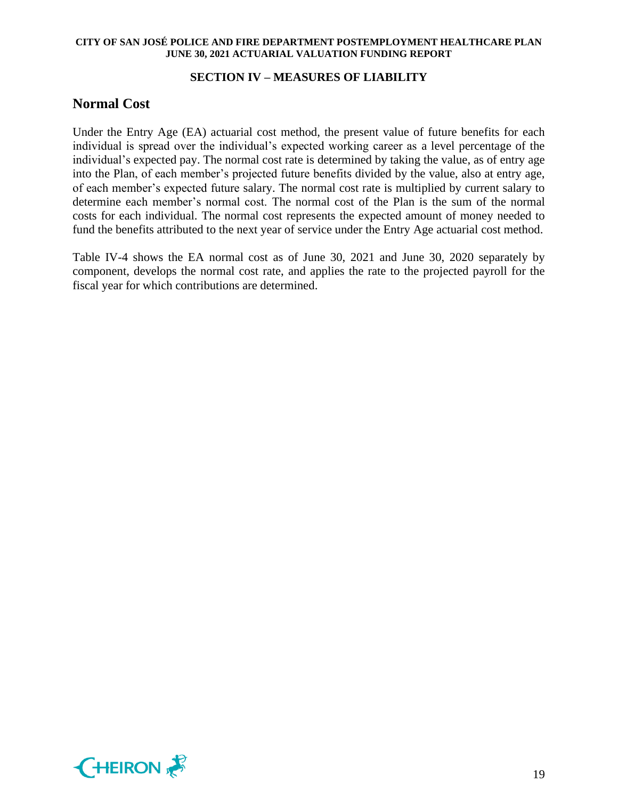## **SECTION IV – MEASURES OF LIABILITY**

## **Normal Cost**

Under the Entry Age (EA) actuarial cost method, the present value of future benefits for each individual is spread over the individual's expected working career as a level percentage of the individual's expected pay. The normal cost rate is determined by taking the value, as of entry age into the Plan, of each member's projected future benefits divided by the value, also at entry age, of each member's expected future salary. The normal cost rate is multiplied by current salary to determine each member's normal cost. The normal cost of the Plan is the sum of the normal costs for each individual. The normal cost represents the expected amount of money needed to fund the benefits attributed to the next year of service under the Entry Age actuarial cost method.

Table IV-4 shows the EA normal cost as of June 30, 2021 and June 30, 2020 separately by component, develops the normal cost rate, and applies the rate to the projected payroll for the fiscal year for which contributions are determined.

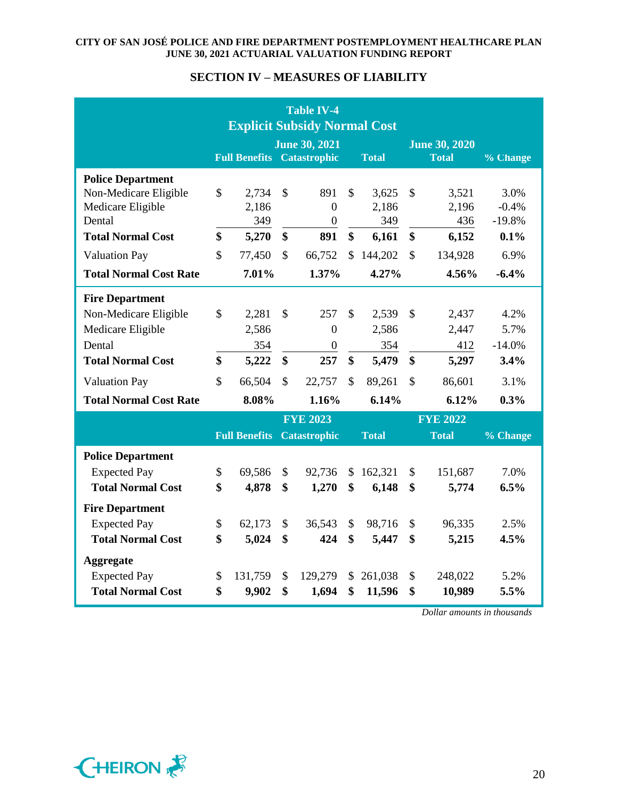## **SECTION IV – MEASURES OF LIABILITY**

| <b>Table IV-4</b><br><b>Explicit Subsidy Normal Cost</b> |                                                           |                      |                    |                       |                    |                                                      |               |                 |                  |
|----------------------------------------------------------|-----------------------------------------------------------|----------------------|--------------------|-----------------------|--------------------|------------------------------------------------------|---------------|-----------------|------------------|
|                                                          | <b>June 30, 2021</b><br><b>Full Benefits Catastrophic</b> |                      |                    |                       |                    | <b>June 30, 2020</b><br><b>Total</b><br><b>Total</b> |               |                 | % Change         |
| <b>Police Department</b>                                 |                                                           |                      |                    |                       |                    |                                                      |               |                 |                  |
| Non-Medicare Eligible                                    | \$                                                        | 2,734                | $\mathbf{\hat{S}}$ | 891                   | $\mathbf{\hat{S}}$ | 3,625                                                | $\mathcal{S}$ | 3,521           | 3.0%             |
| Medicare Eligible                                        |                                                           | 2,186                |                    | $\overline{0}$        |                    | 2,186                                                |               | 2,196           | $-0.4%$          |
| Dental<br><b>Total Normal Cost</b>                       | \$                                                        | 349                  | \$                 | $\overline{0}$<br>891 | \$                 | 349                                                  | \$            | 436<br>6,152    | $-19.8%$<br>0.1% |
|                                                          |                                                           | 5,270                |                    |                       |                    | 6,161                                                |               |                 |                  |
| <b>Valuation Pay</b>                                     | \$                                                        | 77,450               | \$                 | 66,752                | \$                 | 144,202                                              | \$            | 134,928         | 6.9%             |
| <b>Total Normal Cost Rate</b>                            |                                                           | 7.01%                |                    | 1.37%                 |                    | 4.27%                                                |               | 4.56%           | $-6.4%$          |
| <b>Fire Department</b>                                   |                                                           |                      |                    |                       |                    |                                                      |               |                 |                  |
| Non-Medicare Eligible                                    | \$                                                        | 2,281                | \$                 | 257                   | \$                 | 2,539                                                | \$            | 2,437           | 4.2%             |
| Medicare Eligible                                        |                                                           | 2,586                |                    | $\overline{0}$        |                    | 2,586                                                |               | 2,447           | 5.7%             |
| Dental                                                   |                                                           | 354                  |                    | $\overline{0}$        |                    | 354                                                  |               | 412             | $-14.0%$         |
| <b>Total Normal Cost</b>                                 | \$                                                        | 5,222                | \$                 | 257                   | \$                 | 5,479                                                | \$            | 5,297           | 3.4%             |
| <b>Valuation Pay</b>                                     | \$                                                        | 66,504               | $\mathcal{S}$      | 22,757                | $\mathcal{S}$      | 89,261                                               | \$            | 86,601          | 3.1%             |
| <b>Total Normal Cost Rate</b>                            |                                                           | 8.08%                |                    | 1.16%                 |                    | 6.14%                                                |               | 6.12%           | 0.3%             |
|                                                          |                                                           |                      |                    | <b>FYE 2023</b>       |                    |                                                      |               | <b>FYE 2022</b> |                  |
|                                                          |                                                           | <b>Full Benefits</b> |                    | <b>Catastrophic</b>   |                    | <b>Total</b>                                         |               | <b>Total</b>    | % Change         |
| <b>Police Department</b>                                 |                                                           |                      |                    |                       |                    |                                                      |               |                 |                  |
| <b>Expected Pay</b>                                      | \$                                                        | 69,586               | \$                 | 92,736                | \$                 | 162,321                                              | \$            | 151,687         | 7.0%             |
| <b>Total Normal Cost</b>                                 | \$                                                        | 4,878                | \$                 | 1,270                 | \$                 | 6,148                                                | \$            | 5,774           | 6.5%             |
| <b>Fire Department</b>                                   |                                                           |                      |                    |                       |                    |                                                      |               |                 |                  |
| <b>Expected Pay</b>                                      | \$                                                        | 62,173               | \$                 | 36,543                | \$                 | 98,716                                               | \$            | 96,335          | 2.5%             |
| <b>Total Normal Cost</b>                                 | \$                                                        | 5,024                | \$                 | 424                   | \$                 | 5,447                                                | \$            | 5,215           | 4.5%             |
| <b>Aggregate</b>                                         |                                                           |                      |                    |                       |                    |                                                      |               |                 |                  |
| <b>Expected Pay</b>                                      | \$                                                        | 131,759              | \$                 | 129,279               | \$                 | 261,038                                              | \$            | 248,022         | 5.2%             |
| <b>Total Normal Cost</b>                                 | \$                                                        | 9,902                | \$                 | 1,694                 | \$                 | 11,596                                               | \$            | 10,989          | 5.5%             |

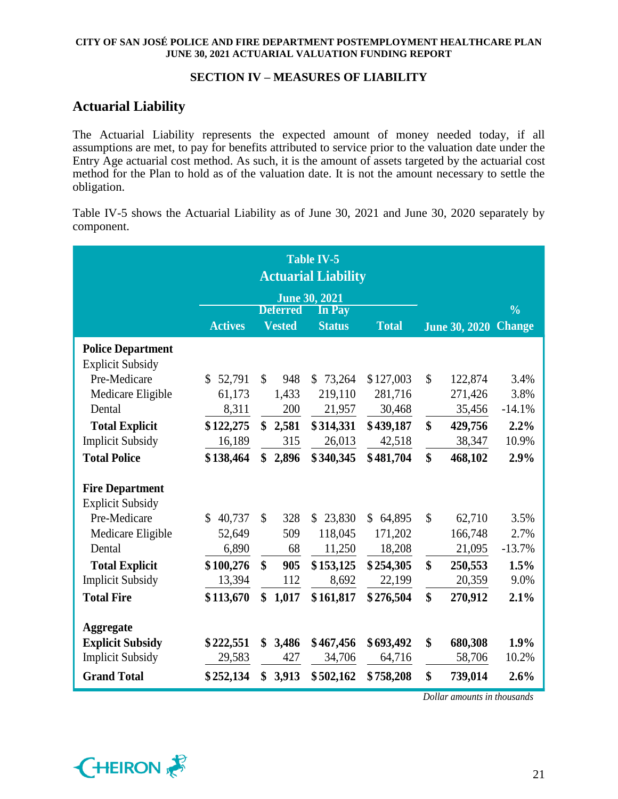## **SECTION IV – MEASURES OF LIABILITY**

# **Actuarial Liability**

The Actuarial Liability represents the expected amount of money needed today, if all assumptions are met, to pay for benefits attributed to service prior to the valuation date under the Entry Age actuarial cost method. As such, it is the amount of assets targeted by the actuarial cost method for the Plan to hold as of the valuation date. It is not the amount necessary to settle the obligation.

Table IV-5 shows the Actuarial Liability as of June 30, 2021 and June 30, 2020 separately by component.

|                          |                |                   |                 | <b>Table IV-5</b><br><b>Actuarial Liability</b> |                          |               |                      |               |
|--------------------------|----------------|-------------------|-----------------|-------------------------------------------------|--------------------------|---------------|----------------------|---------------|
|                          |                |                   |                 | <b>June 30, 2021</b>                            |                          |               |                      |               |
|                          |                |                   | <b>Deferred</b> | <b>In Pay</b>                                   |                          |               |                      | $\frac{0}{0}$ |
|                          | <b>Actives</b> |                   | <b>Vested</b>   | <b>Status</b>                                   | <b>Total</b>             |               | <b>June 30, 2020</b> | <b>Change</b> |
| <b>Police Department</b> |                |                   |                 |                                                 |                          |               |                      |               |
| <b>Explicit Subsidy</b>  |                |                   |                 |                                                 |                          |               |                      |               |
| Pre-Medicare             | \$52,791       | \$                | 948             | \$73,264                                        | \$127,003                | $\mathcal{S}$ | 122,874              | 3.4%          |
| Medicare Eligible        | 61,173         |                   | 1,433           | 219,110                                         | 281,716                  |               | 271,426              | 3.8%          |
| Dental                   | 8,311          |                   | 200             | 21,957                                          | 30,468                   |               | 35,456               | $-14.1%$      |
| <b>Total Explicit</b>    | \$122,275      |                   | \$2,581         | \$314,331                                       | \$439,187                | \$            | 429,756              | 2.2%          |
| <b>Implicit Subsidy</b>  | 16,189         |                   | 315             | 26,013                                          | 42,518                   |               | 38,347               | 10.9%         |
| <b>Total Police</b>      | \$138,464      | \$                | 2,896           | \$340,345                                       | \$481,704                | \$            | 468,102              | 2.9%          |
| <b>Fire Department</b>   |                |                   |                 |                                                 |                          |               |                      |               |
| <b>Explicit Subsidy</b>  |                |                   |                 |                                                 |                          |               |                      |               |
| Pre-Medicare             | \$<br>40,737   | $\mathcal{S}$     | 328             | \$23,830                                        | 64,895<br>$\mathbb{S}^-$ | $\mathcal{S}$ | 62,710               | 3.5%          |
| Medicare Eligible        | 52,649         |                   | 509             | 118,045                                         | 171,202                  |               | 166,748              | 2.7%          |
| Dental                   | 6,890          |                   | 68              | 11,250                                          | 18,208                   |               | 21,095               | $-13.7%$      |
| <b>Total Explicit</b>    | \$100,276      | $\boldsymbol{\$}$ | 905             | \$153,125                                       | \$254,305                | \$            | 250,553              | 1.5%          |
| <b>Implicit Subsidy</b>  | 13,394         |                   | 112             | 8,692                                           | 22,199                   |               | 20,359               | 9.0%          |
| <b>Total Fire</b>        | \$113,670      | \$                | 1,017           | \$161,817                                       | \$276,504                | \$            | 270,912              | 2.1%          |
| <b>Aggregate</b>         |                |                   |                 |                                                 |                          |               |                      |               |
| <b>Explicit Subsidy</b>  | \$222,551      | \$                | 3,486           | \$467,456                                       | \$693,492                | \$            | 680,308              | 1.9%          |
| <b>Implicit Subsidy</b>  | 29,583         |                   | 427             | 34,706                                          | 64,716                   |               | 58,706               | 10.2%         |
| <b>Grand Total</b>       | \$252,134      | \$                | 3,913           | \$502,162                                       | \$758,208                | \$            | 739,014              | 2.6%          |

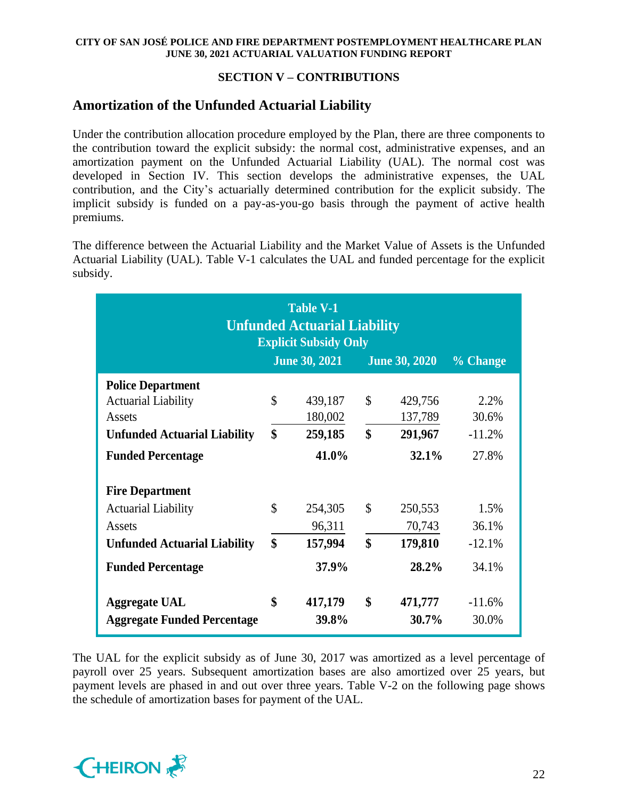## **SECTION V – CONTRIBUTIONS**

# **Amortization of the Unfunded Actuarial Liability**

Under the contribution allocation procedure employed by the Plan, there are three components to the contribution toward the explicit subsidy: the normal cost, administrative expenses, and an amortization payment on the Unfunded Actuarial Liability (UAL). The normal cost was developed in Section IV. This section develops the administrative expenses, the UAL contribution, and the City's actuarially determined contribution for the explicit subsidy. The implicit subsidy is funded on a pay-as-you-go basis through the payment of active health premiums.

The difference between the Actuarial Liability and the Market Value of Assets is the Unfunded Actuarial Liability (UAL). Table V-1 calculates the UAL and funded percentage for the explicit subsidy.

|                                     | <b>Table V-1</b><br><b>Unfunded Actuarial Liability</b><br><b>Explicit Subsidy Only</b> |                      |               |                      |          |  |  |  |  |  |  |  |  |  |
|-------------------------------------|-----------------------------------------------------------------------------------------|----------------------|---------------|----------------------|----------|--|--|--|--|--|--|--|--|--|
|                                     |                                                                                         | <b>June 30, 2021</b> |               | <b>June 30, 2020</b> | % Change |  |  |  |  |  |  |  |  |  |
| <b>Police Department</b>            |                                                                                         |                      |               |                      |          |  |  |  |  |  |  |  |  |  |
| <b>Actuarial Liability</b>          | \$                                                                                      | 439,187              | $\mathcal{S}$ | 429,756              | 2.2%     |  |  |  |  |  |  |  |  |  |
| Assets                              |                                                                                         | 180,002              |               | 137,789              | 30.6%    |  |  |  |  |  |  |  |  |  |
| <b>Unfunded Actuarial Liability</b> | \$                                                                                      | 259,185              | \$            | 291,967              | $-11.2%$ |  |  |  |  |  |  |  |  |  |
| <b>Funded Percentage</b>            |                                                                                         | 41.0%                |               | 32.1%                | 27.8%    |  |  |  |  |  |  |  |  |  |
| <b>Fire Department</b>              |                                                                                         |                      |               |                      |          |  |  |  |  |  |  |  |  |  |
| <b>Actuarial Liability</b>          | \$                                                                                      | 254,305              | \$            | 250,553              | 1.5%     |  |  |  |  |  |  |  |  |  |
| Assets                              |                                                                                         | 96,311               |               | 70,743               | 36.1%    |  |  |  |  |  |  |  |  |  |
| <b>Unfunded Actuarial Liability</b> | \$                                                                                      | 157,994              | \$            | 179,810              | $-12.1%$ |  |  |  |  |  |  |  |  |  |
| <b>Funded Percentage</b>            |                                                                                         | 37.9%                |               | 28.2%                | 34.1%    |  |  |  |  |  |  |  |  |  |
| <b>Aggregate UAL</b>                | \$                                                                                      | 417,179              | \$            | 471,777              | $-11.6%$ |  |  |  |  |  |  |  |  |  |
| <b>Aggregate Funded Percentage</b>  |                                                                                         | 39.8%                |               | 30.7%                | 30.0%    |  |  |  |  |  |  |  |  |  |

The UAL for the explicit subsidy as of June 30, 2017 was amortized as a level percentage of payroll over 25 years. Subsequent amortization bases are also amortized over 25 years, but payment levels are phased in and out over three years. Table V-2 on the following page shows the schedule of amortization bases for payment of the UAL.

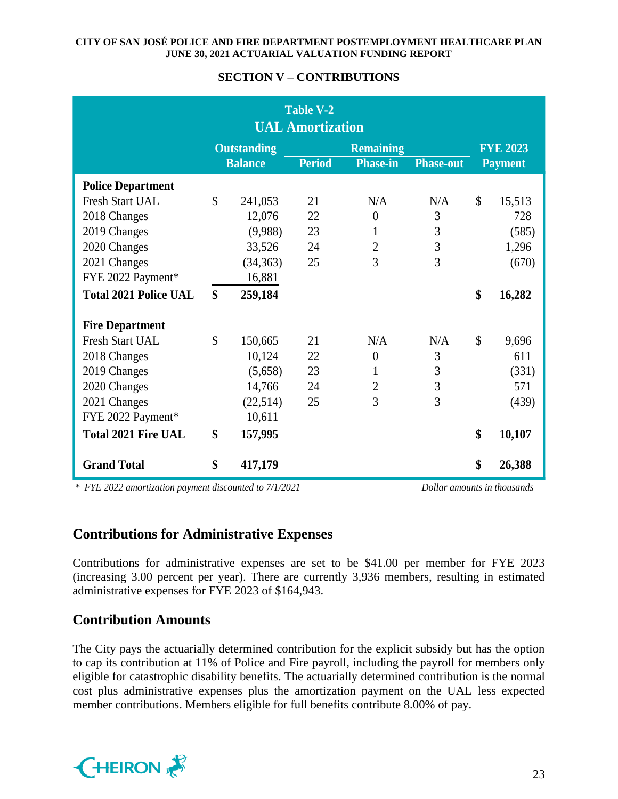|                              |               |                    | <b>Table V-2</b><br><b>UAL Amortization</b> |                  |                  |                 |
|------------------------------|---------------|--------------------|---------------------------------------------|------------------|------------------|-----------------|
|                              |               | <b>Outstanding</b> |                                             | <b>Remaining</b> |                  | <b>FYE 2023</b> |
|                              |               | <b>Balance</b>     | <b>Period</b>                               | <b>Phase-in</b>  | <b>Phase-out</b> | <b>Payment</b>  |
| <b>Police Department</b>     |               |                    |                                             |                  |                  |                 |
| <b>Fresh Start UAL</b>       | $\mathcal{S}$ | 241,053            | 21                                          | N/A              | N/A              | \$<br>15,513    |
| 2018 Changes                 |               | 12,076             | 22                                          | $\overline{0}$   | 3                | 728             |
| 2019 Changes                 |               | (9,988)            | 23                                          | $\mathbf{1}$     | 3                | (585)           |
| 2020 Changes                 |               | 33,526             | 24                                          | $\overline{c}$   | 3                | 1,296           |
| 2021 Changes                 |               | (34, 363)          | 25                                          | $\overline{3}$   | $\overline{3}$   | (670)           |
| FYE 2022 Payment*            |               | 16,881             |                                             |                  |                  |                 |
| <b>Total 2021 Police UAL</b> | \$            | 259,184            |                                             |                  |                  | \$<br>16,282    |
| <b>Fire Department</b>       |               |                    |                                             |                  |                  |                 |
| <b>Fresh Start UAL</b>       | $\mathcal{S}$ | 150,665            | 21                                          | N/A              | N/A              | \$<br>9,696     |
| 2018 Changes                 |               | 10,124             | 22                                          | $\theta$         | 3                | 611             |
| 2019 Changes                 |               | (5,658)            | 23                                          | 1                | 3                | (331)           |
| 2020 Changes                 |               | 14,766             | 24                                          | $\overline{2}$   | 3                | 571             |
| 2021 Changes                 |               | (22,514)           | 25                                          | $\overline{3}$   | 3                | (439)           |
| FYE 2022 Payment*            |               | 10,611             |                                             |                  |                  |                 |
| <b>Total 2021 Fire UAL</b>   | \$            | 157,995            |                                             |                  |                  | \$<br>10,107    |
| <b>Grand Total</b>           | \$            | 417,179            |                                             |                  |                  | \$<br>26,388    |

## **SECTION V – CONTRIBUTIONS**

*\* FYE 2022 amortization payment discounted to 7/1/2021 Dollar amounts in thousands*

# **Contributions for Administrative Expenses**

Contributions for administrative expenses are set to be \$41.00 per member for FYE 2023 (increasing 3.00 percent per year). There are currently 3,936 members, resulting in estimated administrative expenses for FYE 2023 of \$164,943.

# **Contribution Amounts**

The City pays the actuarially determined contribution for the explicit subsidy but has the option to cap its contribution at 11% of Police and Fire payroll, including the payroll for members only eligible for catastrophic disability benefits. The actuarially determined contribution is the normal cost plus administrative expenses plus the amortization payment on the UAL less expected member contributions. Members eligible for full benefits contribute 8.00% of pay.

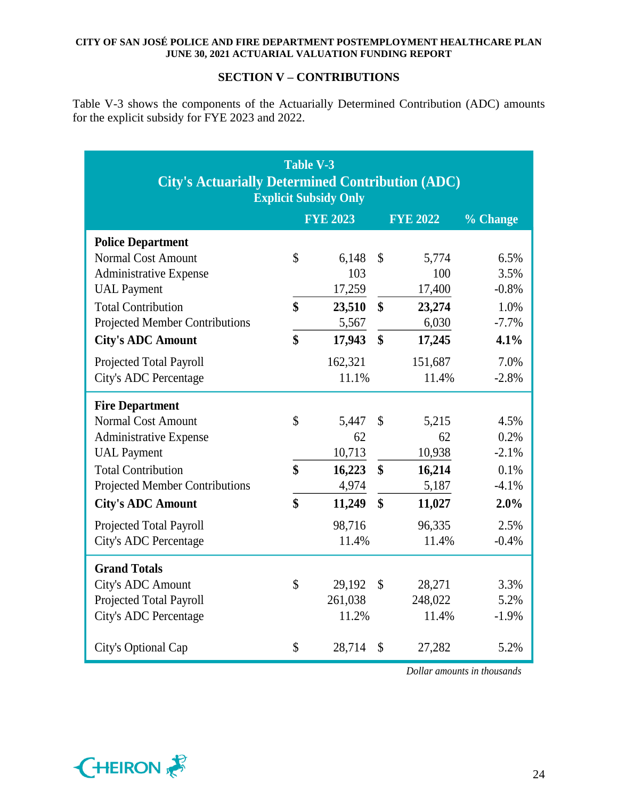## **SECTION V – CONTRIBUTIONS**

Table V-3 shows the components of the Actuarially Determined Contribution (ADC) amounts for the explicit subsidy for FYE 2023 and 2022.

| <b>City's Actuarially Determined Contribution (ADC)</b> | <b>Table V-3</b>                | <b>Explicit Subsidy Only</b> |                                 |                 |          |
|---------------------------------------------------------|---------------------------------|------------------------------|---------------------------------|-----------------|----------|
|                                                         |                                 | <b>FYE 2023</b>              |                                 | <b>FYE 2022</b> | % Change |
| <b>Police Department</b>                                |                                 |                              |                                 |                 |          |
| Normal Cost Amount                                      | $\mathbb{S}$                    | 6,148                        | $\boldsymbol{\mathsf{S}}$       | 5,774           | 6.5%     |
| <b>Administrative Expense</b>                           |                                 | 103                          |                                 | 100             | 3.5%     |
| <b>UAL</b> Payment                                      |                                 | 17,259                       |                                 | 17,400          | $-0.8%$  |
| <b>Total Contribution</b>                               | \$                              | 23,510                       | $\boldsymbol{\$}$               | 23,274          | 1.0%     |
| <b>Projected Member Contributions</b>                   |                                 | 5,567                        |                                 | 6,030           | $-7.7%$  |
| <b>City's ADC Amount</b>                                | \$                              | 17,943                       | $\boldsymbol{\hat{\mathbf{S}}}$ | 17,245          | 4.1%     |
| Projected Total Payroll                                 |                                 | 162,321                      |                                 | 151,687         | 7.0%     |
| City's ADC Percentage                                   |                                 | 11.1%                        |                                 | 11.4%           | $-2.8%$  |
| <b>Fire Department</b>                                  |                                 |                              |                                 |                 |          |
| <b>Normal Cost Amount</b>                               | $\mathcal{S}$                   | 5,447                        | \$                              | 5,215           | 4.5%     |
| <b>Administrative Expense</b>                           |                                 | 62                           |                                 | 62              | 0.2%     |
| <b>UAL Payment</b>                                      |                                 | 10,713                       |                                 | 10,938          | $-2.1%$  |
| <b>Total Contribution</b>                               | \$                              | 16,223                       | $\boldsymbol{\$}$               | 16,214          | 0.1%     |
| Projected Member Contributions                          |                                 | 4,974                        |                                 | 5,187           | $-4.1%$  |
| <b>City's ADC Amount</b>                                | $\boldsymbol{\hat{\mathbf{s}}}$ | 11,249                       | $\mathbf{\$}$                   | 11,027          | 2.0%     |
| Projected Total Payroll                                 |                                 | 98,716                       |                                 | 96,335          | 2.5%     |
| City's ADC Percentage                                   |                                 | 11.4%                        |                                 | 11.4%           | $-0.4%$  |
| <b>Grand Totals</b>                                     |                                 |                              |                                 |                 |          |
| City's ADC Amount                                       | $\mathcal{S}$                   | 29,192                       | $\mathbb{S}$                    | 28,271          | 3.3%     |
| Projected Total Payroll                                 |                                 | 261,038                      |                                 | 248,022         | 5.2%     |
| City's ADC Percentage                                   |                                 | 11.2%                        |                                 | 11.4%           | $-1.9\%$ |
| City's Optional Cap                                     | \$                              | 28,714                       | \$                              | 27,282          | 5.2%     |

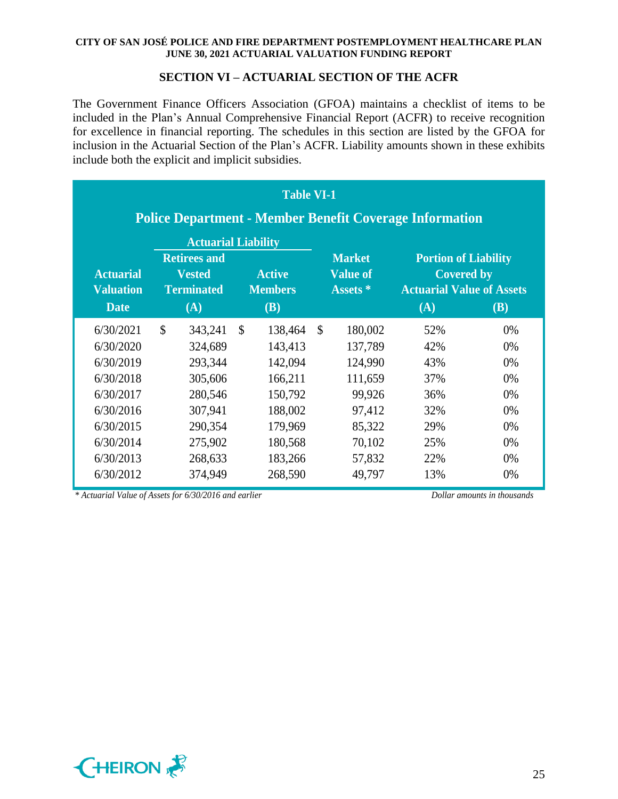## **SECTION VI – ACTUARIAL SECTION OF THE ACFR**

The Government Finance Officers Association (GFOA) maintains a checklist of items to be included in the Plan's Annual Comprehensive Financial Report (ACFR) to receive recognition for excellence in financial reporting. The schedules in this section are listed by the GFOA for inclusion in the Actuarial Section of the Plan's ACFR. Liability amounts shown in these exhibits include both the explicit and implicit subsidies.

| <b>Table VI-1</b><br><b>Police Department - Member Benefit Coverage Information</b>                               |                                                                                                                                                 |                                                                                                 |               |                                                                                                 |    |                                                                                            |                                                                                             |                                                    |  |  |  |  |  |
|-------------------------------------------------------------------------------------------------------------------|-------------------------------------------------------------------------------------------------------------------------------------------------|-------------------------------------------------------------------------------------------------|---------------|-------------------------------------------------------------------------------------------------|----|--------------------------------------------------------------------------------------------|---------------------------------------------------------------------------------------------|----------------------------------------------------|--|--|--|--|--|
| <b>Actuarial</b><br><b>Valuation</b><br><b>Date</b>                                                               | <b>Actuarial Liability</b><br><b>Retirees and</b><br><b>Active</b><br><b>Vested</b><br><b>Members</b><br><b>Terminated</b><br>(A)<br><b>(B)</b> |                                                                                                 |               |                                                                                                 |    |                                                                                            | <b>Portion of Liability</b><br><b>Covered by</b><br><b>Actuarial Value of Assets</b><br>(A) | <b>(B)</b>                                         |  |  |  |  |  |
| 6/30/2021<br>6/30/2020<br>6/30/2019<br>6/30/2018<br>6/30/2017<br>6/30/2016<br>6/30/2015<br>6/30/2014<br>6/30/2013 | $\mathcal{S}$                                                                                                                                   | 343,241<br>324,689<br>293,344<br>305,606<br>280,546<br>307,941<br>290,354<br>275,902<br>268,633 | $\mathcal{S}$ | 138,464<br>143,413<br>142,094<br>166,211<br>150,792<br>188,002<br>179,969<br>180,568<br>183,266 | \$ | 180,002<br>137,789<br>124,990<br>111,659<br>99,926<br>97,412<br>85,322<br>70,102<br>57,832 | 52%<br>42%<br>43%<br>37%<br>36%<br>32%<br>29%<br>25%<br>22%                                 | 0%<br>0%<br>0%<br>0%<br>0%<br>0%<br>0%<br>0%<br>0% |  |  |  |  |  |

*\* Actuarial Value of Assets for 6/30/2016 and earlier Dollar amounts in thousands*

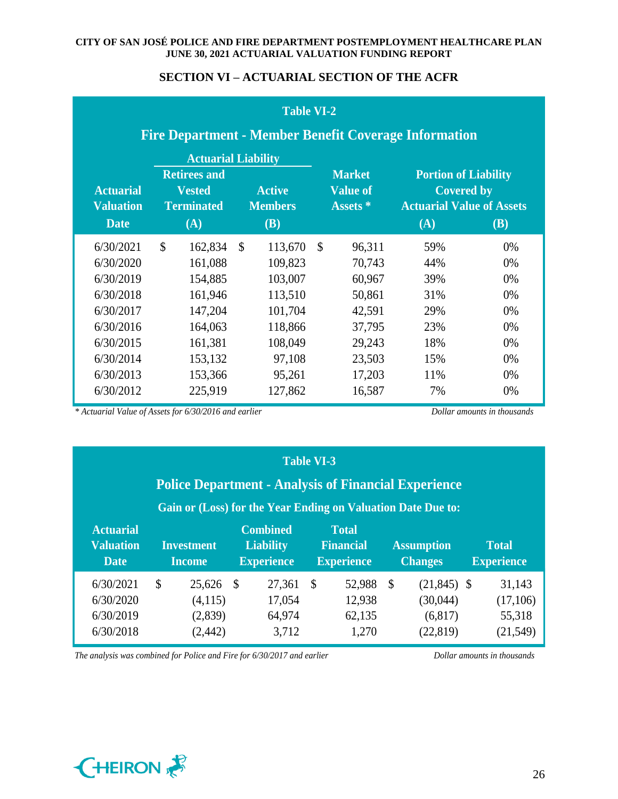## **SECTION VI – ACTUARIAL SECTION OF THE ACFR**

|                                                     | <b>Table VI-2</b>                                            |                                                                                                |              |                                               |    |                                              |     |                                                                                                    |  |  |  |  |  |  |
|-----------------------------------------------------|--------------------------------------------------------------|------------------------------------------------------------------------------------------------|--------------|-----------------------------------------------|----|----------------------------------------------|-----|----------------------------------------------------------------------------------------------------|--|--|--|--|--|--|
|                                                     | <b>Fire Department - Member Benefit Coverage Information</b> |                                                                                                |              |                                               |    |                                              |     |                                                                                                    |  |  |  |  |  |  |
| <b>Actuarial</b><br><b>Valuation</b><br><b>Date</b> |                                                              | <b>Actuarial Liability</b><br><b>Retirees and</b><br><b>Vested</b><br><b>Terminated</b><br>(A) |              | <b>Active</b><br><b>Members</b><br><b>(B)</b> |    | <b>Market</b><br><b>Value of</b><br>Assets * | (A) | <b>Portion of Liability</b><br><b>Covered by</b><br><b>Actuarial Value of Assets</b><br><b>(B)</b> |  |  |  |  |  |  |
|                                                     |                                                              |                                                                                                |              |                                               |    |                                              |     |                                                                                                    |  |  |  |  |  |  |
| 6/30/2021                                           | \$                                                           | 162,834                                                                                        | $\mathbb{S}$ | 113,670                                       | \$ | 96,311                                       | 59% | 0%                                                                                                 |  |  |  |  |  |  |
| 6/30/2020                                           |                                                              | 161,088                                                                                        |              | 109,823                                       |    | 70,743                                       | 44% | $0\%$                                                                                              |  |  |  |  |  |  |
| 6/30/2019                                           |                                                              | 154,885                                                                                        |              | 103,007                                       |    | 60,967                                       | 39% | 0%                                                                                                 |  |  |  |  |  |  |
| 6/30/2018                                           |                                                              | 161,946                                                                                        |              | 113,510                                       |    | 50,861                                       | 31% | 0%                                                                                                 |  |  |  |  |  |  |
| 6/30/2017                                           |                                                              | 147,204                                                                                        |              | 101,704                                       |    | 42,591                                       | 29% | 0%                                                                                                 |  |  |  |  |  |  |
| 6/30/2016                                           |                                                              | 164,063                                                                                        |              | 118,866                                       |    | 37,795                                       | 23% | 0%                                                                                                 |  |  |  |  |  |  |
| 6/30/2015                                           |                                                              | 161,381                                                                                        |              | 108,049                                       |    | 29,243                                       | 18% | 0%                                                                                                 |  |  |  |  |  |  |
| 6/30/2014                                           |                                                              | 153,132                                                                                        |              | 97,108                                        |    | 23,503                                       | 15% | $0\%$                                                                                              |  |  |  |  |  |  |
| 6/30/2013                                           |                                                              | 153,366                                                                                        |              | 95,261                                        |    | 17,203                                       | 11% | 0%                                                                                                 |  |  |  |  |  |  |
| 6/30/2012                                           |                                                              | 225,919                                                                                        |              | 127,862                                       |    | 16,587                                       | 7%  | 0%                                                                                                 |  |  |  |  |  |  |

*\* Actuarial Value of Assets for 6/30/2016 and earlier Dollar amounts in thousands*

|                                                                                                                                                                                                                    | <b>Police Department - Analysis of Financial Experience</b> |  |                   | <b>Table VI-3</b> |                   |              |                |  |                   |
|--------------------------------------------------------------------------------------------------------------------------------------------------------------------------------------------------------------------|-------------------------------------------------------------|--|-------------------|-------------------|-------------------|--------------|----------------|--|-------------------|
| Gain or (Loss) for the Year Ending on Valuation Date Due to:<br><b>Combined</b><br><b>Actuarial</b><br><b>Total</b><br><b>Valuation</b><br><b>Liability</b><br><b>Financial</b><br>Investment<br><b>Assumption</b> |                                                             |  |                   |                   |                   |              | <b>Total</b>   |  |                   |
| <b>Date</b>                                                                                                                                                                                                        | <b>Income</b>                                               |  | <b>Experience</b> |                   | <b>Experience</b> |              | <b>Changes</b> |  | <b>Experience</b> |
| 6/30/2021                                                                                                                                                                                                          | \$<br>25,626 \$                                             |  | 27,361 \$         |                   | 52,988            | <sup>S</sup> | $(21,845)$ \$  |  | 31,143            |
| 6/30/2020                                                                                                                                                                                                          | (4,115)                                                     |  | 17,054            |                   | 12,938            |              | (30,044)       |  | (17,106)          |
| 6/30/2019                                                                                                                                                                                                          | (2,839)                                                     |  | 64,974            |                   | 62,135            |              | (6,817)        |  | 55,318            |
| 6/30/2018                                                                                                                                                                                                          | (2,442)                                                     |  | 3,712             |                   | 1,270             |              | (22, 819)      |  | (21, 549)         |

*The analysis was combined for Police and Fire for 6/30/2017 and earlier Dollar amounts in thousands*

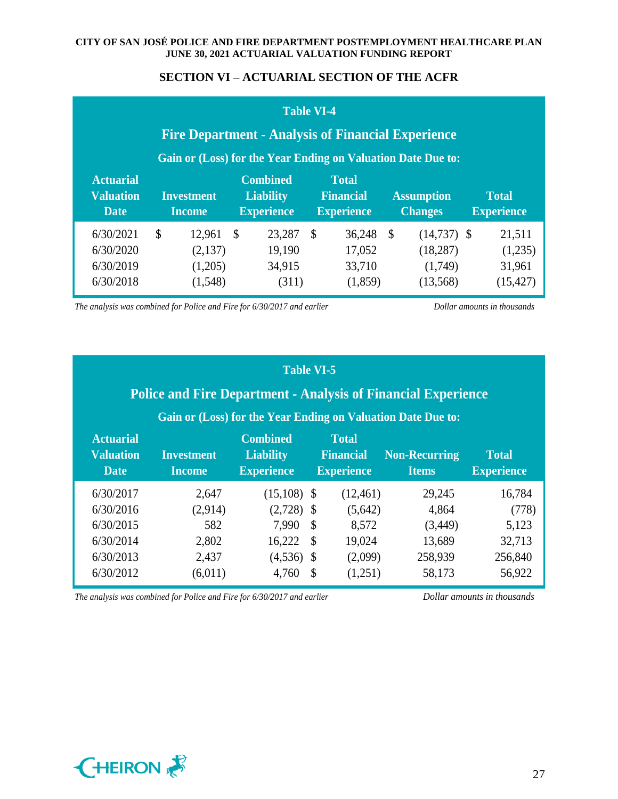## **SECTION VI – ACTUARIAL SECTION OF THE ACFR**

|                                                     | <b>Fire Department - Analysis of Financial Experience</b>    | <b>Table VI-4</b>                                        |                                                       |               |                                     |                                   |
|-----------------------------------------------------|--------------------------------------------------------------|----------------------------------------------------------|-------------------------------------------------------|---------------|-------------------------------------|-----------------------------------|
|                                                     | Gain or (Loss) for the Year Ending on Valuation Date Due to: |                                                          |                                                       |               |                                     |                                   |
| <b>Actuarial</b><br><b>Valuation</b><br><b>Date</b> | <b>Investment</b><br><b>Income</b>                           | <b>Combined</b><br><b>Liability</b><br><b>Experience</b> | <b>Total</b><br><b>Financial</b><br><b>Experience</b> |               | <b>Assumption</b><br><b>Changes</b> | <b>Total</b><br><b>Experience</b> |
| 6/30/2021                                           | $\mathcal{S}$<br>$12,961$ \$                                 | 23,287 \$                                                | 36,248                                                | $\mathcal{S}$ | $(14,737)$ \$                       | 21,511                            |
| 6/30/2020                                           | (2,137)                                                      | 19,190                                                   | 17,052                                                |               | (18, 287)                           | (1,235)                           |
| 6/30/2019                                           | (1,205)                                                      | 34,915                                                   | 33,710                                                |               | (1,749)                             | 31,961                            |
| 6/30/2018                                           | (1,548)                                                      | (311)                                                    | (1,859)                                               |               | (13,568)                            | (15, 427)                         |

*The analysis was combined for Police and Fire for 6/30/2017 and earlier Dollar amounts in thousands*

## **Table VI-5**

# **Police and Fire Department - Analysis of Financial Experience**

# **Gain or (Loss) for the Year Ending on Valuation Date Due to:**

| <b>Actuarial</b><br><b>Valuation</b><br><b>Date</b> | <b>Investment</b><br><b>Income</b> | <b>Combined</b><br><b>Liability</b><br><b>Experience</b> | <b>Total</b><br><b>Financial</b><br><b>Experience</b> | <b>Non-Recurring</b><br><b>Items</b> | <b>Total</b><br><b>Experience</b> |
|-----------------------------------------------------|------------------------------------|----------------------------------------------------------|-------------------------------------------------------|--------------------------------------|-----------------------------------|
| 6/30/2017                                           | 2,647                              | $(15,108)$ \$                                            | (12, 461)                                             | 29,245                               | 16,784                            |
| 6/30/2016                                           | (2,914)                            | $(2,728)$ \$                                             | (5,642)                                               | 4,864                                | (778)                             |
| 6/30/2015                                           | 582                                | $7,990$ \$                                               | 8,572                                                 | (3,449)                              | 5,123                             |
| 6/30/2014                                           | 2,802                              | $16,222$ \$                                              | 19,024                                                | 13,689                               | 32,713                            |
| 6/30/2013                                           | 2,437                              | $(4,536)$ \$                                             | (2,099)                                               | 258,939                              | 256,840                           |
| 6/30/2012                                           | (6,011)                            | 4,760 $\frac{1}{2}$                                      | (1,251)                                               | 58,173                               | 56,922                            |

*The analysis was combined for Police and Fire for 6/30/2017 and earlier Dollar amounts in thousands*

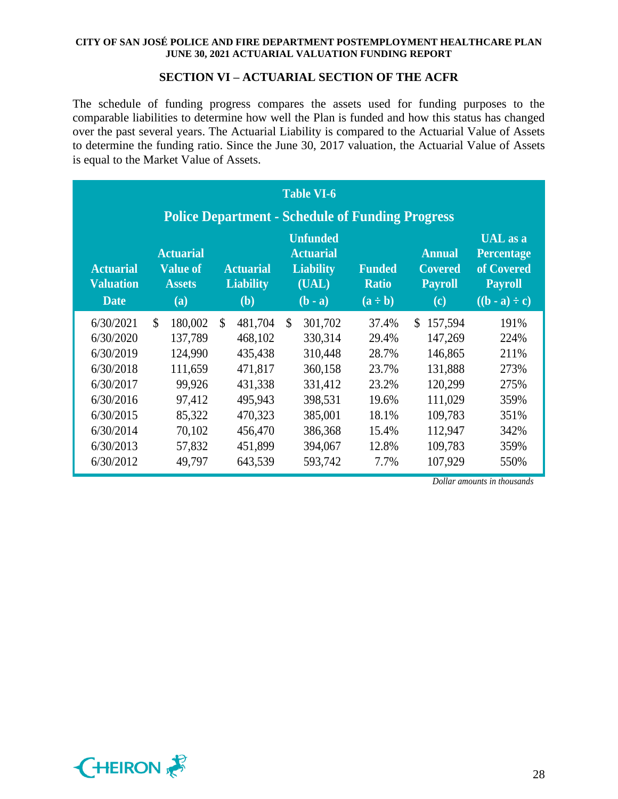### **SECTION VI – ACTUARIAL SECTION OF THE ACFR**

The schedule of funding progress compares the assets used for funding purposes to the comparable liabilities to determine how well the Plan is funded and how this status has changed over the past several years. The Actuarial Liability is compared to the Actuarial Value of Assets to determine the funding ratio. Since the June 30, 2017 valuation, the Actuarial Value of Assets is equal to the Market Value of Assets.

|                                                     |                                                             |                                                    | <b>Table VI-6</b><br><b>Police Department - Schedule of Funding Progress</b>  |                                               |                                                          |                                                                                                                    |
|-----------------------------------------------------|-------------------------------------------------------------|----------------------------------------------------|-------------------------------------------------------------------------------|-----------------------------------------------|----------------------------------------------------------|--------------------------------------------------------------------------------------------------------------------|
| <b>Actuarial</b><br><b>Valuation</b><br><b>Date</b> | <b>Actuarial</b><br><b>Value of</b><br><b>Assets</b><br>(a) | <b>Actuarial</b><br><b>Liability</b><br><b>(b)</b> | <b>Unfunded</b><br><b>Actuarial</b><br><b>Liability</b><br>(UAL)<br>$(b - a)$ | <b>Funded</b><br><b>Ratio</b><br>$(a \div b)$ | <b>Annual</b><br><b>Covered</b><br><b>Payroll</b><br>(c) | UAL as a<br><b>Percentage</b><br>of Covered<br><b>Payroll</b><br>$((\mathbf{b} \cdot \mathbf{a}) \div \mathbf{c})$ |
| 6/30/2021                                           | 180,002                                                     | $\mathbb{S}$<br>481,704 \$                         | 301,702                                                                       | 37.4%                                         | 157,594<br>$\mathbb{S}^-$                                | 191%                                                                                                               |
| 6/30/2020                                           | 137,789                                                     | 468,102                                            | 330,314                                                                       | 29.4%                                         | 147,269                                                  | 224%                                                                                                               |
| 6/30/2019                                           | 124,990                                                     | 435,438                                            | 310,448                                                                       | 28.7%                                         | 146,865                                                  | 211%                                                                                                               |
| 6/30/2018                                           | 111,659                                                     | 471,817                                            | 360,158                                                                       | 23.7%                                         | 131,888                                                  | 273%                                                                                                               |
| 6/30/2017                                           | 99,926                                                      | 431,338                                            | 331,412                                                                       | 23.2%                                         | 120,299                                                  | 275%                                                                                                               |
| 6/30/2016                                           | 97,412                                                      | 495,943                                            | 398,531                                                                       | 19.6%                                         | 111,029                                                  | 359%                                                                                                               |
| 6/30/2015                                           | 85,322                                                      | 470,323                                            | 385,001                                                                       | 18.1%                                         | 109,783                                                  | 351%                                                                                                               |
| 6/30/2014                                           | 70,102                                                      | 456,470                                            | 386,368                                                                       | 15.4%                                         | 112,947                                                  | 342%                                                                                                               |
| 6/30/2013                                           | 57,832                                                      | 451,899                                            | 394,067                                                                       | 12.8%                                         | 109,783                                                  | 359%                                                                                                               |
| 6/30/2012                                           | 49,797                                                      | 643,539                                            | 593,742                                                                       | 7.7%                                          | 107,929                                                  | 550%                                                                                                               |

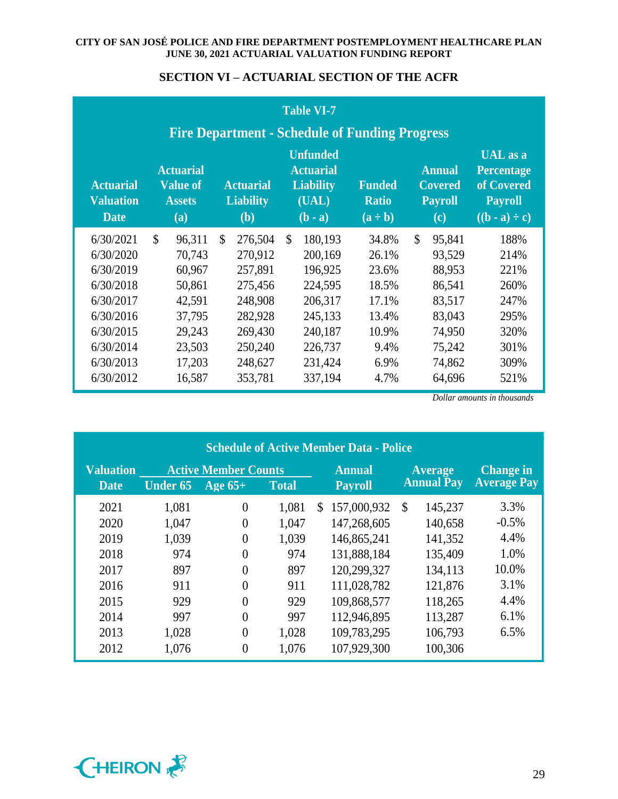### **SECTION VI – ACTUARIAL SECTION OF THE ACFR**

|                                                     |                                                             |              |                                             | <b>Table VI-7</b>                                                             | <b>Fire Department - Schedule of Funding Progress</b> |              |                                                                                  |                                                                                                                    |
|-----------------------------------------------------|-------------------------------------------------------------|--------------|---------------------------------------------|-------------------------------------------------------------------------------|-------------------------------------------------------|--------------|----------------------------------------------------------------------------------|--------------------------------------------------------------------------------------------------------------------|
| <b>Actuarial</b><br><b>Valuation</b><br><b>Date</b> | <b>Actuarial</b><br><b>Value of</b><br><b>Assets</b><br>(a) |              | <b>Actuarial</b><br><b>Liability</b><br>(b) | <b>Unfunded</b><br><b>Actuarial</b><br><b>Liability</b><br>(UAL)<br>$(b - a)$ | <b>Funded</b><br><b>Ratio</b><br>$(a \div b)$         |              | <b>Annual</b><br><b>Covered</b><br><b>Payroll</b><br>$\left( \mathbf{c} \right)$ | UAL as a<br><b>Percentage</b><br>of Covered<br><b>Payroll</b><br>$((\mathbf{b} \cdot \mathbf{a}) \div \mathbf{c})$ |
| 6/30/2021                                           | 96,311                                                      | $\mathbb{S}$ | 276,504 \$                                  | 180,193                                                                       | 34.8%                                                 | $\mathbb{S}$ | 95,841                                                                           | 188%                                                                                                               |
| 6/30/2020                                           | 70,743                                                      |              | 270,912                                     | 200,169                                                                       | 26.1%                                                 |              | 93,529                                                                           | 214%                                                                                                               |
| 6/30/2019                                           | 60,967                                                      |              | 257,891                                     | 196,925                                                                       | 23.6%                                                 |              | 88,953                                                                           | 221%                                                                                                               |
| 6/30/2018                                           | 50,861                                                      |              | 275,456                                     | 224,595                                                                       | 18.5%                                                 |              | 86,541                                                                           | 260%                                                                                                               |
| 6/30/2017                                           | 42,591                                                      |              | 248,908                                     | 206,317                                                                       | 17.1%                                                 |              | 83,517                                                                           | 247%                                                                                                               |
| 6/30/2016                                           | 37,795                                                      |              | 282,928                                     | 245,133                                                                       | 13.4%                                                 |              | 83,043                                                                           | 295%                                                                                                               |
| 6/30/2015                                           | 29,243                                                      |              | 269,430                                     | 240,187                                                                       | 10.9%                                                 |              | 74,950                                                                           | 320%                                                                                                               |
| 6/30/2014                                           | 23,503                                                      |              | 250,240                                     | 226,737                                                                       | 9.4%                                                  |              | 75,242                                                                           | 301%                                                                                                               |
| 6/30/2013                                           | 17,203                                                      |              | 248,627                                     | 231,424                                                                       | 6.9%                                                  |              | 74,862                                                                           | 309%                                                                                                               |
| 6/30/2012                                           | 16,587                                                      |              | 353,781                                     | 337,194                                                                       | 4.7%                                                  |              | 64,696                                                                           | 521%                                                                                                               |

|                  | <b>Schedule of Active Member Data - Police</b> |                             |              |                   |                          |                    |  |  |  |  |  |  |  |  |  |
|------------------|------------------------------------------------|-----------------------------|--------------|-------------------|--------------------------|--------------------|--|--|--|--|--|--|--|--|--|
| <b>Valuation</b> |                                                | <b>Active Member Counts</b> |              | <b>Annual</b>     | <b>Average</b>           | <b>Change in</b>   |  |  |  |  |  |  |  |  |  |
| <b>Date</b>      | <b>Under 65</b>                                | $Age 65+$                   | <b>Total</b> | <b>Payroll</b>    | <b>Annual Pay</b>        | <b>Average Pay</b> |  |  |  |  |  |  |  |  |  |
| 2021             | 1,081                                          | $\theta$                    | 1,081        | 157,000,932<br>\$ | 145,237<br>$\mathcal{S}$ | 3.3%               |  |  |  |  |  |  |  |  |  |
| 2020             | 1,047                                          | $\theta$                    | 1,047        | 147,268,605       | 140,658                  | $-0.5%$            |  |  |  |  |  |  |  |  |  |
| 2019             | 1,039                                          | $\theta$                    | 1,039        | 146,865,241       | 141,352                  | 4.4%               |  |  |  |  |  |  |  |  |  |
| 2018             | 974                                            | $\theta$                    | 974          | 131,888,184       | 135,409                  | 1.0%               |  |  |  |  |  |  |  |  |  |
| 2017             | 897                                            | $\theta$                    | 897          | 120,299,327       | 134,113                  | 10.0%              |  |  |  |  |  |  |  |  |  |
| 2016             | 911                                            | $\theta$                    | 911          | 111,028,782       | 121,876                  | 3.1%               |  |  |  |  |  |  |  |  |  |
| 2015             | 929                                            | $\theta$                    | 929          | 109,868,577       | 118,265                  | 4.4%               |  |  |  |  |  |  |  |  |  |
| 2014             | 997                                            | $\theta$                    | 997          | 112,946,895       | 113,287                  | 6.1%               |  |  |  |  |  |  |  |  |  |
| 2013             | 1,028                                          | $\theta$                    | 1,028        | 109,783,295       | 106,793                  | 6.5%               |  |  |  |  |  |  |  |  |  |
| 2012             | 1,076                                          | $\overline{0}$              | 1,076        | 107,929,300       | 100,306                  |                    |  |  |  |  |  |  |  |  |  |

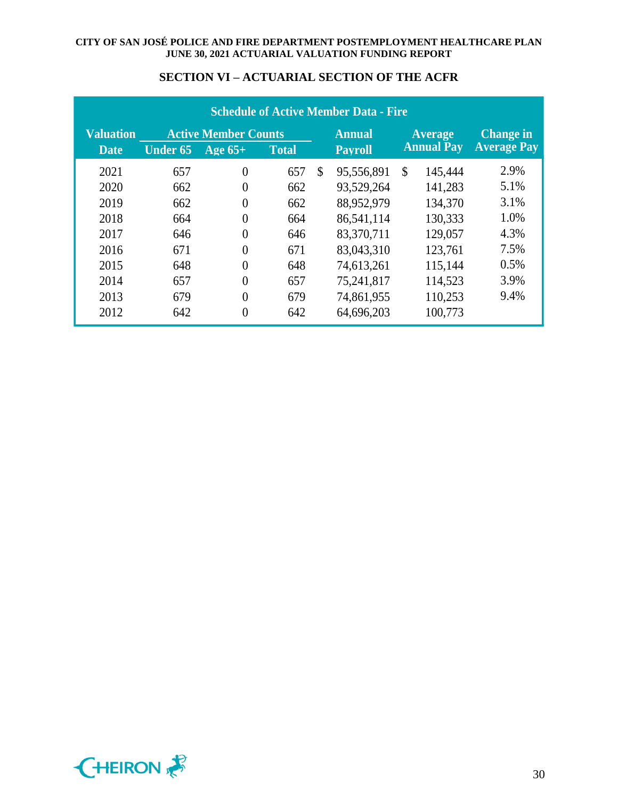|                  | <b>Schedule of Active Member Data - Fire</b> |                             |              |                |               |                   |                |                    |  |  |  |  |
|------------------|----------------------------------------------|-----------------------------|--------------|----------------|---------------|-------------------|----------------|--------------------|--|--|--|--|
| <b>Valuation</b> |                                              | <b>Active Member Counts</b> |              |                | <b>Annual</b> |                   | <b>Average</b> | <b>Change in</b>   |  |  |  |  |
| <b>Date</b>      | <b>Under 65</b>                              | Age $65+$                   | <b>Total</b> | <b>Pavroll</b> |               | <b>Annual Pay</b> |                | <b>Average Pay</b> |  |  |  |  |
| 2021             | 657                                          | $\theta$                    | 657          | $\mathcal{S}$  | 95,556,891    | $\mathcal{S}$     | 145,444        | 2.9%               |  |  |  |  |
| 2020             | 662                                          | 0                           | 662          |                | 93,529,264    |                   | 141,283        | 5.1%               |  |  |  |  |
| 2019             | 662                                          | $\theta$                    | 662          |                | 88,952,979    |                   | 134,370        | 3.1%               |  |  |  |  |
| 2018             | 664                                          | $\theta$                    | 664          |                | 86,541,114    |                   | 130,333        | 1.0%               |  |  |  |  |
| 2017             | 646                                          | $\theta$                    | 646          |                | 83,370,711    |                   | 129,057        | 4.3%               |  |  |  |  |
| 2016             | 671                                          |                             | 671          |                | 83,043,310    |                   | 123,761        | 7.5%               |  |  |  |  |
| 2015             | 648                                          | $\theta$                    | 648          |                | 74,613,261    |                   | 115,144        | 0.5%               |  |  |  |  |
| 2014             | 657                                          | $\theta$                    | 657          |                | 75,241,817    |                   | 114,523        | 3.9%               |  |  |  |  |
| 2013             | 679                                          | 0                           | 679          |                | 74,861,955    |                   | 110,253        | 9.4%               |  |  |  |  |
| 2012             | 642                                          | $\theta$                    | 642          |                | 64,696,203    |                   | 100,773        |                    |  |  |  |  |

## **SECTION VI – ACTUARIAL SECTION OF THE ACFR**

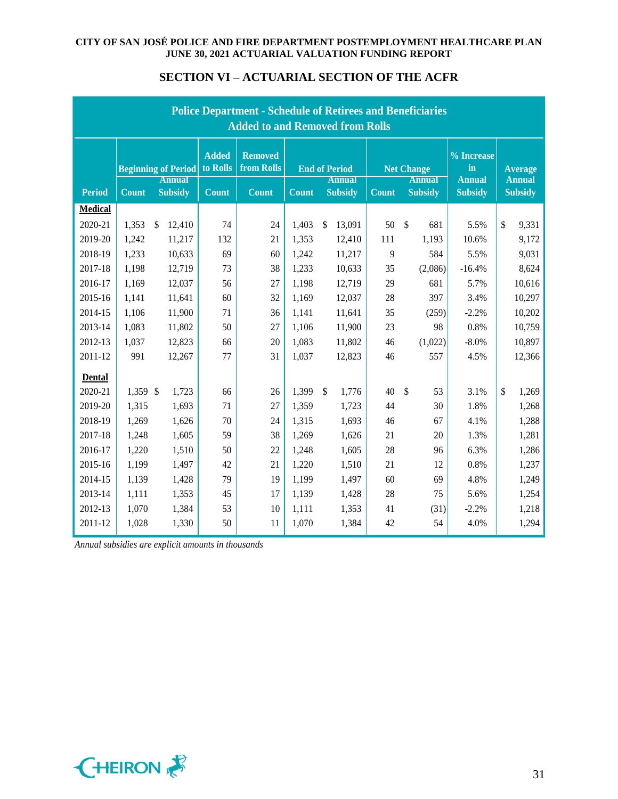|                | <b>Police Department - Schedule of Retirees and Beneficiaries</b><br><b>Added to and Removed from Rolls</b> |                                             |                          |                              |              |                                       |                                    |                |                                     |                                 |  |  |  |
|----------------|-------------------------------------------------------------------------------------------------------------|---------------------------------------------|--------------------------|------------------------------|--------------|---------------------------------------|------------------------------------|----------------|-------------------------------------|---------------------------------|--|--|--|
|                |                                                                                                             | <b>Beginning of Period</b><br><b>Annual</b> | <b>Added</b><br>to Rolls | <b>Removed</b><br>from Rolls |              | <b>End of Period</b><br><b>Annual</b> | <b>Net Change</b><br><b>Annual</b> |                | $%$ Increase<br>in<br><b>Annual</b> | <b>Average</b><br><b>Annual</b> |  |  |  |
| <b>Period</b>  | <b>Count</b>                                                                                                | <b>Subsidy</b>                              | <b>Count</b>             | <b>Count</b>                 | <b>Count</b> | <b>Subsidy</b>                        | <b>Count</b>                       | <b>Subsidy</b> | <b>Subsidy</b>                      | <b>Subsidy</b>                  |  |  |  |
| <b>Medical</b> |                                                                                                             |                                             |                          |                              |              |                                       |                                    |                |                                     |                                 |  |  |  |
| 2020-21        | 1,353                                                                                                       | \$<br>12,410                                | 74                       | 24                           | 1,403        | \$<br>13,091                          | 50                                 | \$<br>681      | 5.5%                                | \$<br>9,331                     |  |  |  |
| 2019-20        | 1,242                                                                                                       | 11,217                                      | 132                      | 21                           | 1,353        | 12,410                                | 111                                | 1,193          | 10.6%                               | 9,172                           |  |  |  |
| 2018-19        | 1,233                                                                                                       | 10,633                                      | 69                       | 60                           | 1,242        | 11,217                                | 9                                  | 584            | 5.5%                                | 9,031                           |  |  |  |
| 2017-18        | 1,198                                                                                                       | 12,719                                      | 73                       | 38                           | 1,233        | 10,633                                | 35                                 | (2,086)        | $-16.4%$                            | 8,624                           |  |  |  |
| 2016-17        | 1,169                                                                                                       | 12,037                                      | 56                       | 27                           | 1,198        | 12,719                                | 29                                 | 681            | 5.7%                                | 10,616                          |  |  |  |
| 2015-16        | 1,141                                                                                                       | 11,641                                      | 60                       | 32                           | 1,169        | 12,037                                | 28                                 | 397            | 3.4%                                | 10,297                          |  |  |  |
| 2014-15        | 1,106                                                                                                       | 11,900                                      | 71                       | 36                           | 1,141        | 11,641                                | 35                                 | (259)          | $-2.2%$                             | 10,202                          |  |  |  |
| 2013-14        | 1,083                                                                                                       | 11,802                                      | 50                       | 27                           | 1,106        | 11,900                                | 23                                 | 98             | 0.8%                                | 10,759                          |  |  |  |
| 2012-13        | 1,037                                                                                                       | 12,823                                      | 66                       | 20                           | 1,083        | 11,802                                | 46                                 | (1,022)        | $-8.0%$                             | 10,897                          |  |  |  |
| 2011-12        | 991                                                                                                         | 12,267                                      | 77                       | 31                           | 1,037        | 12,823                                | 46                                 | 557            | 4.5%                                | 12,366                          |  |  |  |
| <b>Dental</b>  |                                                                                                             |                                             |                          |                              |              |                                       |                                    |                |                                     |                                 |  |  |  |
| 2020-21        | 1,359 \$                                                                                                    | 1,723                                       | 66                       | 26                           | 1,399        | $\mathbb{S}$<br>1,776                 | 40                                 | \$<br>53       | 3.1%                                | \$<br>1,269                     |  |  |  |
| 2019-20        | 1,315                                                                                                       | 1,693                                       | 71                       | 27                           | 1,359        | 1,723                                 | 44                                 | 30             | 1.8%                                | 1,268                           |  |  |  |
| 2018-19        | 1,269                                                                                                       | 1,626                                       | 70                       | 24                           | 1,315        | 1,693                                 | 46                                 | 67             | 4.1%                                | 1,288                           |  |  |  |
| 2017-18        | 1,248                                                                                                       | 1,605                                       | 59                       | 38                           | 1,269        | 1,626                                 | 21                                 | 20             | 1.3%                                | 1,281                           |  |  |  |
| 2016-17        | 1,220                                                                                                       | 1,510                                       | 50                       | 22                           | 1,248        | 1,605                                 | 28                                 | 96             | 6.3%                                | 1,286                           |  |  |  |
| 2015-16        | 1,199                                                                                                       | 1,497                                       | 42                       | 21                           | 1,220        | 1,510                                 | 21                                 | 12             | 0.8%                                | 1,237                           |  |  |  |
| 2014-15        | 1,139                                                                                                       | 1,428                                       | 79                       | 19                           | 1,199        | 1,497                                 | 60                                 | 69             | 4.8%                                | 1,249                           |  |  |  |
| 2013-14        | 1,111                                                                                                       | 1,353                                       | 45                       | 17                           | 1,139        | 1,428                                 | 28                                 | 75             | 5.6%                                | 1,254                           |  |  |  |
| 2012-13        | 1,070                                                                                                       | 1,384                                       | 53                       | 10                           | 1,111        | 1,353                                 | 41                                 | (31)           | $-2.2%$                             | 1,218                           |  |  |  |
| 2011-12        | 1,028                                                                                                       | 1,330                                       | 50                       | 11                           | 1,070        | 1,384                                 | 42                                 | 54             | 4.0%                                | 1,294                           |  |  |  |

## **SECTION VI – ACTUARIAL SECTION OF THE ACFR**

*Annual subsidies are explicit amounts in thousands*

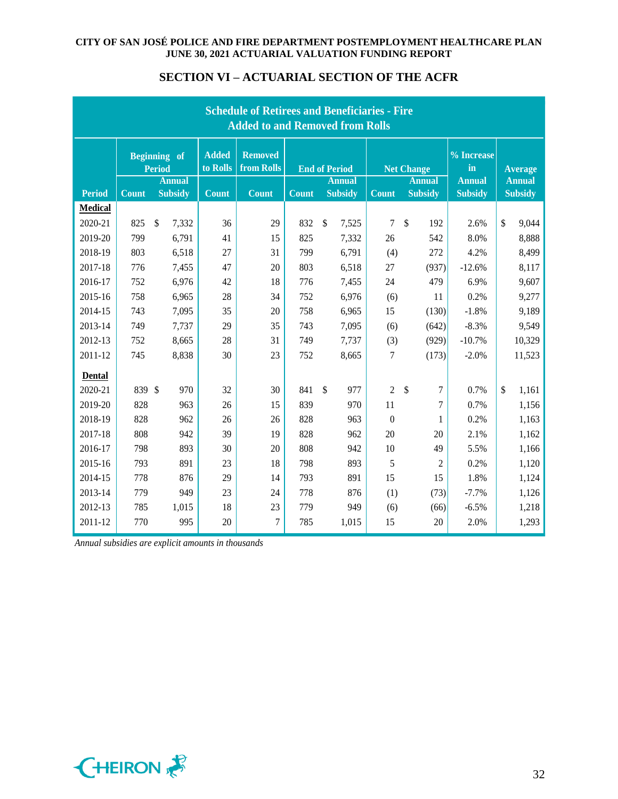| <b>SECTION VI – ACTUARIAL SECTION OF THE ACFR</b> |  |  |  |  |  |
|---------------------------------------------------|--|--|--|--|--|
|---------------------------------------------------|--|--|--|--|--|

|                | <b>Schedule of Retirees and Beneficiaries - Fire</b><br><b>Added to and Removed from Rolls</b> |                                 |                          |                              |                                           |                                 |                    |                                 |                                 |                                 |  |  |  |  |
|----------------|------------------------------------------------------------------------------------------------|---------------------------------|--------------------------|------------------------------|-------------------------------------------|---------------------------------|--------------------|---------------------------------|---------------------------------|---------------------------------|--|--|--|--|
|                |                                                                                                | <b>Beginning</b> of<br>Period   | <b>Added</b><br>to Rolls | <b>Removed</b><br>from Rolls | <b>End of Period</b><br><b>Net Change</b> |                                 | $%$ Increase<br>in | <b>Average</b>                  |                                 |                                 |  |  |  |  |
| <b>Period</b>  | <b>Count</b>                                                                                   | <b>Annual</b><br><b>Subsidy</b> | <b>Count</b>             | <b>Count</b>                 | <b>Count</b>                              | <b>Annual</b><br><b>Subsidy</b> | <b>Count</b>       | <b>Annual</b><br><b>Subsidy</b> | <b>Annual</b><br><b>Subsidy</b> | <b>Annual</b><br><b>Subsidy</b> |  |  |  |  |
| <b>Medical</b> |                                                                                                |                                 |                          |                              |                                           |                                 |                    |                                 |                                 |                                 |  |  |  |  |
| 2020-21        | 825                                                                                            | $\mathbb{S}$<br>7,332           | 36                       | 29                           | 832                                       | $\mathcal{S}$<br>7,525          | $\overline{7}$     | \$<br>192                       | 2.6%                            | \$<br>9,044                     |  |  |  |  |
| 2019-20        | 799                                                                                            | 6,791                           | 41                       | 15                           | 825                                       | 7,332                           | 26                 | 542                             | 8.0%                            | 8,888                           |  |  |  |  |
| 2018-19        | 803                                                                                            | 6,518                           | 27                       | 31                           | 799                                       | 6,791                           | (4)                | 272                             | 4.2%                            | 8,499                           |  |  |  |  |
| 2017-18        | 776                                                                                            | 7,455                           | 47                       | 20                           | 803                                       | 6,518                           | 27                 | (937)                           | $-12.6%$                        | 8,117                           |  |  |  |  |
| 2016-17        | 752                                                                                            | 6,976                           | 42                       | 18                           | 776                                       | 7,455                           | 24                 | 479                             | 6.9%                            | 9,607                           |  |  |  |  |
| 2015-16        | 758                                                                                            | 6,965                           | 28                       | 34                           | 752                                       | 6,976                           | (6)                | 11                              | 0.2%                            | 9,277                           |  |  |  |  |
| 2014-15        | 743                                                                                            | 7,095                           | 35                       | 20                           | 758                                       | 6,965                           | 15                 | (130)                           | $-1.8%$                         | 9,189                           |  |  |  |  |
| 2013-14        | 749                                                                                            | 7,737                           | 29                       | 35                           | 743                                       | 7,095                           | (6)                | (642)                           | $-8.3%$                         | 9,549                           |  |  |  |  |
| 2012-13        | 752                                                                                            | 8,665                           | 28                       | 31                           | 749                                       | 7,737                           | (3)                | (929)                           | $-10.7%$                        | 10,329                          |  |  |  |  |
| 2011-12        | 745                                                                                            | 8,838                           | 30                       | 23                           | 752                                       | 8,665                           | 7                  | (173)                           | $-2.0%$                         | 11,523                          |  |  |  |  |
| <b>Dental</b>  |                                                                                                |                                 |                          |                              |                                           |                                 |                    |                                 |                                 |                                 |  |  |  |  |
| 2020-21        | 839                                                                                            | $\mathcal{S}$<br>970            | 32                       | 30                           | 841                                       | $\mathcal{S}$<br>977            | $\overline{2}$     | \$<br>7                         | 0.7%                            | \$<br>1,161                     |  |  |  |  |
| 2019-20        | 828                                                                                            | 963                             | 26                       | 15                           | 839                                       | 970                             | 11                 | 7                               | 0.7%                            | 1,156                           |  |  |  |  |
| 2018-19        | 828                                                                                            | 962                             | 26                       | 26                           | 828                                       | 963                             | $\boldsymbol{0}$   | 1                               | 0.2%                            | 1,163                           |  |  |  |  |
| 2017-18        | 808                                                                                            | 942                             | 39                       | 19                           | 828                                       | 962                             | 20                 | 20                              | 2.1%                            | 1,162                           |  |  |  |  |
| 2016-17        | 798                                                                                            | 893                             | 30                       | 20                           | 808                                       | 942                             | 10                 | 49                              | 5.5%                            | 1,166                           |  |  |  |  |
| 2015-16        | 793                                                                                            | 891                             | 23                       | 18                           | 798                                       | 893                             | 5                  | $\overline{2}$                  | 0.2%                            | 1,120                           |  |  |  |  |
| 2014-15        | 778                                                                                            | 876                             | 29                       | 14                           | 793                                       | 891                             | 15                 | 15                              | 1.8%                            | 1,124                           |  |  |  |  |
| 2013-14        | 779                                                                                            | 949                             | 23                       | 24                           | 778                                       | 876                             | (1)                | (73)                            | $-7.7%$                         | 1,126                           |  |  |  |  |
| 2012-13        | 785                                                                                            | 1,015                           | 18                       | 23                           | 779                                       | 949                             | (6)                | (66)                            | $-6.5%$                         | 1,218                           |  |  |  |  |
| 2011-12        | 770                                                                                            | 995                             | 20                       | 7                            | 785                                       | 1,015                           | 15                 | 20                              | 2.0%                            | 1,293                           |  |  |  |  |

*Annual subsidies are explicit amounts in thousands*

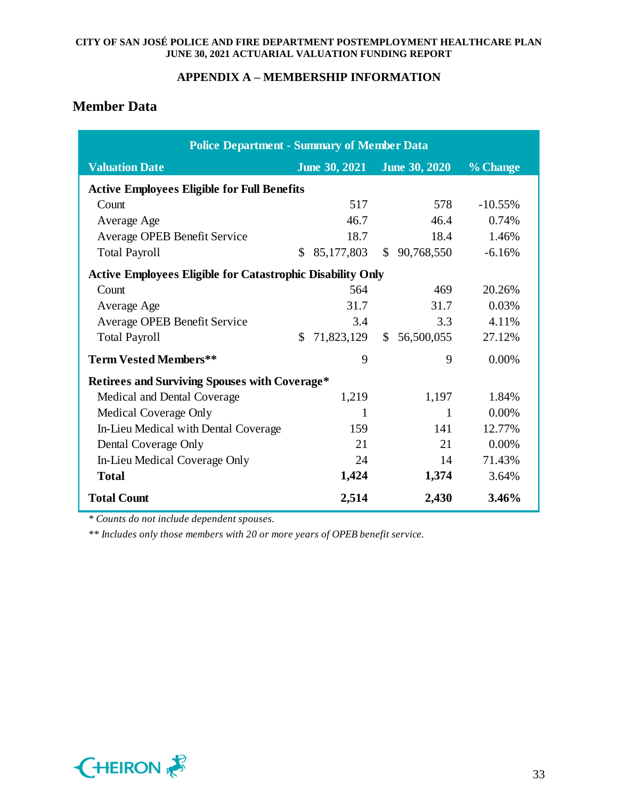## **APPENDIX A – MEMBERSHIP INFORMATION**

# **Member Data**

| <b>Police Department - Summary of Member Data</b>                 |                                              |            |              |              |           |
|-------------------------------------------------------------------|----------------------------------------------|------------|--------------|--------------|-----------|
| <b>Valuation Date</b>                                             | <b>June 30, 2021</b><br><b>June 30, 2020</b> |            |              |              | % Change  |
| <b>Active Employees Eligible for Full Benefits</b>                |                                              |            |              |              |           |
| Count                                                             |                                              | 517        |              | 578          | $-10.55%$ |
| Average Age                                                       |                                              | 46.7       |              | 46.4         | 0.74%     |
| Average OPEB Benefit Service                                      |                                              | 18.7       |              | 18.4         | 1.46%     |
| <b>Total Payroll</b>                                              | \$                                           | 85,177,803 |              | \$90,768,550 | $-6.16%$  |
| <b>Active Employees Eligible for Catastrophic Disability Only</b> |                                              |            |              |              |           |
| Count                                                             |                                              | 564        |              | 469          | 20.26%    |
| Average Age                                                       |                                              | 31.7       |              | 31.7         | 0.03%     |
| Average OPEB Benefit Service                                      |                                              | 3.4        |              | 3.3          | 4.11%     |
| <b>Total Payroll</b>                                              | \$                                           | 71,823,129 | $\mathbb{S}$ | 56,500,055   | 27.12%    |
| <b>Term Vested Members**</b>                                      |                                              | 9          |              | 9            | 0.00%     |
| <b>Retirees and Surviving Spouses with Coverage*</b>              |                                              |            |              |              |           |
| Medical and Dental Coverage                                       |                                              | 1,219      |              | 1,197        | 1.84%     |
| Medical Coverage Only                                             |                                              | 1          |              | 1            | 0.00%     |
| In-Lieu Medical with Dental Coverage                              |                                              | 159        |              | 141          | 12.77%    |
| Dental Coverage Only                                              |                                              | 21         |              | 21           | 0.00%     |
| In-Lieu Medical Coverage Only                                     |                                              | 24         |              | 14           | 71.43%    |
| <b>Total</b>                                                      |                                              | 1,424      |              | 1,374        | 3.64%     |
| <b>Total Count</b>                                                |                                              | 2,514      |              | 2,430        | 3.46%     |

*\* Counts do not include dependent spouses.*

*\*\* Includes only those members with 20 or more years of OPEB benefit service.*

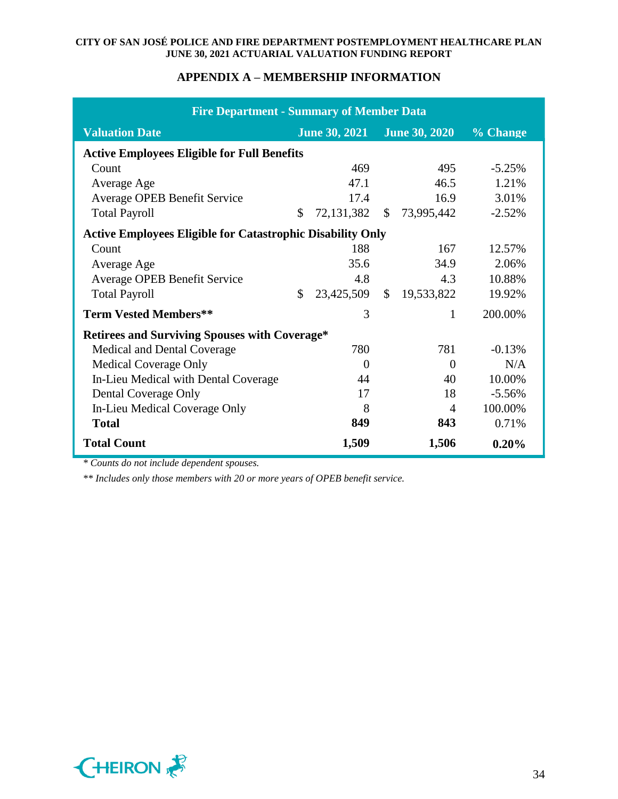## **APPENDIX A – MEMBERSHIP INFORMATION**

| <b>Fire Department - Summary of Member Data</b>                   |    |                             |               |            |          |  |  |  |  |  |
|-------------------------------------------------------------------|----|-----------------------------|---------------|------------|----------|--|--|--|--|--|
| <b>Valuation Date</b>                                             |    | June 30, 2021 June 30, 2020 |               |            | % Change |  |  |  |  |  |
| <b>Active Employees Eligible for Full Benefits</b>                |    |                             |               |            |          |  |  |  |  |  |
| Count                                                             |    | 469                         |               | 495        | $-5.25%$ |  |  |  |  |  |
| Average Age                                                       |    | 47.1                        |               | 46.5       | 1.21%    |  |  |  |  |  |
| Average OPEB Benefit Service                                      |    | 17.4                        |               | 16.9       | 3.01%    |  |  |  |  |  |
| <b>Total Payroll</b>                                              | \$ | 72,131,382                  | $\mathbb{S}$  | 73,995,442 | $-2.52%$ |  |  |  |  |  |
| <b>Active Employees Eligible for Catastrophic Disability Only</b> |    |                             |               |            |          |  |  |  |  |  |
| Count                                                             |    | 188                         |               | 167        | 12.57%   |  |  |  |  |  |
| Average Age                                                       |    | 35.6                        |               | 34.9       | 2.06%    |  |  |  |  |  |
| Average OPEB Benefit Service                                      |    | 4.8                         |               | 4.3        | 10.88%   |  |  |  |  |  |
| <b>Total Payroll</b>                                              | \$ | 23,425,509                  | $\mathcal{S}$ | 19,533,822 | 19.92%   |  |  |  |  |  |
| <b>Term Vested Members**</b>                                      |    | 3                           |               | 1          | 200.00%  |  |  |  |  |  |
| <b>Retirees and Surviving Spouses with Coverage*</b>              |    |                             |               |            |          |  |  |  |  |  |
| Medical and Dental Coverage                                       |    | 780                         |               | 781        | $-0.13%$ |  |  |  |  |  |
| <b>Medical Coverage Only</b>                                      |    | $\Omega$                    |               | $\theta$   | N/A      |  |  |  |  |  |
| In-Lieu Medical with Dental Coverage                              |    | 44                          |               | 40         | 10.00%   |  |  |  |  |  |
| Dental Coverage Only                                              |    | 17                          |               | 18         | $-5.56%$ |  |  |  |  |  |
| In-Lieu Medical Coverage Only                                     |    | 8                           |               | 4          | 100.00%  |  |  |  |  |  |
| <b>Total</b>                                                      |    | 849                         |               | 843        | 0.71%    |  |  |  |  |  |
| <b>Total Count</b>                                                |    | 1,509                       |               | 1,506      | 0.20%    |  |  |  |  |  |

*\* Counts do not include dependent spouses.*

*\*\* Includes only those members with 20 or more years of OPEB benefit service.*

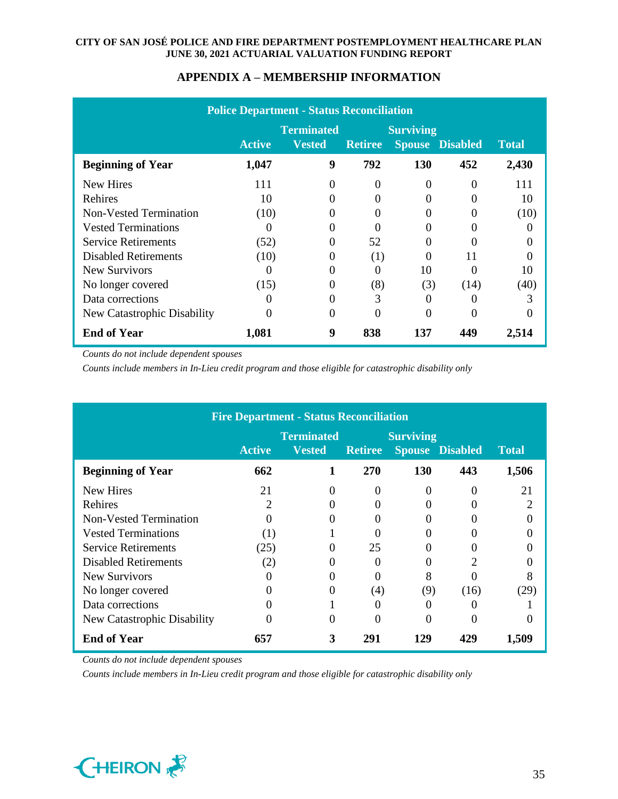|                             |               | <b>Police Department - Status Reconciliation</b> |                |                  |                        |              |
|-----------------------------|---------------|--------------------------------------------------|----------------|------------------|------------------------|--------------|
|                             |               | <b>Terminated</b>                                |                | <b>Surviving</b> |                        |              |
|                             | <b>Active</b> | <b>Vested</b>                                    | <b>Retiree</b> |                  | <b>Spouse Disabled</b> | <b>Total</b> |
| <b>Beginning of Year</b>    | 1,047         | 9                                                | 792            | 130              | 452                    | 2,430        |
| New Hires                   | 111           | 0                                                |                | $\Omega$         | $\mathbf{0}$           | 111          |
| Rehires                     | 10            | 0                                                |                |                  |                        | 10           |
| Non-Vested Termination      | (10)          | 0                                                |                |                  |                        | (10)         |
| <b>Vested Terminations</b>  | $\theta$      |                                                  |                |                  |                        |              |
| <b>Service Retirements</b>  | (52)          | 0                                                | 52             |                  |                        |              |
| <b>Disabled Retirements</b> | (10)          |                                                  | (1)            |                  | 11                     |              |
| New Survivors               | $\theta$      | 0                                                | 0              | 10               |                        | 10           |
| No longer covered           | (15)          | 0                                                | (8)            | (3)              | (14)                   | (40)         |
| Data corrections            |               | 0                                                | 3              |                  |                        | 3            |
| New Catastrophic Disability | 0             | 0                                                |                | 0                |                        |              |
| <b>End of Year</b>          | 1,081         | 9                                                | 838            | 137              | 449                    | 2,514        |

*Counts do not include dependent spouses*

*Counts include members in In-Lieu credit program and those eligible for catastrophic disability only*

|                               |               | <b>Fire Department - Status Reconciliation</b> |                |                  |                        |              |
|-------------------------------|---------------|------------------------------------------------|----------------|------------------|------------------------|--------------|
|                               |               | <b>Terminated</b>                              |                | <b>Surviving</b> |                        |              |
|                               | <b>Active</b> | <b>Vested</b>                                  | <b>Retiree</b> |                  | <b>Spouse Disabled</b> | <b>Total</b> |
| <b>Beginning of Year</b>      | 662           |                                                | 270            | 130              | 443                    | 1,506        |
| <b>New Hires</b>              | 21            |                                                | 0              |                  |                        | 21           |
| Rehires                       | 2             |                                                |                |                  |                        | 2            |
| <b>Non-Vested Termination</b> |               |                                                | 0              |                  |                        |              |
| <b>Vested Terminations</b>    | (1)           |                                                |                |                  |                        |              |
| <b>Service Retirements</b>    | (25)          |                                                | 25             |                  |                        |              |
| <b>Disabled Retirements</b>   | (2)           |                                                | 0              | 0                |                        |              |
| New Survivors                 |               |                                                | 0              | 8                |                        | 8            |
| No longer covered             |               |                                                | (4)            | (9)              | (16)                   | (29)         |
| Data corrections              |               |                                                | 0              | 0                |                        |              |
| New Catastrophic Disability   |               |                                                | 0              | 0                |                        |              |
| <b>End of Year</b>            | 657           | 3                                              | 291            | 129              | 429                    | 1,509        |

*Counts do not include dependent spouses*

*Counts include members in In-Lieu credit program and those eligible for catastrophic disability only*

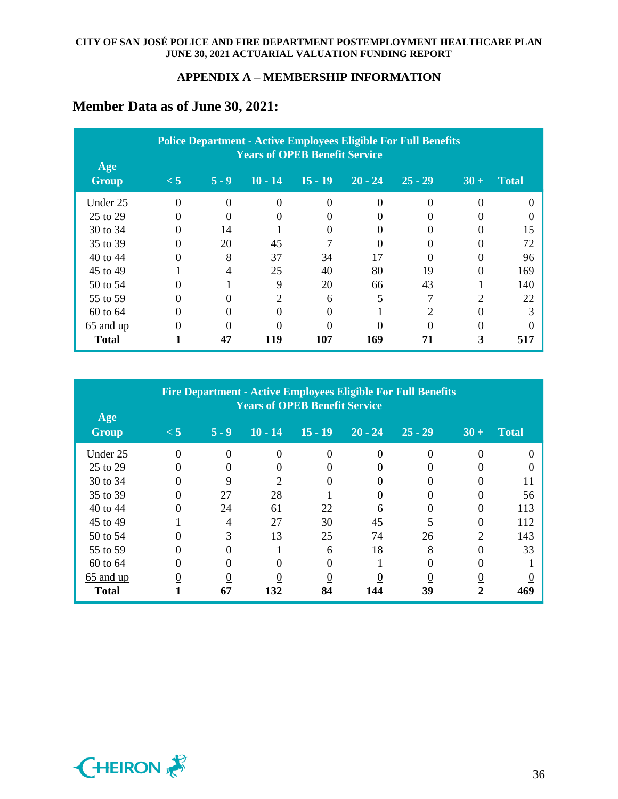# **Member Data as of June 30, 2021:**

| Age          |                |          |                             | <b>Years of OPEB Benefit Service</b> |           | <b>Police Department - Active Employees Eligible For Full Benefits</b> |                             |              |
|--------------|----------------|----------|-----------------------------|--------------------------------------|-----------|------------------------------------------------------------------------|-----------------------------|--------------|
| <b>Group</b> | $\leq 5$       | $5 - 9$  | $10 - 14$                   | $15 - 19$                            | $20 - 24$ | $25 - 29$                                                              | $30 +$                      | <b>Total</b> |
| Under 25     | $\Omega$       | $\Omega$ | $\Omega$                    | $\Omega$                             | $\Omega$  | $\Omega$                                                               |                             |              |
| 25 to 29     | 0              |          |                             |                                      |           |                                                                        |                             |              |
| 30 to 34     | $\Omega$       | 14       |                             | 0                                    |           |                                                                        |                             | 15           |
| 35 to 39     | 0              | 20       | 45                          |                                      | $\Omega$  |                                                                        |                             | 72           |
| 40 to 44     | 0              | 8        | 37                          | 34                                   | 17        |                                                                        |                             | 96           |
| 45 to 49     |                | 4        | 25                          | 40                                   | 80        | 19                                                                     |                             | 169          |
| 50 to 54     | 0              |          | 9                           | 20                                   | 66        | 43                                                                     |                             | 140          |
| 55 to 59     | 0              |          | $\mathcal{D}_{\mathcal{L}}$ | 6                                    |           | 7                                                                      | $\mathcal{D}_{\mathcal{L}}$ | 22           |
| 60 to 64     |                |          |                             |                                      |           |                                                                        |                             | 3            |
| $65$ and up  | $\overline{0}$ | 0        |                             |                                      |           |                                                                        |                             |              |
| <b>Total</b> |                | 47       | 119                         | 107                                  | 169       | 71                                                                     | 3                           | 517          |

| Age          |                |          | <b>Years of OPEB Benefit Service</b> |           |           | <b>Fire Department - Active Employees Eligible For Full Benefits</b> |                |              |
|--------------|----------------|----------|--------------------------------------|-----------|-----------|----------------------------------------------------------------------|----------------|--------------|
| <b>Group</b> | $\lt 5$        | $5 - 9$  | $10 - 14$                            | $15 - 19$ | $20 - 24$ | $25 - 29$                                                            | $30 +$         | <b>Total</b> |
| Under 25     | $\Omega$       | $\Omega$ | $\Omega$                             | $\Omega$  | $\Omega$  | $\Omega$                                                             | 0              | $\Omega$     |
| 25 to 29     | $\Omega$       |          |                                      |           |           |                                                                      |                |              |
| 30 to 34     |                |          | $\mathfrak{D}$                       |           |           |                                                                      |                | 11           |
| 35 to 39     | 0              | 27       | 28                                   |           | 0         | 0                                                                    |                | 56           |
| 40 to 44     |                | 24       | 61                                   | 22        | 6         | 0                                                                    |                | 113          |
| 45 to 49     |                | 4        | 27                                   | 30        | 45        |                                                                      |                | 112          |
| 50 to 54     | 0              | 3        | 13                                   | 25        | 74        | 26                                                                   | 2              | 143          |
| 55 to 59     |                |          |                                      | 6         | 18        | 8                                                                    |                | 33           |
| 60 to 64     |                |          |                                      |           |           |                                                                      |                |              |
| $65$ and up  | $\overline{0}$ | 0        | $\theta$                             | $\theta$  |           | 0                                                                    | $\overline{0}$ |              |
| <b>Total</b> |                | 67       | 132                                  | 84        | 144       | 39                                                                   | 2              | 469          |

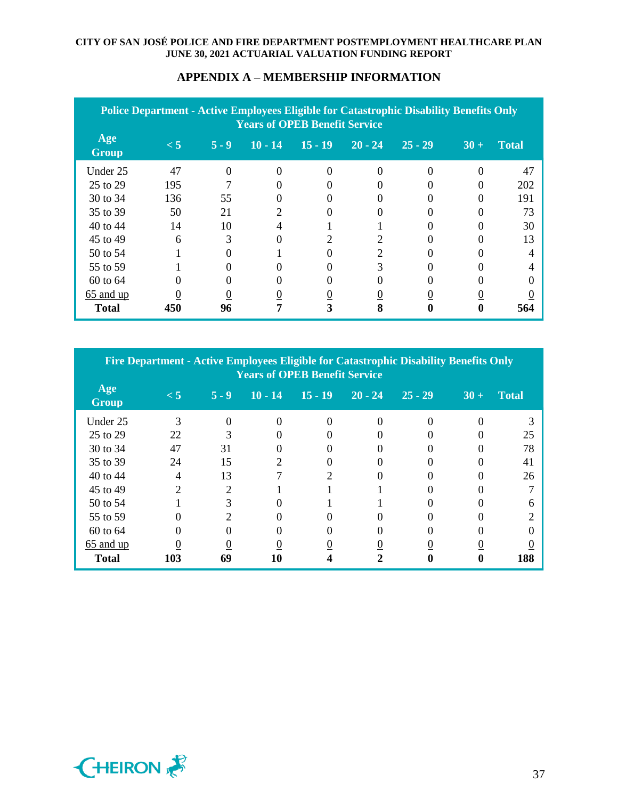| Police Department - Active Employees Eligible for Catastrophic Disability Benefits Only<br><b>Years of OPEB Benefit Service</b> |          |         |                |                |                |                |        |              |  |  |  |
|---------------------------------------------------------------------------------------------------------------------------------|----------|---------|----------------|----------------|----------------|----------------|--------|--------------|--|--|--|
| Age<br><b>Group</b>                                                                                                             | $\leq 5$ | $5 - 9$ | $10 - 14$      | $15 - 19$      | $20 - 24$      | $25 - 29$      | $30 +$ | <b>Total</b> |  |  |  |
| Under 25                                                                                                                        | 47       | 0       | 0              | 0              |                |                |        | 47           |  |  |  |
| 25 to 29                                                                                                                        | 195      |         | 0              |                |                |                |        | 202          |  |  |  |
| 30 to 34                                                                                                                        | 136      | 55      |                |                |                |                |        | 191          |  |  |  |
| 35 to 39                                                                                                                        | 50       | 21      | 2              |                |                |                |        | 73           |  |  |  |
| 40 to 44                                                                                                                        | 14       | 10      | 4              |                |                |                |        | 30           |  |  |  |
| 45 to 49                                                                                                                        | 6        | 3       |                | 2              | 2              |                |        | 13           |  |  |  |
| 50 to 54                                                                                                                        |          |         |                |                | 2              |                |        | 4            |  |  |  |
| 55 to 59                                                                                                                        |          |         |                |                | 3              |                |        | 4            |  |  |  |
| 60 to 64                                                                                                                        |          |         |                |                |                |                |        |              |  |  |  |
| 65 and up                                                                                                                       |          |         | $\overline{0}$ | $\overline{0}$ | $\overline{0}$ | $\overline{0}$ |        |              |  |  |  |
| <b>Total</b>                                                                                                                    | 450      | 96      | 7              | 3              | 8              | 0              |        | 564          |  |  |  |

## **APPENDIX A – MEMBERSHIP INFORMATION**

| Fire Department - Active Employees Eligible for Catastrophic Disability Benefits Only<br><b>Years of OPEB Benefit Service</b> |                |                       |           |           |           |           |        |              |  |  |  |
|-------------------------------------------------------------------------------------------------------------------------------|----------------|-----------------------|-----------|-----------|-----------|-----------|--------|--------------|--|--|--|
| Age<br><b>Group</b>                                                                                                           | $\leq 5$       | $5 - 9$               | $10 - 14$ | $15 - 19$ | $20 - 24$ | $25 - 29$ | $30 +$ | <b>Total</b> |  |  |  |
| Under 25                                                                                                                      | 3              | $\Omega$              | $\Omega$  | $\Omega$  | $\Omega$  | 0         |        |              |  |  |  |
| 25 to 29                                                                                                                      | 22             | 3                     |           |           |           |           |        | 25           |  |  |  |
| 30 to 34                                                                                                                      | 47             | 31                    |           |           |           |           |        | 78           |  |  |  |
| 35 to 39                                                                                                                      | 24             | 15                    | 2         |           |           |           |        | 41           |  |  |  |
| 40 to 44                                                                                                                      | 4              | 13                    |           |           |           |           |        | 26           |  |  |  |
| 45 to 49                                                                                                                      | $\mathfrak{D}$ | $\mathfrak{D}$        |           |           |           |           |        |              |  |  |  |
| 50 to 54                                                                                                                      |                | 3                     |           |           |           |           |        |              |  |  |  |
| 55 to 59                                                                                                                      |                | $\mathcal{D}_{\cdot}$ |           |           |           |           |        |              |  |  |  |
| 60 to 64                                                                                                                      |                |                       |           |           |           |           |        |              |  |  |  |
| 65 and up                                                                                                                     | $\theta$       | $\overline{0}$        |           |           |           |           |        |              |  |  |  |
| <b>Total</b>                                                                                                                  | 103            | 69                    | 10        |           |           |           |        | 188          |  |  |  |

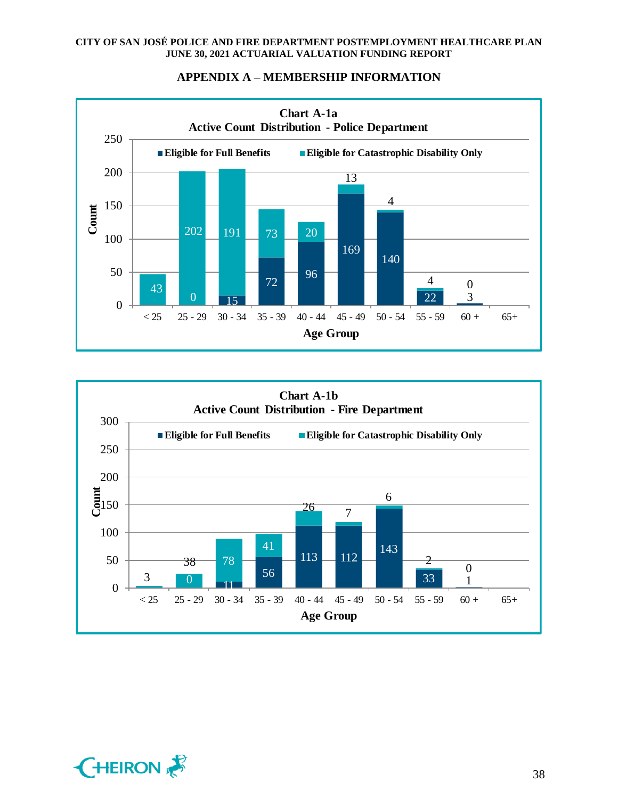



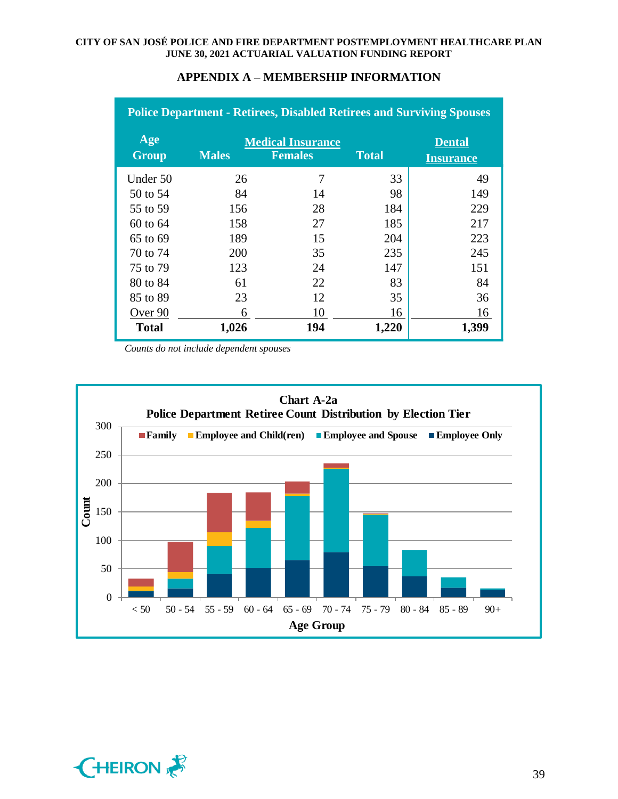| <b>Police Department - Retirees, Disabled Retirees and Surviving Spouses</b> |              |                                            |              |                                   |  |
|------------------------------------------------------------------------------|--------------|--------------------------------------------|--------------|-----------------------------------|--|
| Age<br><b>Group</b>                                                          | <b>Males</b> | <b>Medical Insurance</b><br><b>Females</b> | <b>Total</b> | <b>Dental</b><br><b>Insurance</b> |  |
| Under 50                                                                     | 26           | 7                                          | 33           | 49                                |  |
| 50 to 54                                                                     | 84           | 14                                         | 98           | 149                               |  |
| 55 to 59                                                                     | 156          | 28                                         | 184          | 229                               |  |
| 60 to 64                                                                     | 158          | 27                                         | 185          | 217                               |  |
| 65 to 69                                                                     | 189          | 15                                         | 204          | 223                               |  |
| 70 to 74                                                                     | 200          | 35                                         | 235          | 245                               |  |
| 75 to 79                                                                     | 123          | 24                                         | 147          | 151                               |  |
| 80 to 84                                                                     | 61           | 22                                         | 83           | 84                                |  |
| 85 to 89                                                                     | 23           | 12                                         | 35           | 36                                |  |
| Over 90                                                                      | 6            | 10                                         | 16           | 16                                |  |
| <b>Total</b>                                                                 | 1,026        | 194                                        | 1,220        | 1,399                             |  |

*Counts do not include dependent spouses*



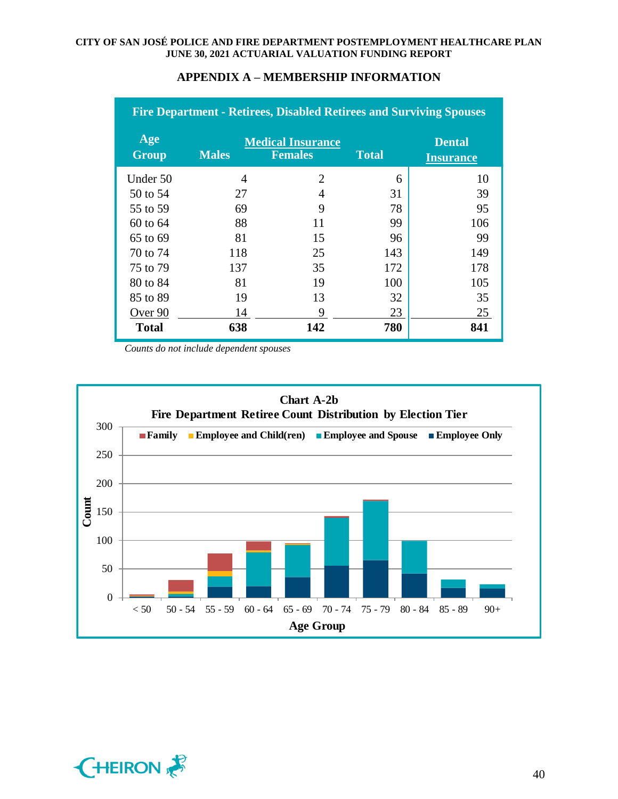| <b>Fire Department - Retirees, Disabled Retirees and Surviving Spouses</b> |              |                                            |              |                                   |  |
|----------------------------------------------------------------------------|--------------|--------------------------------------------|--------------|-----------------------------------|--|
| Age<br><b>Group</b>                                                        | <b>Males</b> | <b>Medical Insurance</b><br><b>Females</b> | <b>Total</b> | <b>Dental</b><br><b>Insurance</b> |  |
| Under 50                                                                   | 4            | $\mathcal{D}_{\mathcal{L}}$                | 6            | 10                                |  |
| 50 to 54                                                                   | 27           | 4                                          | 31           | 39                                |  |
| 55 to 59                                                                   | 69           | 9                                          | 78           | 95                                |  |
| 60 to 64                                                                   | 88           | 11                                         | 99           | 106                               |  |
| 65 to 69                                                                   | 81           | 15                                         | 96           | 99                                |  |
| 70 to 74                                                                   | 118          | 25                                         | 143          | 149                               |  |
| 75 to 79                                                                   | 137          | 35                                         | 172          | 178                               |  |
| 80 to 84                                                                   | 81           | 19                                         | 100          | 105                               |  |
| 85 to 89                                                                   | 19           | 13                                         | 32           | 35                                |  |
| Over 90                                                                    | 14           | 9                                          | 23           | 25                                |  |
| <b>Total</b>                                                               | 638          | 142                                        | 780          | 841                               |  |

*Counts do not include dependent spouses*



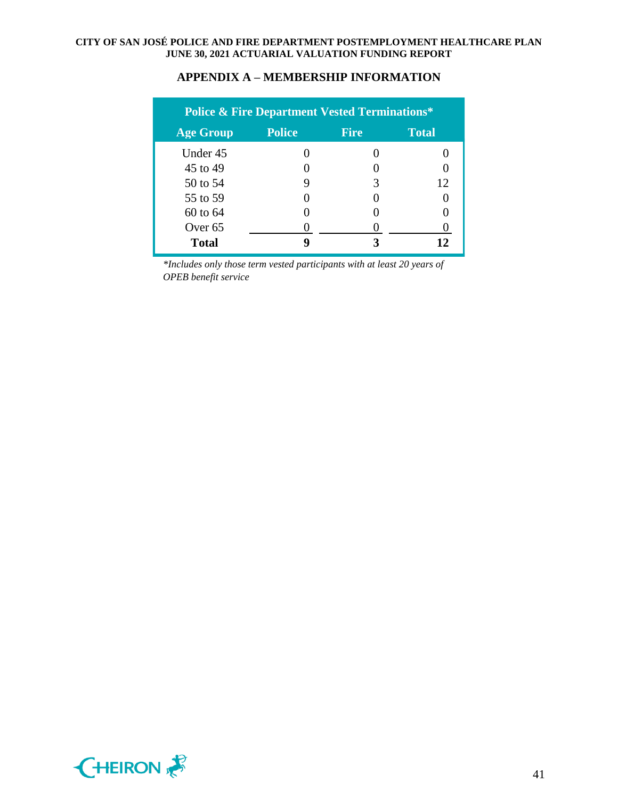| <b>Police &amp; Fire Department Vested Terminations*</b> |               |             |                   |  |  |
|----------------------------------------------------------|---------------|-------------|-------------------|--|--|
| <b>Age Group</b>                                         | <b>Police</b> | <b>Fire</b> | <b>Total</b>      |  |  |
| Under 45                                                 |               |             |                   |  |  |
| 45 to 49                                                 |               |             | $\mathbf{\Omega}$ |  |  |
| 50 to 54                                                 | 9             | 3           | 12                |  |  |
| 55 to 59                                                 |               |             |                   |  |  |
| 60 to 64                                                 |               |             |                   |  |  |
| Over <sub>65</sub>                                       |               |             |                   |  |  |
| <b>Total</b>                                             | o             |             | 12                |  |  |

*\*Includes only those term vested participants with at least 20 years of OPEB benefit service*

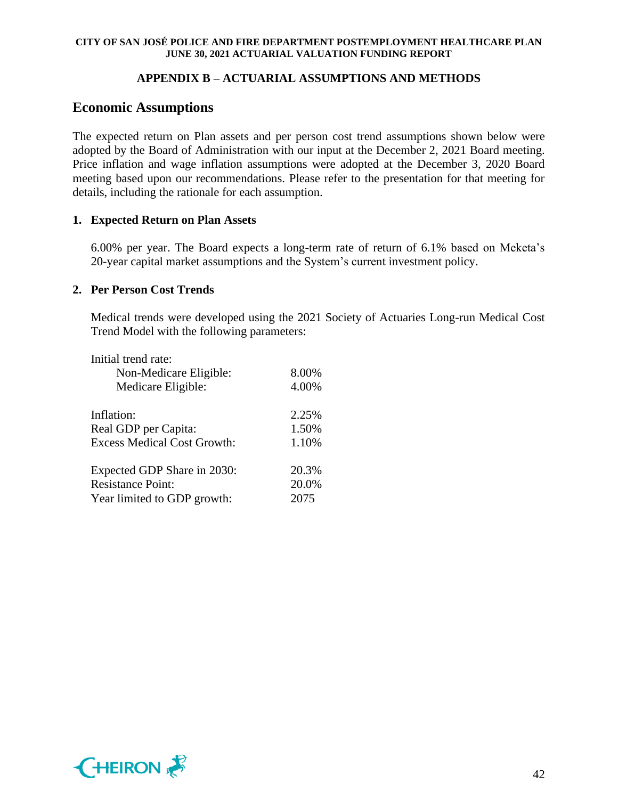## **APPENDIX B – ACTUARIAL ASSUMPTIONS AND METHODS**

# **Economic Assumptions**

The expected return on Plan assets and per person cost trend assumptions shown below were adopted by the Board of Administration with our input at the December 2, 2021 Board meeting. Price inflation and wage inflation assumptions were adopted at the December 3, 2020 Board meeting based upon our recommendations. Please refer to the presentation for that meeting for details, including the rationale for each assumption.

## **1. Expected Return on Plan Assets**

6.00% per year. The Board expects a long-term rate of return of 6.1% based on Meketa's 20-year capital market assumptions and the System's current investment policy.

## **2. Per Person Cost Trends**

Medical trends were developed using the 2021 Society of Actuaries Long-run Medical Cost Trend Model with the following parameters:

| Initial trend rate:                |       |
|------------------------------------|-------|
| Non-Medicare Eligible:             | 8.00% |
| Medicare Eligible:                 | 4.00% |
| Inflation:                         | 2.25% |
| Real GDP per Capita:               | 1.50% |
| <b>Excess Medical Cost Growth:</b> | 1.10% |
| Expected GDP Share in 2030:        | 20.3% |
| <b>Resistance Point:</b>           | 20.0% |
| Year limited to GDP growth:        | 2075  |

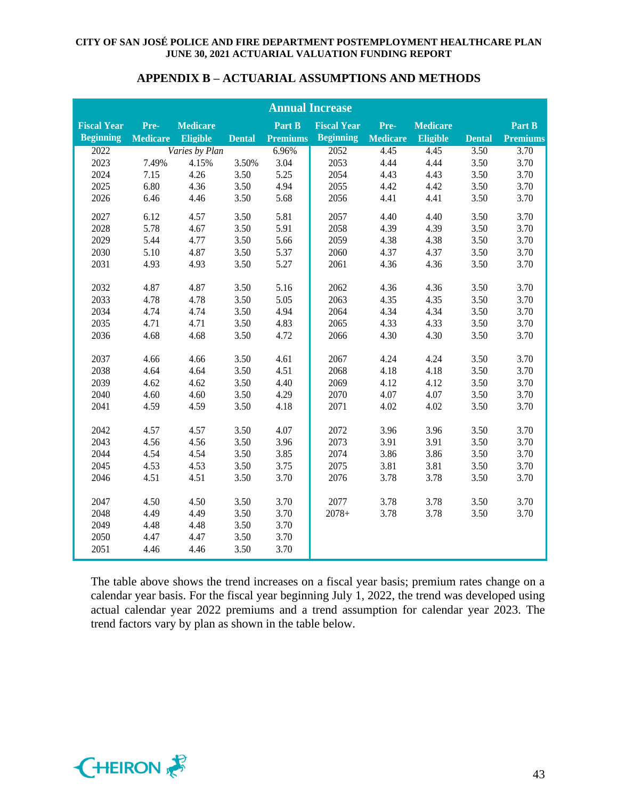| APPENDIX B – ACTUARIAL ASSUMPTIONS AND METHODS |
|------------------------------------------------|
|------------------------------------------------|

| <b>Annual Increase</b> |                 |                 |               |                 |                    |                 |                 |               |                 |
|------------------------|-----------------|-----------------|---------------|-----------------|--------------------|-----------------|-----------------|---------------|-----------------|
| <b>Fiscal Year</b>     | Pre-            | <b>Medicare</b> |               | Part B          | <b>Fiscal Year</b> | Pre-            | <b>Medicare</b> |               | Part B          |
| <b>Beginning</b>       | <b>Medicare</b> | Eligible        | <b>Dental</b> | <b>Premiums</b> | <b>Beginning</b>   | <b>Medicare</b> | Eligible        | <b>Dental</b> | <b>Premiums</b> |
| 2022                   |                 | Varies by Plan  |               | 6.96%           | 2052               | 4.45            | 4.45            | 3.50          | 3.70            |
| 2023                   | 7.49%           | 4.15%           | 3.50%         | 3.04            | 2053               | 4.44            | 4.44            | 3.50          | 3.70            |
| 2024                   | 7.15            | 4.26            | 3.50          | 5.25            | 2054               | 4.43            | 4.43            | 3.50          | 3.70            |
| 2025                   | 6.80            | 4.36            | 3.50          | 4.94            | 2055               | 4.42            | 4.42            | 3.50          | 3.70            |
| 2026                   | 6.46            | 4.46            | 3.50          | 5.68            | 2056               | 4.41            | 4.41            | 3.50          | 3.70            |
| 2027                   | 6.12            | 4.57            | 3.50          | 5.81            | 2057               | 4.40            | 4.40            | 3.50          | 3.70            |
| 2028                   | 5.78            | 4.67            | 3.50          | 5.91            | 2058               | 4.39            | 4.39            | 3.50          | 3.70            |
| 2029                   | 5.44            | 4.77            | 3.50          | 5.66            | 2059               | 4.38            | 4.38            | 3.50          | 3.70            |
| 2030                   | 5.10            | 4.87            | 3.50          | 5.37            | 2060               | 4.37            | 4.37            | 3.50          | 3.70            |
| 2031                   | 4.93            | 4.93            | 3.50          | 5.27            | 2061               | 4.36            | 4.36            | 3.50          | 3.70            |
| 2032                   | 4.87            | 4.87            | 3.50          | 5.16            | 2062               | 4.36            | 4.36            | 3.50          | 3.70            |
| 2033                   | 4.78            | 4.78            | 3.50          | 5.05            | 2063               | 4.35            | 4.35            | 3.50          | 3.70            |
| 2034                   | 4.74            | 4.74            | 3.50          | 4.94            | 2064               | 4.34            | 4.34            | 3.50          | 3.70            |
| 2035                   | 4.71            | 4.71            | 3.50          | 4.83            | 2065               | 4.33            | 4.33            | 3.50          | 3.70            |
| 2036                   | 4.68            | 4.68            | 3.50          | 4.72            | 2066               | 4.30            | 4.30            | 3.50          | 3.70            |
|                        |                 |                 |               |                 |                    |                 |                 |               |                 |
| 2037                   | 4.66            | 4.66            | 3.50          | 4.61            | 2067               | 4.24            | 4.24            | 3.50          | 3.70            |
| 2038                   | 4.64            | 4.64            | 3.50          | 4.51            | 2068               | 4.18            | 4.18            | 3.50          | 3.70            |
| 2039                   | 4.62            | 4.62            | 3.50          | 4.40            | 2069               | 4.12            | 4.12            | 3.50          | 3.70            |
| 2040                   | 4.60            | 4.60            | 3.50          | 4.29            | 2070               | 4.07            | 4.07            | 3.50          | 3.70            |
| 2041                   | 4.59            | 4.59            | 3.50          | 4.18            | 2071               | 4.02            | 4.02            | 3.50          | 3.70            |
| 2042                   | 4.57            | 4.57            | 3.50          | 4.07            | 2072               | 3.96            | 3.96            | 3.50          | 3.70            |
| 2043                   | 4.56            | 4.56            | 3.50          | 3.96            | 2073               | 3.91            | 3.91            | 3.50          | 3.70            |
| 2044                   | 4.54            | 4.54            | 3.50          | 3.85            | 2074               | 3.86            | 3.86            | 3.50          | 3.70            |
| 2045                   | 4.53            | 4.53            | 3.50          | 3.75            | 2075               | 3.81            | 3.81            | 3.50          | 3.70            |
| 2046                   | 4.51            | 4.51            | 3.50          | 3.70            | 2076               | 3.78            | 3.78            | 3.50          | 3.70            |
|                        |                 |                 |               |                 |                    |                 |                 |               |                 |
| 2047                   | 4.50            | 4.50            | 3.50          | 3.70            | 2077               | 3.78            | 3.78            | 3.50          | 3.70            |
| 2048                   | 4.49            | 4.49            | 3.50          | 3.70            | $2078+$            | 3.78            | 3.78            | 3.50          | 3.70            |
| 2049                   | 4.48            | 4.48            | 3.50          | 3.70            |                    |                 |                 |               |                 |
| 2050                   | 4.47            | 4.47            | 3.50          | 3.70            |                    |                 |                 |               |                 |
| 2051                   | 4.46            | 4.46            | 3.50          | 3.70            |                    |                 |                 |               |                 |

The table above shows the trend increases on a fiscal year basis; premium rates change on a calendar year basis. For the fiscal year beginning July 1, 2022, the trend was developed using actual calendar year 2022 premiums and a trend assumption for calendar year 2023. The trend factors vary by plan as shown in the table below.

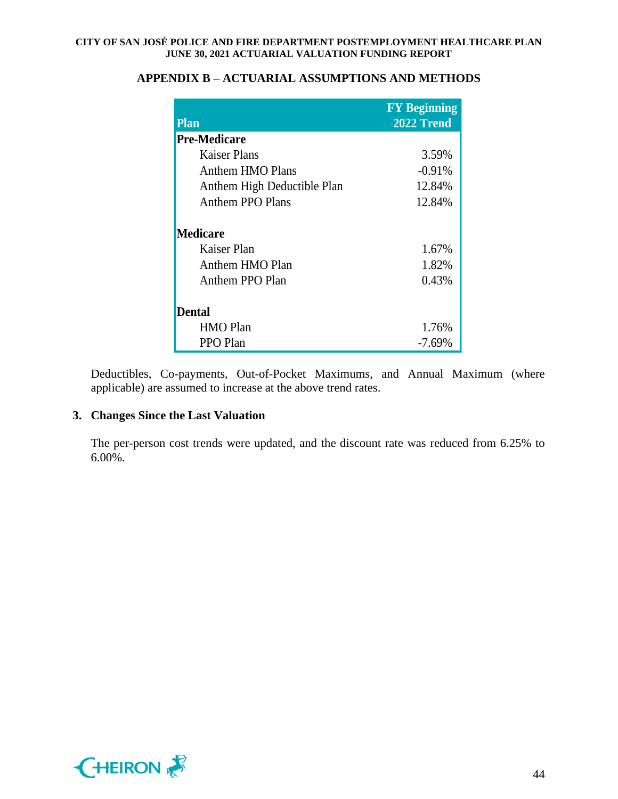| <b>Plan</b>                 | <b>FY Beginning</b><br>2022 Trend |
|-----------------------------|-----------------------------------|
| <b>Pre-Medicare</b>         |                                   |
| Kaiser Plans                | 3.59%                             |
| Anthem HMO Plans            | $-0.91%$                          |
| Anthem High Deductible Plan | 12.84%                            |
| <b>Anthem PPO Plans</b>     | 12.84%                            |
| <b>Medicare</b>             |                                   |
| Kaiser Plan                 | 1.67%                             |
| Anthem HMO Plan             | 1.82%                             |
| Anthem PPO Plan             | 0.43%                             |
| <b>Dental</b>               |                                   |
| <b>HMO</b> Plan             | 1.76%                             |
| PPO Plan                    | $-7.69%$                          |

## **APPENDIX B – ACTUARIAL ASSUMPTIONS AND METHODS**

Deductibles, Co-payments, Out-of-Pocket Maximums, and Annual Maximum (where applicable) are assumed to increase at the above trend rates.

## **3. Changes Since the Last Valuation**

The per-person cost trends were updated, and the discount rate was reduced from 6.25% to 6.00%.

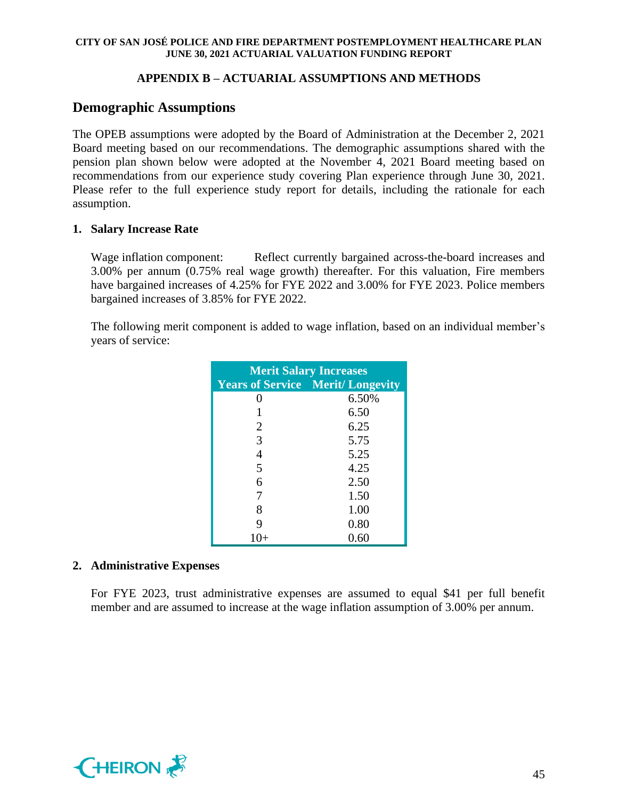## **APPENDIX B – ACTUARIAL ASSUMPTIONS AND METHODS**

# **Demographic Assumptions**

The OPEB assumptions were adopted by the Board of Administration at the December 2, 2021 Board meeting based on our recommendations. The demographic assumptions shared with the pension plan shown below were adopted at the November 4, 2021 Board meeting based on recommendations from our experience study covering Plan experience through June 30, 2021. Please refer to the full experience study report for details, including the rationale for each assumption.

## **1. Salary Increase Rate**

Wage inflation component: Reflect currently bargained across-the-board increases and 3.00% per annum (0.75% real wage growth) thereafter. For this valuation, Fire members have bargained increases of 4.25% for FYE 2022 and 3.00% for FYE 2023. Police members bargained increases of 3.85% for FYE 2022.

The following merit component is added to wage inflation, based on an individual member's years of service:

| <b>Merit Salary Increases</b> |                                         |  |  |  |  |
|-------------------------------|-----------------------------------------|--|--|--|--|
|                               | <b>Years of Service Merit/Longevity</b> |  |  |  |  |
| 0                             | 6.50%                                   |  |  |  |  |
|                               | 6.50                                    |  |  |  |  |
| 2                             | 6.25                                    |  |  |  |  |
| 3                             | 5.75                                    |  |  |  |  |
| 4                             | 5.25                                    |  |  |  |  |
| 5                             | 4.25                                    |  |  |  |  |
| 6                             | 2.50                                    |  |  |  |  |
| 7                             | 1.50                                    |  |  |  |  |
| 8                             | 1.00                                    |  |  |  |  |
| 9                             | 0.80                                    |  |  |  |  |
| $1()+$                        | 0.60                                    |  |  |  |  |

## **2. Administrative Expenses**

For FYE 2023, trust administrative expenses are assumed to equal \$41 per full benefit member and are assumed to increase at the wage inflation assumption of 3.00% per annum.

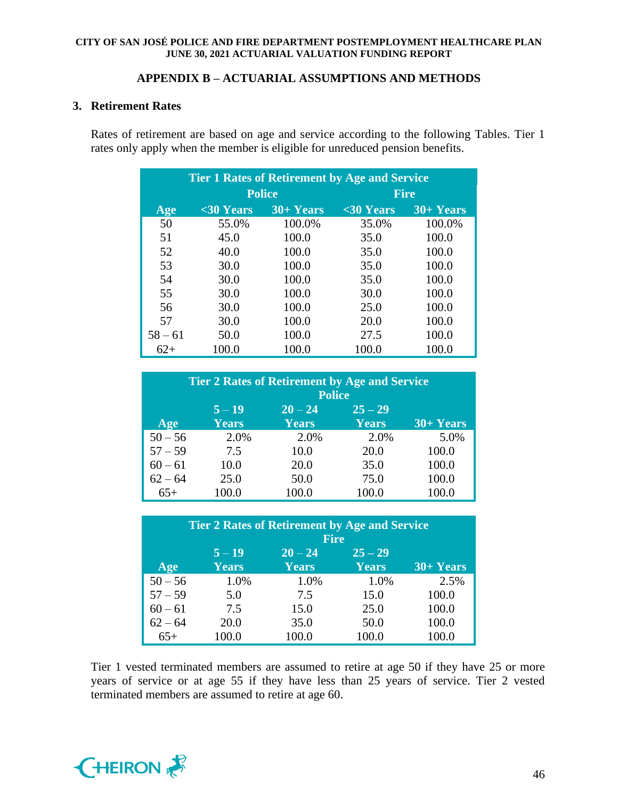### **APPENDIX B – ACTUARIAL ASSUMPTIONS AND METHODS**

### **3. Retirement Rates**

Rates of retirement are based on age and service according to the following Tables. Tier 1 rates only apply when the member is eligible for unreduced pension benefits.

| <b>Tier 1 Rates of Retirement by Age and Service</b> |               |             |            |             |  |  |
|------------------------------------------------------|---------------|-------------|------------|-------------|--|--|
|                                                      | <b>Police</b> |             |            | <b>Fire</b> |  |  |
| Age                                                  | $30 Years$    | $30+ Years$ | $30 Years$ | $30+Years$  |  |  |
| 50                                                   | 55.0%         | 100.0%      | 35.0%      | 100.0%      |  |  |
| 51                                                   | 45.0          | 100.0       | 35.0       | 100.0       |  |  |
| 52                                                   | 40.0          | 100.0       | 35.0       | 100.0       |  |  |
| 53                                                   | 30.0          | 100.0       | 35.0       | 100.0       |  |  |
| 54                                                   | 30.0          | 100.0       | 35.0       | 100.0       |  |  |
| 55                                                   | 30.0          | 100.0       | 30.0       | 100.0       |  |  |
| 56                                                   | 30.0          | 100.0       | 25.0       | 100.0       |  |  |
| 57                                                   | 30.0          | 100.0       | 20.0       | 100.0       |  |  |
| $58 - 61$                                            | 50.0          | 100.0       | 27.5       | 100.0       |  |  |
| $62+$                                                | 100.0         | 100.0       | 100.0      | 100.0       |  |  |

| <b>Tier 2 Rates of Retirement by Age and Service</b> |              |               |              |             |  |
|------------------------------------------------------|--------------|---------------|--------------|-------------|--|
|                                                      |              | <b>Police</b> |              |             |  |
|                                                      | $5 - 19$     | $20 - 24$     | $25 - 29$    |             |  |
| Age                                                  | <b>Years</b> | <b>Years</b>  | <b>Years</b> | $30+ Years$ |  |
| $50 - 56$                                            | 2.0%         | 2.0%          | 2.0%         | 5.0%        |  |
| $57 - 59$                                            | 7.5          | 10.0          | 20.0         | 100.0       |  |
| $60 - 61$                                            | 10.0         | 20.0          | 35.0         | 100.0       |  |
| $62 - 64$                                            | 25.0         | 50.0          | 75.0         | 100.0       |  |
| $65+$                                                | 100.0        | 100.0         | 100.0        | 100.0       |  |

| <b>Tier 2 Rates of Retirement by Age and Service</b><br><b>Fire</b> |                          |                           |                           |             |
|---------------------------------------------------------------------|--------------------------|---------------------------|---------------------------|-------------|
| Age                                                                 | $5 - 19$<br><b>Years</b> | $20 - 24$<br><b>Years</b> | $25 - 29$<br><b>Years</b> | $30+ Years$ |
| $50 - 56$                                                           | 1.0%                     | 1.0%                      | 1.0%                      | 2.5%        |
| $57 - 59$                                                           | 5.0                      | 7.5                       | 15.0                      | 100.0       |
| $60 - 61$                                                           | 7.5                      | 15.0                      | 25.0                      | 100.0       |
| $62 - 64$                                                           | 20.0                     | 35.0                      | 50.0                      | 100.0       |
| $65+$                                                               | 100.0                    | 100.0                     | 100.0                     | 100.0       |

Tier 1 vested terminated members are assumed to retire at age 50 if they have 25 or more years of service or at age 55 if they have less than 25 years of service. Tier 2 vested terminated members are assumed to retire at age 60.

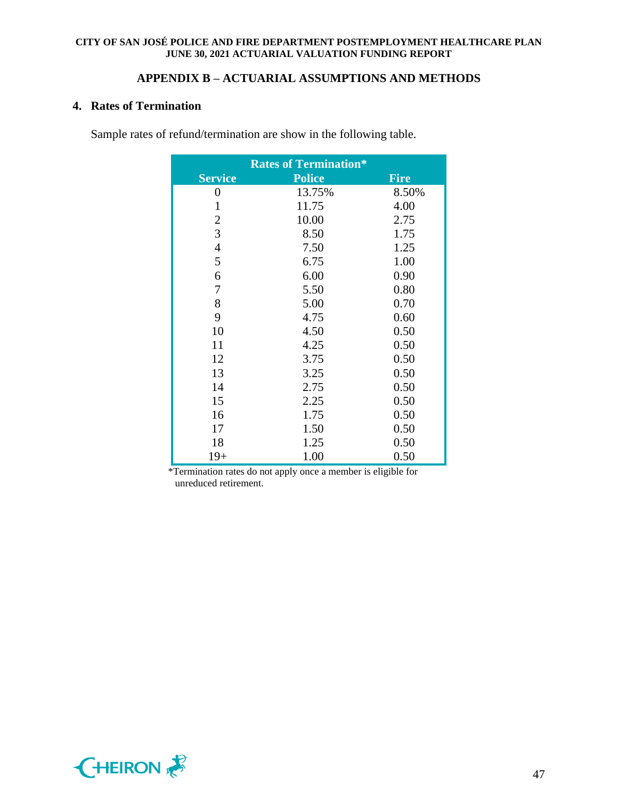## **APPENDIX B – ACTUARIAL ASSUMPTIONS AND METHODS**

## **4. Rates of Termination**

Sample rates of refund/termination are show in the following table.

|                  | <b>Rates of Termination*</b> |             |
|------------------|------------------------------|-------------|
| <b>Service</b>   | <b>Police</b>                | <b>Fire</b> |
| $\boldsymbol{0}$ | 13.75%                       | 8.50%       |
| 1                | 11.75                        | 4.00        |
| $\mathbf{2}$     | 10.00                        | 2.75        |
| 3                | 8.50                         | 1.75        |
| $\overline{4}$   | 7.50                         | 1.25        |
| 5                | 6.75                         | 1.00        |
| 6                | 6.00                         | 0.90        |
| 7                | 5.50                         | 0.80        |
| 8                | 5.00                         | 0.70        |
| 9                | 4.75                         | 0.60        |
| 10               | 4.50                         | 0.50        |
| 11               | 4.25                         | 0.50        |
| 12               | 3.75                         | 0.50        |
| 13               | 3.25                         | 0.50        |
| 14               | 2.75                         | 0.50        |
| 15               | 2.25                         | 0.50        |
| 16               | 1.75                         | 0.50        |
| 17               | 1.50                         | 0.50        |
| 18               | 1.25                         | 0.50        |
| $19+$            | 1.00                         | 0.50        |

 \*Termination rates do not apply once a member is eligible for unreduced retirement.

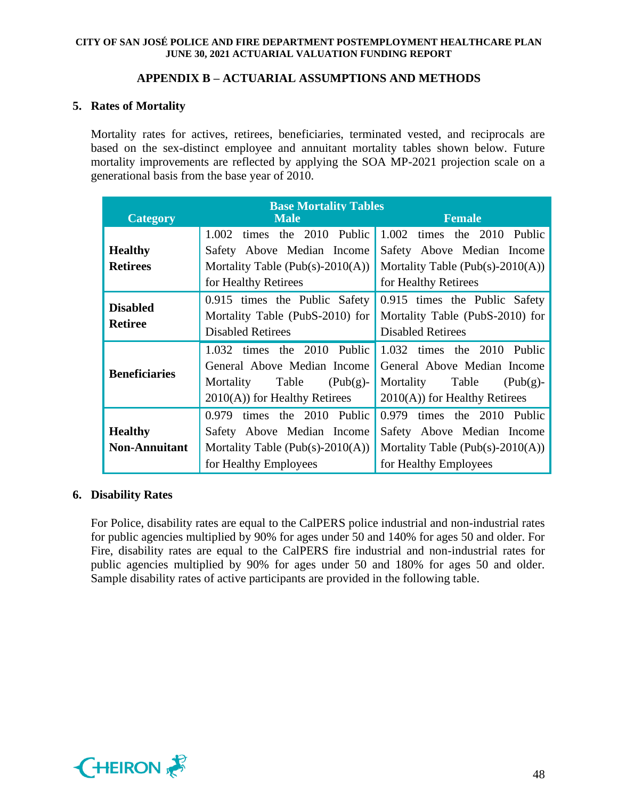## **APPENDIX B – ACTUARIAL ASSUMPTIONS AND METHODS**

## **5. Rates of Mortality**

Mortality rates for actives, retirees, beneficiaries, terminated vested, and reciprocals are based on the sex-distinct employee and annuitant mortality tables shown below. Future mortality improvements are reflected by applying the SOA MP-2021 projection scale on a generational basis from the base year of 2010.

|                      | <b>Base Mortality Tables</b>         |                                   |  |  |  |  |
|----------------------|--------------------------------------|-----------------------------------|--|--|--|--|
| <b>Category</b>      | <b>Male</b>                          | <b>Female</b>                     |  |  |  |  |
|                      | 2010 Public<br>1.002<br>times the    | times the 2010 Public<br>1.002    |  |  |  |  |
| <b>Healthy</b>       | Safety Above Median Income           | Safety Above Median Income        |  |  |  |  |
| <b>Retirees</b>      | Mortality Table (Pub(s)-2010(A))     | Mortality Table (Pub(s)-2010(A))  |  |  |  |  |
|                      | for Healthy Retirees                 | for Healthy Retirees              |  |  |  |  |
| <b>Disabled</b>      | 0.915 times the Public Safety        | 0.915 times the Public Safety     |  |  |  |  |
| <b>Retiree</b>       | Mortality Table (PubS-2010) for      | Mortality Table (PubS-2010) for   |  |  |  |  |
|                      | <b>Disabled Retirees</b>             | <b>Disabled Retirees</b>          |  |  |  |  |
|                      | 1.032 times the 2010 Public          | 1.032 times the 2010 Public       |  |  |  |  |
| <b>Beneficiaries</b> | General Above Median Income          | General Above Median Income       |  |  |  |  |
|                      | Table<br>Mortality<br>$(Pub(g)-)$    | Table<br>Mortality<br>$(Pub(g)$ - |  |  |  |  |
|                      | $2010(A)$ for Healthy Retirees       | $2010(A)$ for Healthy Retirees    |  |  |  |  |
|                      | 0.979 times the 2010 Public          | times the 2010 Public<br>0.979    |  |  |  |  |
| <b>Healthy</b>       | Safety Above Median Income           | Safety Above Median Income        |  |  |  |  |
| <b>Non-Annuitant</b> | Mortality Table (Pub(s)- $2010(A)$ ) | Mortality Table (Pub(s)-2010(A))  |  |  |  |  |
|                      | for Healthy Employees                | for Healthy Employees             |  |  |  |  |

## **6. Disability Rates**

For Police, disability rates are equal to the CalPERS police industrial and non-industrial rates for public agencies multiplied by 90% for ages under 50 and 140% for ages 50 and older. For Fire, disability rates are equal to the CalPERS fire industrial and non-industrial rates for public agencies multiplied by 90% for ages under 50 and 180% for ages 50 and older. Sample disability rates of active participants are provided in the following table.

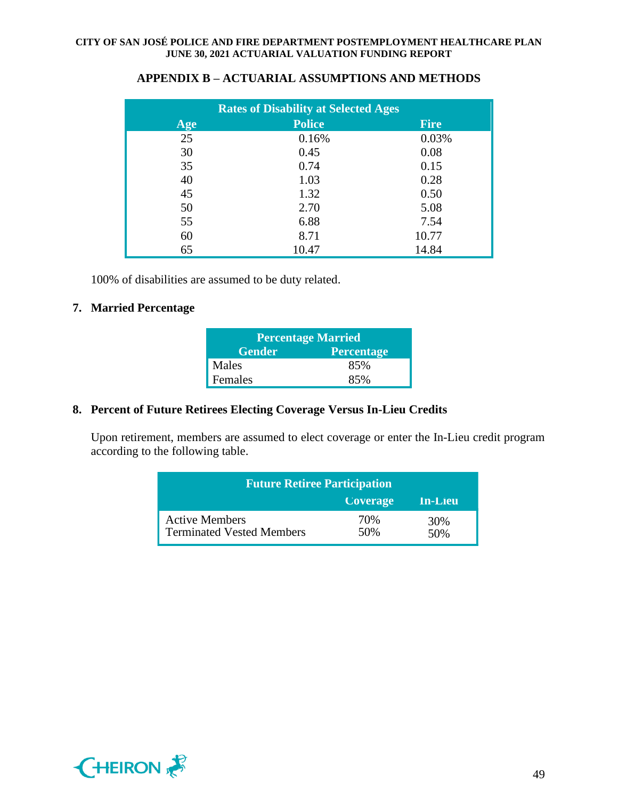| <b>Rates of Disability at Selected Ages</b> |               |             |  |  |  |  |
|---------------------------------------------|---------------|-------------|--|--|--|--|
| Age                                         | <b>Police</b> | <b>Fire</b> |  |  |  |  |
| 25                                          | 0.16%         | 0.03%       |  |  |  |  |
| 30                                          | 0.45          | 0.08        |  |  |  |  |
| 35                                          | 0.74          | 0.15        |  |  |  |  |
| 40                                          | 1.03          | 0.28        |  |  |  |  |
| 45                                          | 1.32          | 0.50        |  |  |  |  |
| 50                                          | 2.70          | 5.08        |  |  |  |  |
| 55                                          | 6.88          | 7.54        |  |  |  |  |
| 60                                          | 8.71          | 10.77       |  |  |  |  |
| 65                                          | 10.47         | 14.84       |  |  |  |  |

## **APPENDIX B – ACTUARIAL ASSUMPTIONS AND METHODS**

100% of disabilities are assumed to be duty related.

## **7. Married Percentage**

| <b>Percentage Married</b>          |     |  |  |  |
|------------------------------------|-----|--|--|--|
| <b>Gender</b><br><b>Percentage</b> |     |  |  |  |
| Males                              | 85% |  |  |  |
| Females                            | 85% |  |  |  |

## **8. Percent of Future Retirees Electing Coverage Versus In-Lieu Credits**

Upon retirement, members are assumed to elect coverage or enter the In-Lieu credit program according to the following table.

| <b>Future Retiree Participation</b>                       |                 |            |  |  |  |
|-----------------------------------------------------------|-----------------|------------|--|--|--|
|                                                           | <b>Coverage</b> | In-Lieu    |  |  |  |
| <b>Active Members</b><br><b>Terminated Vested Members</b> | 70%<br>50%      | 30%<br>50% |  |  |  |

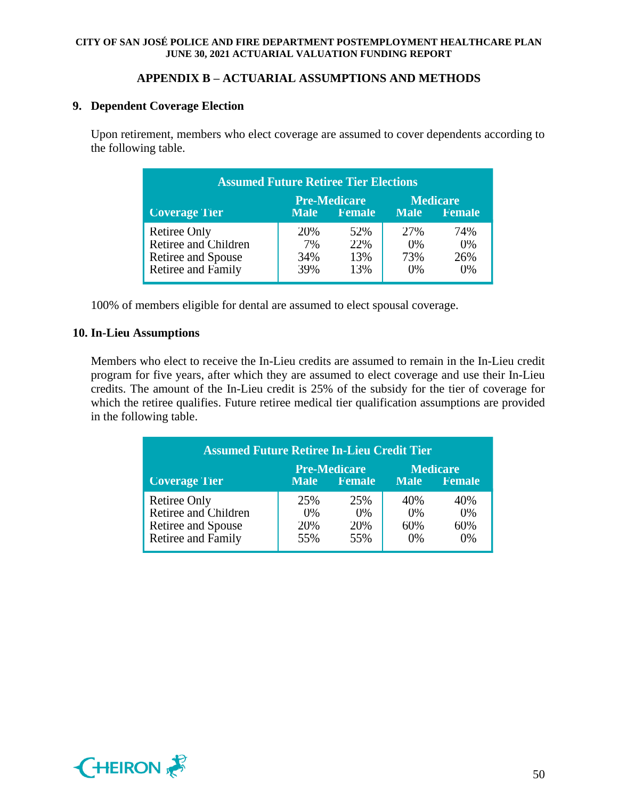## **APPENDIX B – ACTUARIAL ASSUMPTIONS AND METHODS**

## **9. Dependent Coverage Election**

Upon retirement, members who elect coverage are assumed to cover dependents according to the following table.

| <b>Assumed Future Retiree Tier Elections</b>                                                                     |                         |                          |                            |                               |  |  |  |
|------------------------------------------------------------------------------------------------------------------|-------------------------|--------------------------|----------------------------|-------------------------------|--|--|--|
| <b>Pre-Medicare</b><br><b>Medicare</b><br><b>Coverage Tier</b><br>Female<br>Female<br><b>Male</b><br><b>Male</b> |                         |                          |                            |                               |  |  |  |
| Retiree Only<br>Retiree and Children<br>Retiree and Spouse<br><b>Retiree and Family</b>                          | 20%<br>7%<br>34%<br>39% | 52%<br>22%<br>13%<br>13% | 27%<br>(0%<br>73%<br>$0\%$ | 74%<br>$(0\%$<br>26%<br>$0\%$ |  |  |  |

100% of members eligible for dental are assumed to elect spousal coverage.

## **10. In-Lieu Assumptions**

Members who elect to receive the In-Lieu credits are assumed to remain in the In-Lieu credit program for five years, after which they are assumed to elect coverage and use their In-Lieu credits. The amount of the In-Lieu credit is 25% of the subsidy for the tier of coverage for which the retiree qualifies. Future retiree medical tier qualification assumptions are provided in the following table.

| <b>Assumed Future Retiree In-Lieu Credit Tier</b>                                                                       |                            |                               |                              |                              |  |  |  |
|-------------------------------------------------------------------------------------------------------------------------|----------------------------|-------------------------------|------------------------------|------------------------------|--|--|--|
| <b>Pre-Medicare</b><br><b>Medicare</b><br><b>Coverage Tier</b><br>Female<br><b>Female</b><br><b>Male</b><br><b>Male</b> |                            |                               |                              |                              |  |  |  |
| <b>Retiree Only</b><br>Retiree and Children<br>Retiree and Spouse<br>Retiree and Family                                 | 25%<br>$0\%$<br>20%<br>55% | 25%<br>$( )\% $<br>20%<br>55% | 40%<br>$0\%$<br>60%<br>$0\%$ | 40%<br>$0\%$<br>60%<br>$0\%$ |  |  |  |

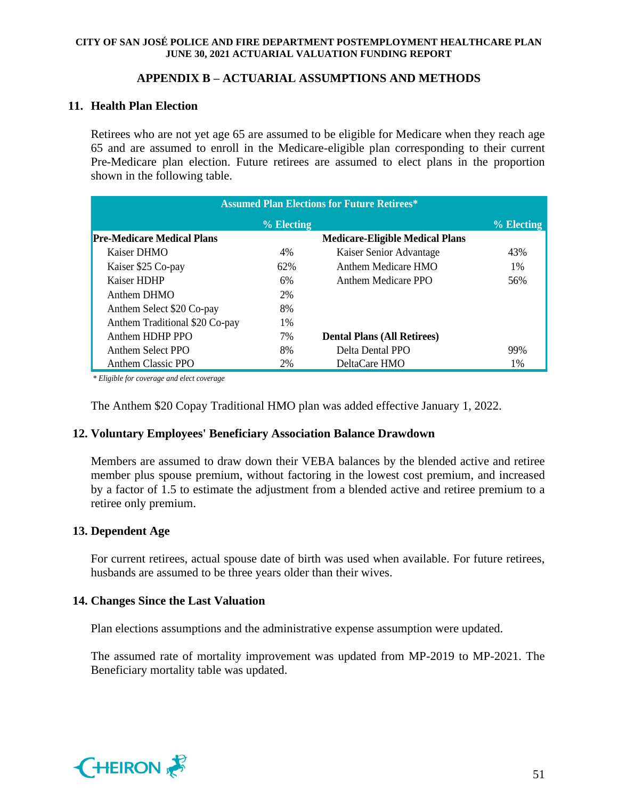## **APPENDIX B – ACTUARIAL ASSUMPTIONS AND METHODS**

## **11. Health Plan Election**

Retirees who are not yet age 65 are assumed to be eligible for Medicare when they reach age 65 and are assumed to enroll in the Medicare-eligible plan corresponding to their current Pre-Medicare plan election. Future retirees are assumed to elect plans in the proportion shown in the following table.

| <b>Assumed Plan Elections for Future Retirees*</b> |       |                                        |     |  |  |  |
|----------------------------------------------------|-------|----------------------------------------|-----|--|--|--|
| $\frac{9}{6}$ Electing<br>% Electing               |       |                                        |     |  |  |  |
| <b>Pre-Medicare Medical Plans</b>                  |       | <b>Medicare-Eligible Medical Plans</b> |     |  |  |  |
| Kaiser DHMO                                        | 4%    | Kaiser Senior Advantage                | 43% |  |  |  |
| Kaiser \$25 Co-pay                                 | 62%   | Anthem Medicare HMO                    | 1%  |  |  |  |
| Kaiser HDHP                                        | 6%    | Anthem Medicare PPO                    | 56% |  |  |  |
| Anthem DHMO                                        | 2%    |                                        |     |  |  |  |
| Anthem Select \$20 Co-pay                          | 8%    |                                        |     |  |  |  |
| Anthem Traditional \$20 Co-pay                     | $1\%$ |                                        |     |  |  |  |
| Anthem HDHP PPO                                    | 7%    | <b>Dental Plans (All Retirees)</b>     |     |  |  |  |
| Anthem Select PPO                                  | 8%    | Delta Dental PPO                       | 99% |  |  |  |
| Anthem Classic PPO                                 | 2%    | DeltaCare HMO                          | 1%  |  |  |  |

*\* Eligible for coverage and elect coverage*

The Anthem \$20 Copay Traditional HMO plan was added effective January 1, 2022.

## **12. Voluntary Employees' Beneficiary Association Balance Drawdown**

Members are assumed to draw down their VEBA balances by the blended active and retiree member plus spouse premium, without factoring in the lowest cost premium, and increased by a factor of 1.5 to estimate the adjustment from a blended active and retiree premium to a retiree only premium.

## **13. Dependent Age**

For current retirees, actual spouse date of birth was used when available. For future retirees, husbands are assumed to be three years older than their wives.

## **14. Changes Since the Last Valuation**

Plan elections assumptions and the administrative expense assumption were updated.

The assumed rate of mortality improvement was updated from MP-2019 to MP-2021. The Beneficiary mortality table was updated.

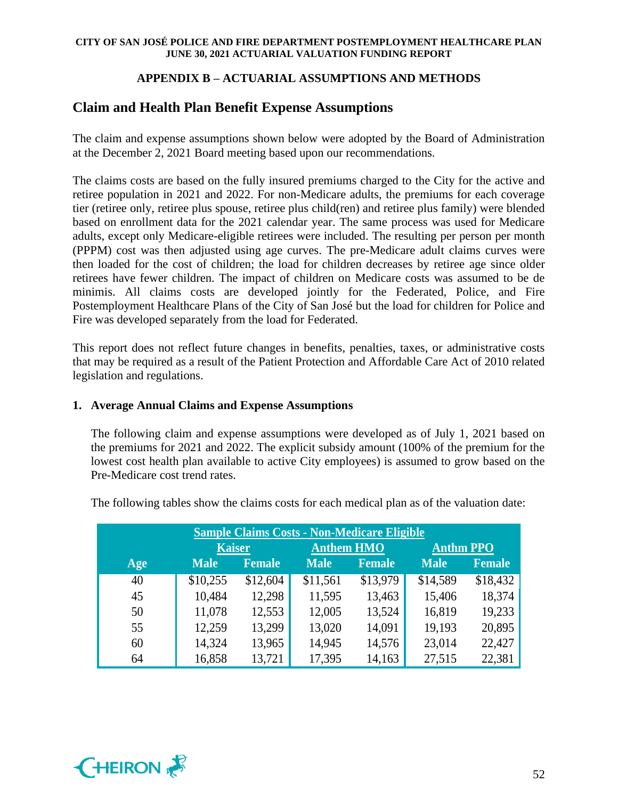## **APPENDIX B – ACTUARIAL ASSUMPTIONS AND METHODS**

# **Claim and Health Plan Benefit Expense Assumptions**

The claim and expense assumptions shown below were adopted by the Board of Administration at the December 2, 2021 Board meeting based upon our recommendations.

The claims costs are based on the fully insured premiums charged to the City for the active and retiree population in 2021 and 2022. For non-Medicare adults, the premiums for each coverage tier (retiree only, retiree plus spouse, retiree plus child(ren) and retiree plus family) were blended based on enrollment data for the 2021 calendar year. The same process was used for Medicare adults, except only Medicare-eligible retirees were included. The resulting per person per month (PPPM) cost was then adjusted using age curves. The pre-Medicare adult claims curves were then loaded for the cost of children; the load for children decreases by retiree age since older retirees have fewer children. The impact of children on Medicare costs was assumed to be de minimis. All claims costs are developed jointly for the Federated, Police, and Fire Postemployment Healthcare Plans of the City of San José but the load for children for Police and Fire was developed separately from the load for Federated.

This report does not reflect future changes in benefits, penalties, taxes, or administrative costs that may be required as a result of the Patient Protection and Affordable Care Act of 2010 related legislation and regulations.

## **1. Average Annual Claims and Expense Assumptions**

The following claim and expense assumptions were developed as of July 1, 2021 based on the premiums for 2021 and 2022. The explicit subsidy amount (100% of the premium for the lowest cost health plan available to active City employees) is assumed to grow based on the Pre-Medicare cost trend rates.

| <b>Sample Claims Costs - Non-Medicare Eligible</b> |               |               |                   |               |                  |               |
|----------------------------------------------------|---------------|---------------|-------------------|---------------|------------------|---------------|
|                                                    | <b>Kaiser</b> |               | <b>Anthem HMO</b> |               | <b>Anthm PPO</b> |               |
| Age                                                | <b>Male</b>   | <b>Female</b> | <b>Male</b>       | <b>Female</b> | <b>Male</b>      | <b>Female</b> |
| 40                                                 | \$10,255      | \$12,604      | \$11,561          | \$13,979      | \$14,589         | \$18,432      |
| 45                                                 | 10,484        | 12,298        | 11,595            | 13,463        | 15,406           | 18,374        |
| 50                                                 | 11,078        | 12,553        | 12,005            | 13,524        | 16,819           | 19,233        |
| 55                                                 | 12,259        | 13,299        | 13,020            | 14,091        | 19,193           | 20,895        |
| 60                                                 | 14,324        | 13,965        | 14,945            | 14,576        | 23,014           | 22,427        |
| 64                                                 | 16,858        | 13,721        | 17,395            | 14,163        | 27,515           | 22,381        |

The following tables show the claims costs for each medical plan as of the valuation date:

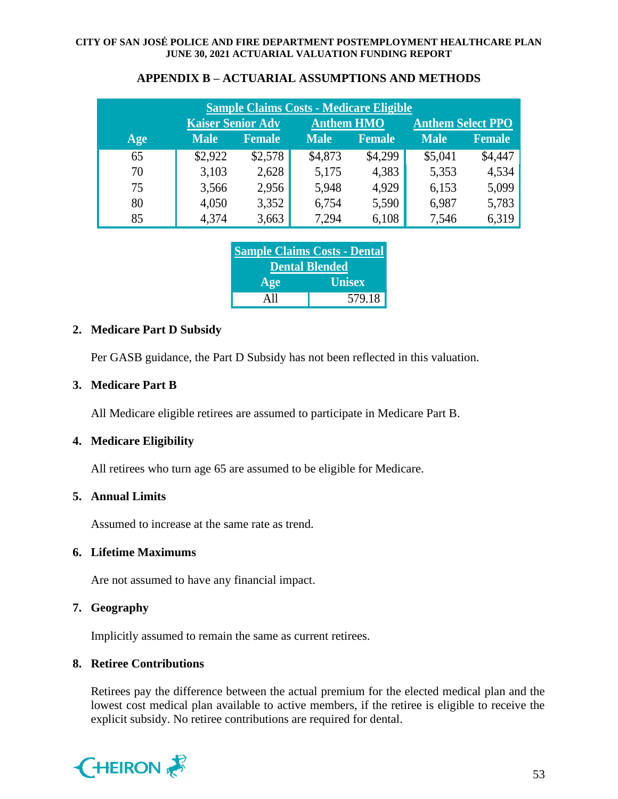| <b>Sample Claims Costs - Medicare Eligible</b> |                          |         |             |                                               |             |               |
|------------------------------------------------|--------------------------|---------|-------------|-----------------------------------------------|-------------|---------------|
|                                                | <b>Kaiser Senior Adv</b> |         |             | <b>Anthem Select PPO</b><br><b>Anthem HMO</b> |             |               |
| Age                                            | <b>Male</b>              | Female  | <b>Male</b> | Female                                        | <b>Male</b> | <b>Female</b> |
| 65                                             | \$2,922                  | \$2,578 | \$4,873     | \$4,299                                       | \$5,041     | \$4,447       |
| 70                                             | 3,103                    | 2,628   | 5,175       | 4,383                                         | 5,353       | 4,534         |
| 75                                             | 3,566                    | 2,956   | 5,948       | 4,929                                         | 6,153       | 5,099         |
| 80                                             | 4,050                    | 3,352   | 6,754       | 5,590                                         | 6,987       | 5,783         |
| 85                                             | 4,374                    | 3,663   | 7,294       | 6,108                                         | 7,546       | 6,319         |

## **APPENDIX B – ACTUARIAL ASSUMPTIONS AND METHODS**

| <b>Sample Claims Costs - Dental</b> |               |  |  |  |
|-------------------------------------|---------------|--|--|--|
| <b>Dental Blended</b>               |               |  |  |  |
| Age                                 | <b>Unisex</b> |  |  |  |
| All                                 | 579.18        |  |  |  |

## **2. Medicare Part D Subsidy**

Per GASB guidance, the Part D Subsidy has not been reflected in this valuation.

## **3. Medicare Part B**

All Medicare eligible retirees are assumed to participate in Medicare Part B.

## **4. Medicare Eligibility**

All retirees who turn age 65 are assumed to be eligible for Medicare.

## **5. Annual Limits**

Assumed to increase at the same rate as trend.

## **6. Lifetime Maximums**

Are not assumed to have any financial impact.

## **7. Geography**

Implicitly assumed to remain the same as current retirees.

## **8. Retiree Contributions**

Retirees pay the difference between the actual premium for the elected medical plan and the lowest cost medical plan available to active members, if the retiree is eligible to receive the explicit subsidy. No retiree contributions are required for dental.

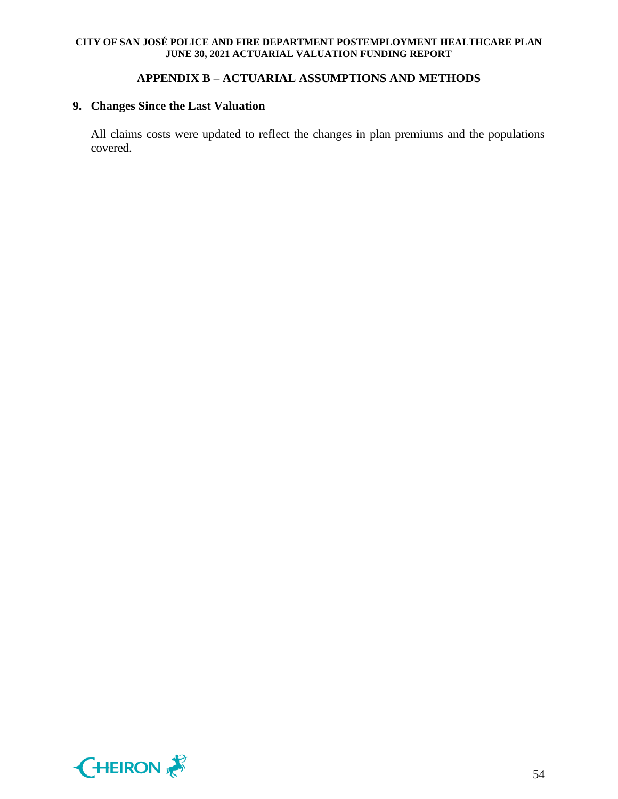## **APPENDIX B – ACTUARIAL ASSUMPTIONS AND METHODS**

## **9. Changes Since the Last Valuation**

All claims costs were updated to reflect the changes in plan premiums and the populations covered.

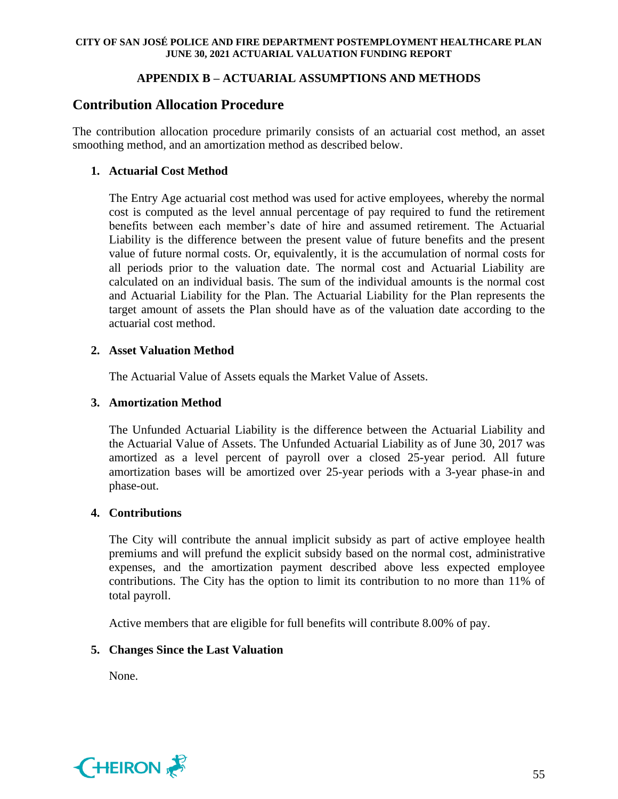## **APPENDIX B – ACTUARIAL ASSUMPTIONS AND METHODS**

# **Contribution Allocation Procedure**

The contribution allocation procedure primarily consists of an actuarial cost method, an asset smoothing method, and an amortization method as described below.

## **1. Actuarial Cost Method**

The Entry Age actuarial cost method was used for active employees, whereby the normal cost is computed as the level annual percentage of pay required to fund the retirement benefits between each member's date of hire and assumed retirement. The Actuarial Liability is the difference between the present value of future benefits and the present value of future normal costs. Or, equivalently, it is the accumulation of normal costs for all periods prior to the valuation date. The normal cost and Actuarial Liability are calculated on an individual basis. The sum of the individual amounts is the normal cost and Actuarial Liability for the Plan. The Actuarial Liability for the Plan represents the target amount of assets the Plan should have as of the valuation date according to the actuarial cost method.

## **2. Asset Valuation Method**

The Actuarial Value of Assets equals the Market Value of Assets.

## **3. Amortization Method**

The Unfunded Actuarial Liability is the difference between the Actuarial Liability and the Actuarial Value of Assets. The Unfunded Actuarial Liability as of June 30, 2017 was amortized as a level percent of payroll over a closed 25-year period. All future amortization bases will be amortized over 25-year periods with a 3-year phase-in and phase-out.

## **4. Contributions**

The City will contribute the annual implicit subsidy as part of active employee health premiums and will prefund the explicit subsidy based on the normal cost, administrative expenses, and the amortization payment described above less expected employee contributions. The City has the option to limit its contribution to no more than 11% of total payroll.

Active members that are eligible for full benefits will contribute 8.00% of pay.

## **5. Changes Since the Last Valuation**

None.

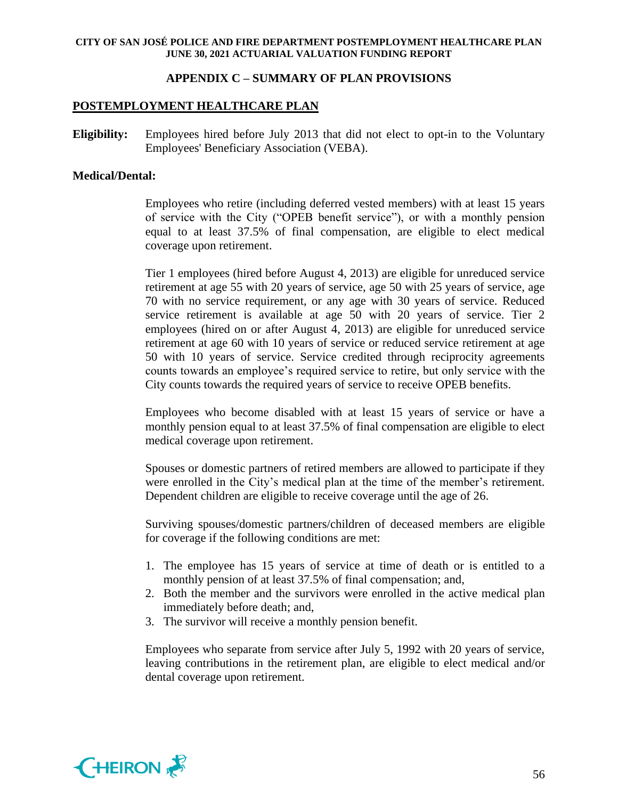## **APPENDIX C – SUMMARY OF PLAN PROVISIONS**

### **POSTEMPLOYMENT HEALTHCARE PLAN**

**Eligibility:** Employees hired before July 2013 that did not elect to opt-in to the Voluntary Employees' Beneficiary Association (VEBA).

#### **Medical/Dental:**

Employees who retire (including deferred vested members) with at least 15 years of service with the City ("OPEB benefit service"), or with a monthly pension equal to at least 37.5% of final compensation, are eligible to elect medical coverage upon retirement.

Tier 1 employees (hired before August 4, 2013) are eligible for unreduced service retirement at age 55 with 20 years of service, age 50 with 25 years of service, age 70 with no service requirement, or any age with 30 years of service. Reduced service retirement is available at age 50 with 20 years of service. Tier 2 employees (hired on or after August 4, 2013) are eligible for unreduced service retirement at age 60 with 10 years of service or reduced service retirement at age 50 with 10 years of service. Service credited through reciprocity agreements counts towards an employee's required service to retire, but only service with the City counts towards the required years of service to receive OPEB benefits.

Employees who become disabled with at least 15 years of service or have a monthly pension equal to at least 37.5% of final compensation are eligible to elect medical coverage upon retirement.

Spouses or domestic partners of retired members are allowed to participate if they were enrolled in the City's medical plan at the time of the member's retirement. Dependent children are eligible to receive coverage until the age of 26.

Surviving spouses/domestic partners/children of deceased members are eligible for coverage if the following conditions are met:

- 1. The employee has 15 years of service at time of death or is entitled to a monthly pension of at least 37.5% of final compensation; and,
- 2. Both the member and the survivors were enrolled in the active medical plan immediately before death; and,
- 3. The survivor will receive a monthly pension benefit.

Employees who separate from service after July 5, 1992 with 20 years of service, leaving contributions in the retirement plan, are eligible to elect medical and/or dental coverage upon retirement.

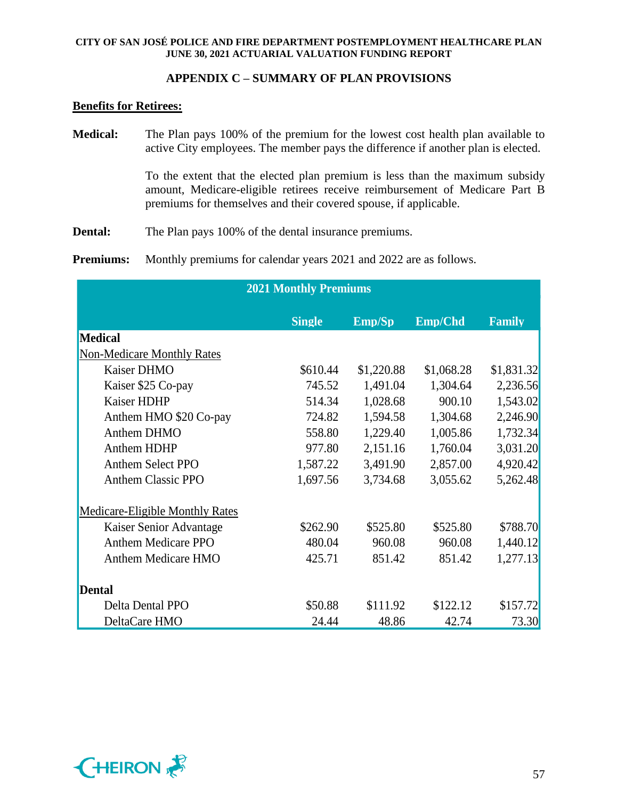## **APPENDIX C – SUMMARY OF PLAN PROVISIONS**

#### **Benefits for Retirees:**

**Medical:** The Plan pays 100% of the premium for the lowest cost health plan available to active City employees. The member pays the difference if another plan is elected.

> To the extent that the elected plan premium is less than the maximum subsidy amount, Medicare-eligible retirees receive reimbursement of Medicare Part B premiums for themselves and their covered spouse, if applicable.

**Dental:** The Plan pays 100% of the dental insurance premiums.

**Premiums:** Monthly premiums for calendar years 2021 and 2022 are as follows.

| <b>2021 Monthly Premiums</b>           |               |            |            |               |  |
|----------------------------------------|---------------|------------|------------|---------------|--|
|                                        | <b>Single</b> | Emp/Sp     | Emp/Chd    | <b>Family</b> |  |
| <b>Medical</b>                         |               |            |            |               |  |
| <b>Non-Medicare Monthly Rates</b>      |               |            |            |               |  |
| Kaiser DHMO                            | \$610.44      | \$1,220.88 | \$1,068.28 | \$1,831.32    |  |
| Kaiser \$25 Co-pay                     | 745.52        | 1,491.04   | 1,304.64   | 2,236.56      |  |
| <b>Kaiser HDHP</b>                     | 514.34        | 1,028.68   | 900.10     | 1,543.02      |  |
| Anthem HMO \$20 Co-pay                 | 724.82        | 1,594.58   | 1,304.68   | 2,246.90      |  |
| Anthem DHMO                            | 558.80        | 1,229.40   | 1,005.86   | 1,732.34      |  |
| <b>Anthem HDHP</b>                     | 977.80        | 2,151.16   | 1,760.04   | 3,031.20      |  |
| Anthem Select PPO                      | 1,587.22      | 3,491.90   | 2,857.00   | 4,920.42      |  |
| <b>Anthem Classic PPO</b>              | 1,697.56      | 3,734.68   | 3,055.62   | 5,262.48      |  |
| <b>Medicare-Eligible Monthly Rates</b> |               |            |            |               |  |
| Kaiser Senior Advantage                | \$262.90      | \$525.80   | \$525.80   | \$788.70      |  |
| <b>Anthem Medicare PPO</b>             | 480.04        | 960.08     | 960.08     | 1,440.12      |  |
| <b>Anthem Medicare HMO</b>             | 425.71        | 851.42     | 851.42     | 1,277.13      |  |
| <b>Dental</b>                          |               |            |            |               |  |
| Delta Dental PPO                       | \$50.88       | \$111.92   | \$122.12   | \$157.72      |  |
| DeltaCare HMO                          | 24.44         | 48.86      | 42.74      | 73.30         |  |

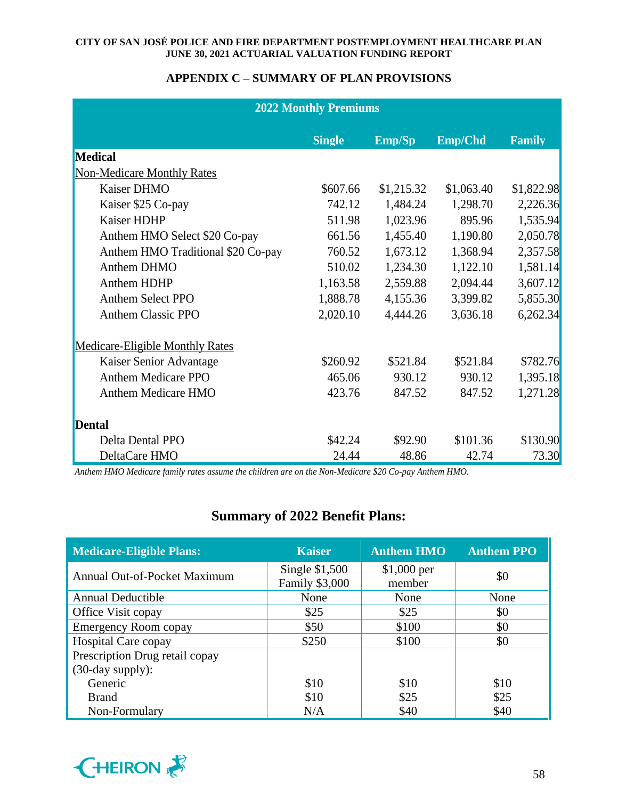## **APPENDIX C – SUMMARY OF PLAN PROVISIONS**

| <b>2022 Monthly Premiums</b>           |               |            |            |               |  |
|----------------------------------------|---------------|------------|------------|---------------|--|
|                                        | <b>Single</b> | Emp/Sp     | Emp/Chd    | <b>Family</b> |  |
| <b>Medical</b>                         |               |            |            |               |  |
| <b>Non-Medicare Monthly Rates</b>      |               |            |            |               |  |
| Kaiser DHMO                            | \$607.66      | \$1,215.32 | \$1,063.40 | \$1,822.98    |  |
| Kaiser \$25 Co-pay                     | 742.12        | 1,484.24   | 1,298.70   | 2,226.36      |  |
| Kaiser HDHP                            | 511.98        | 1,023.96   | 895.96     | 1,535.94      |  |
| Anthem HMO Select \$20 Co-pay          | 661.56        | 1,455.40   | 1,190.80   | 2,050.78      |  |
| Anthem HMO Traditional \$20 Co-pay     | 760.52        | 1,673.12   | 1,368.94   | 2,357.58      |  |
| Anthem DHMO                            | 510.02        | 1,234.30   | 1,122.10   | 1,581.14      |  |
| Anthem HDHP                            | 1,163.58      | 2,559.88   | 2,094.44   | 3,607.12      |  |
| <b>Anthem Select PPO</b>               | 1,888.78      | 4,155.36   | 3,399.82   | 5,855.30      |  |
| <b>Anthem Classic PPO</b>              | 2,020.10      | 4,444.26   | 3,636.18   | 6,262.34      |  |
| <b>Medicare-Eligible Monthly Rates</b> |               |            |            |               |  |
| Kaiser Senior Advantage                | \$260.92      | \$521.84   | \$521.84   | \$782.76      |  |
| <b>Anthem Medicare PPO</b>             | 465.06        | 930.12     | 930.12     | 1,395.18      |  |
| <b>Anthem Medicare HMO</b>             | 423.76        | 847.52     | 847.52     | 1,271.28      |  |
| <b>Dental</b>                          |               |            |            |               |  |
| Delta Dental PPO                       | \$42.24       | \$92.90    | \$101.36   | \$130.90      |  |
| DeltaCare HMO                          | 24.44         | 48.86      | 42.74      | 73.30         |  |

*Anthem HMO Medicare family rates assume the children are on the Non-Medicare \$20 Co-pay Anthem HMO.*

# **Summary of 2022 Benefit Plans:**

| <b>Medicare-Eligible Plans:</b>     | <b>Kaiser</b>                           | <b>Anthem HMO</b>      | <b>Anthem PPO</b> |  |
|-------------------------------------|-----------------------------------------|------------------------|-------------------|--|
| <b>Annual Out-of-Pocket Maximum</b> | Single \$1,500<br><b>Family \$3,000</b> | $$1,000$ per<br>member | \$0               |  |
| <b>Annual Deductible</b>            | None                                    | None                   | None              |  |
| Office Visit copay                  | \$25                                    | \$25                   | \$0               |  |
| <b>Emergency Room copay</b>         | \$50                                    | \$100                  | \$0               |  |
| <b>Hospital Care copay</b>          | \$250                                   | \$100                  | \$0               |  |
| Prescription Drug retail copay      |                                         |                        |                   |  |
| $(30$ -day supply):                 |                                         |                        |                   |  |
| Generic                             | \$10                                    | \$10                   | \$10              |  |
| <b>Brand</b>                        | \$10                                    | \$25                   | \$25              |  |
| Non-Formulary                       | N/A                                     | \$40                   | \$40              |  |

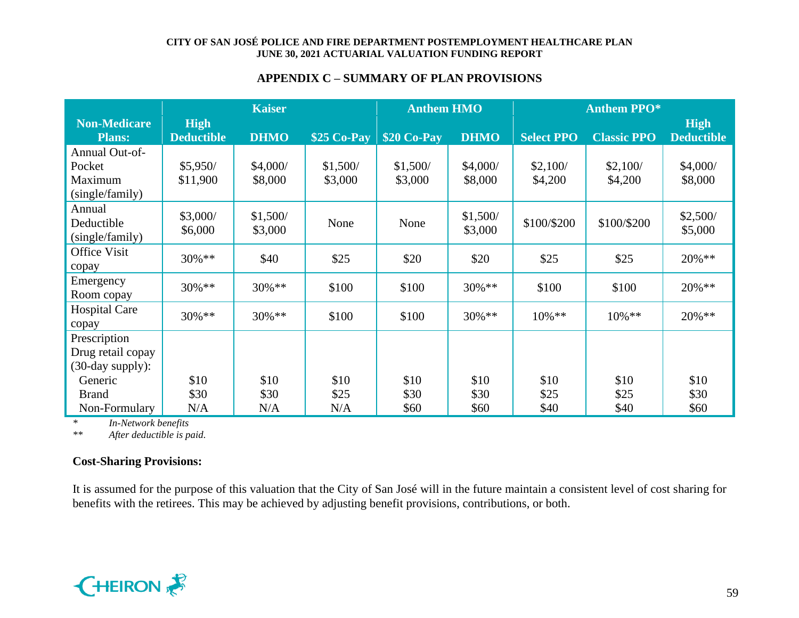## **APPENDIX C – SUMMARY OF PLAN PROVISIONS**

|                      | <b>Kaiser</b>     |             | <b>Anthem HMO</b> |              | <b>Anthem PPO*</b> |                   |                    |                   |
|----------------------|-------------------|-------------|-------------------|--------------|--------------------|-------------------|--------------------|-------------------|
| <b>Non-Medicare</b>  | <b>High</b>       |             |                   |              |                    |                   |                    | <b>High</b>       |
| <b>Plans:</b>        | <b>Deductible</b> | <b>DHMO</b> | \$25 Co-Pay       | $$20$ Co-Pay | <b>DHMO</b>        | <b>Select PPO</b> | <b>Classic PPO</b> | <b>Deductible</b> |
| Annual Out-of-       |                   |             |                   |              |                    |                   |                    |                   |
| Pocket               | \$5,950/          | \$4,000/    | \$1,500/          | \$1,500/     | \$4,000/           | \$2,100/          | \$2,100/           | \$4,000/          |
| Maximum              | \$11,900          | \$8,000     | \$3,000           | \$3,000      | \$8,000            | \$4,200           | \$4,200            | \$8,000           |
| (single/family)      |                   |             |                   |              |                    |                   |                    |                   |
| Annual               | \$3,000/          | \$1,500/    |                   |              | \$1,500/           |                   |                    | \$2,500/          |
| Deductible           | \$6,000           | \$3,000     | None              | None         | \$3,000            | \$100/\$200       | \$100/\$200        | \$5,000           |
| (single/family)      |                   |             |                   |              |                    |                   |                    |                   |
| Office Visit         | 30%**             | \$40        | \$25              | \$20         | \$20               | \$25              | \$25               | 20%**             |
| copay                |                   |             |                   |              |                    |                   |                    |                   |
| Emergency            | $30\%$ **         | $30\%**$    | \$100             | \$100        | 30%**              | \$100             | \$100              | $20\%**$          |
| Room copay           |                   |             |                   |              |                    |                   |                    |                   |
| <b>Hospital Care</b> | $30\%$ **         | $30\%$ **   | \$100             | \$100        | $30\%$ **          | $10\%$ **         | 10%**              | $20\%$ **         |
| copay                |                   |             |                   |              |                    |                   |                    |                   |
| Prescription         |                   |             |                   |              |                    |                   |                    |                   |
| Drug retail copay    |                   |             |                   |              |                    |                   |                    |                   |
| (30-day supply):     |                   |             |                   |              |                    |                   |                    |                   |
| Generic              | \$10              | \$10        | \$10              | \$10         | \$10               | \$10              | \$10               | \$10              |
| <b>Brand</b>         | \$30              | \$30        | \$25              | \$30         | \$30               | \$25              | \$25               | \$30              |
| Non-Formulary        | N/A               | N/A         | N/A               | \$60         | \$60               | \$40              | \$40               | \$60              |

*\* In-Network benefits*

*\*\* After deductible is paid.*

## **Cost-Sharing Provisions:**

It is assumed for the purpose of this valuation that the City of San José will in the future maintain a consistent level of cost sharing for benefits with the retirees. This may be achieved by adjusting benefit provisions, contributions, or both.

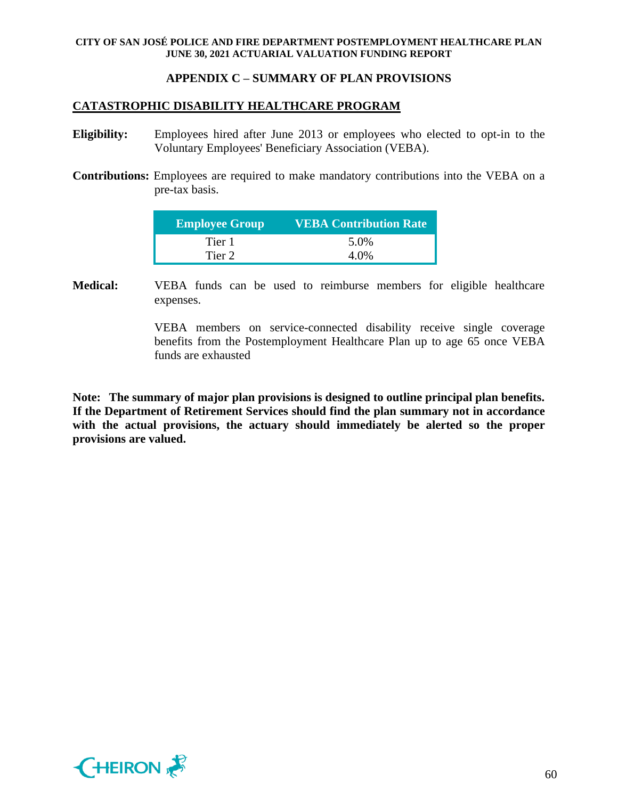## **APPENDIX C – SUMMARY OF PLAN PROVISIONS**

## **CATASTROPHIC DISABILITY HEALTHCARE PROGRAM**

- **Eligibility:** Employees hired after June 2013 or employees who elected to opt-in to the Voluntary Employees' Beneficiary Association (VEBA).
- **Contributions:** Employees are required to make mandatory contributions into the VEBA on a pre-tax basis.

| <b>Employee Group</b> | <b>VEBA Contribution Rate</b> |
|-----------------------|-------------------------------|
| Tier 1                | 5.0%                          |
| Tier 2                | 4.0%                          |

**Medical:** VEBA funds can be used to reimburse members for eligible healthcare expenses.

> VEBA members on service-connected disability receive single coverage benefits from the Postemployment Healthcare Plan up to age 65 once VEBA funds are exhausted

**Note: The summary of major plan provisions is designed to outline principal plan benefits. If the Department of Retirement Services should find the plan summary not in accordance with the actual provisions, the actuary should immediately be alerted so the proper provisions are valued.**

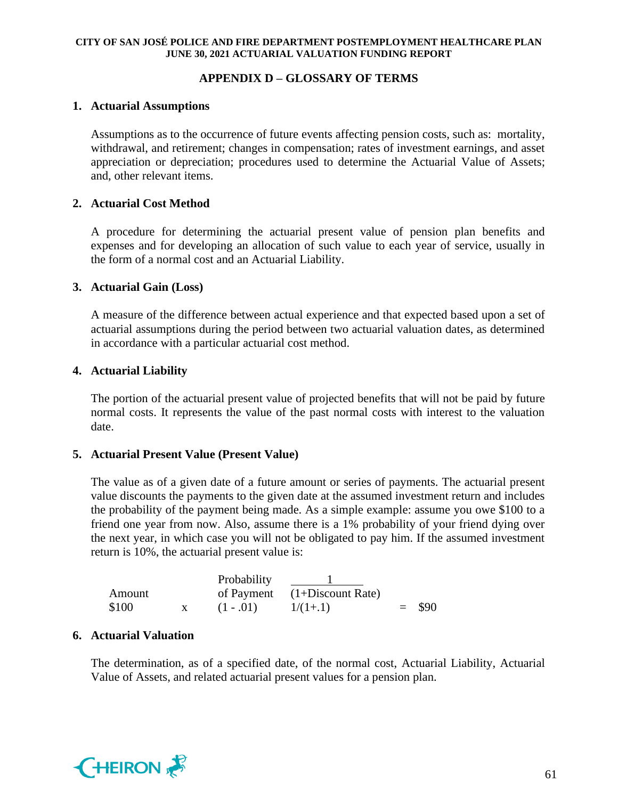## **APPENDIX D – GLOSSARY OF TERMS**

### **1. Actuarial Assumptions**

Assumptions as to the occurrence of future events affecting pension costs, such as: mortality, withdrawal, and retirement; changes in compensation; rates of investment earnings, and asset appreciation or depreciation; procedures used to determine the Actuarial Value of Assets; and, other relevant items.

## **2. Actuarial Cost Method**

A procedure for determining the actuarial present value of pension plan benefits and expenses and for developing an allocation of such value to each year of service, usually in the form of a normal cost and an Actuarial Liability.

### **3. Actuarial Gain (Loss)**

A measure of the difference between actual experience and that expected based upon a set of actuarial assumptions during the period between two actuarial valuation dates, as determined in accordance with a particular actuarial cost method.

### **4. Actuarial Liability**

The portion of the actuarial present value of projected benefits that will not be paid by future normal costs. It represents the value of the past normal costs with interest to the valuation date.

## **5. Actuarial Present Value (Present Value)**

The value as of a given date of a future amount or series of payments. The actuarial present value discounts the payments to the given date at the assumed investment return and includes the probability of the payment being made. As a simple example: assume you owe \$100 to a friend one year from now. Also, assume there is a 1% probability of your friend dying over the next year, in which case you will not be obligated to pay him. If the assumed investment return is 10%, the actuarial present value is:

|        | Probability |                                |          |
|--------|-------------|--------------------------------|----------|
| Amount |             | of Payment $(1+Discount Rate)$ |          |
| \$100  | $(1-.01)$   | $1/(1+1)$                      | $=$ \$90 |

## **6. Actuarial Valuation**

The determination, as of a specified date, of the normal cost, Actuarial Liability, Actuarial Value of Assets, and related actuarial present values for a pension plan.

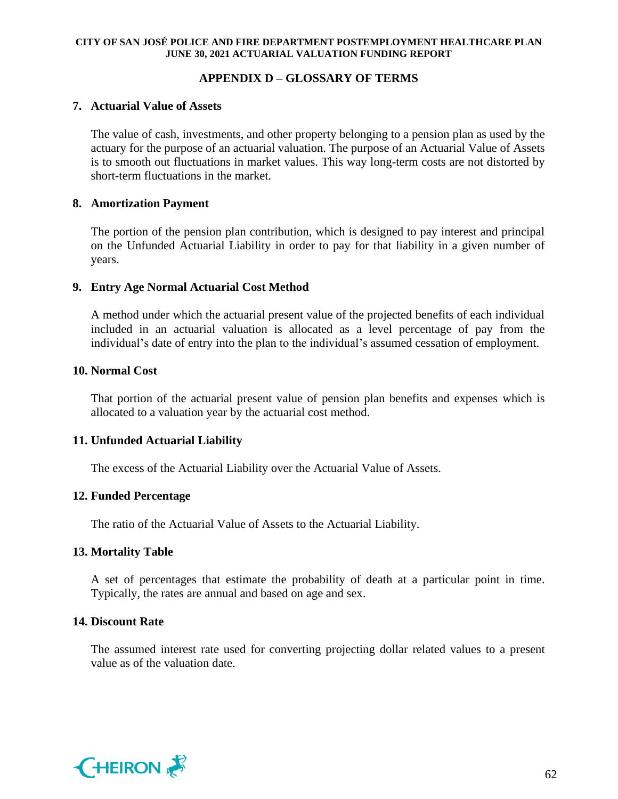## **APPENDIX D – GLOSSARY OF TERMS**

### **7. Actuarial Value of Assets**

The value of cash, investments, and other property belonging to a pension plan as used by the actuary for the purpose of an actuarial valuation. The purpose of an Actuarial Value of Assets is to smooth out fluctuations in market values. This way long-term costs are not distorted by short-term fluctuations in the market.

### **8. Amortization Payment**

The portion of the pension plan contribution, which is designed to pay interest and principal on the Unfunded Actuarial Liability in order to pay for that liability in a given number of years.

### **9. Entry Age Normal Actuarial Cost Method**

A method under which the actuarial present value of the projected benefits of each individual included in an actuarial valuation is allocated as a level percentage of pay from the individual's date of entry into the plan to the individual's assumed cessation of employment.

### **10. Normal Cost**

That portion of the actuarial present value of pension plan benefits and expenses which is allocated to a valuation year by the actuarial cost method.

## **11. Unfunded Actuarial Liability**

The excess of the Actuarial Liability over the Actuarial Value of Assets.

## **12. Funded Percentage**

The ratio of the Actuarial Value of Assets to the Actuarial Liability.

## **13. Mortality Table**

A set of percentages that estimate the probability of death at a particular point in time. Typically, the rates are annual and based on age and sex.

## **14. Discount Rate**

The assumed interest rate used for converting projecting dollar related values to a present value as of the valuation date.

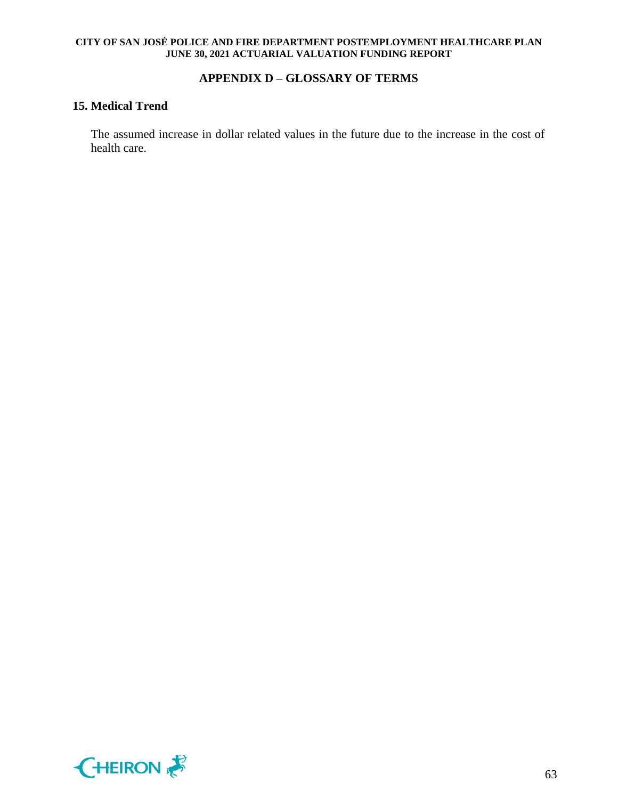## **APPENDIX D – GLOSSARY OF TERMS**

## **15. Medical Trend**

The assumed increase in dollar related values in the future due to the increase in the cost of health care.

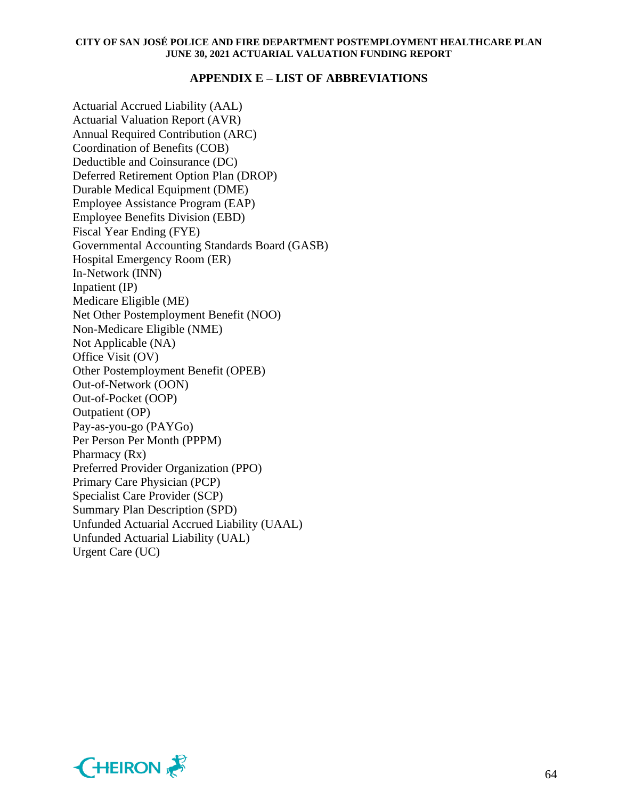### **APPENDIX E – LIST OF ABBREVIATIONS**

Actuarial Accrued Liability (AAL) Actuarial Valuation Report (AVR) Annual Required Contribution (ARC) Coordination of Benefits (COB) Deductible and Coinsurance (DC) Deferred Retirement Option Plan (DROP) Durable Medical Equipment (DME) Employee Assistance Program (EAP) Employee Benefits Division (EBD) Fiscal Year Ending (FYE) Governmental Accounting Standards Board (GASB) Hospital Emergency Room (ER) In-Network (INN) Inpatient (IP) Medicare Eligible (ME) Net Other Postemployment Benefit (NOO) Non-Medicare Eligible (NME) Not Applicable (NA) Office Visit (OV) Other Postemployment Benefit (OPEB) Out-of-Network (OON) Out-of-Pocket (OOP) Outpatient (OP) Pay-as-you-go (PAYGo) Per Person Per Month (PPPM) Pharmacy (Rx) Preferred Provider Organization (PPO) Primary Care Physician (PCP) Specialist Care Provider (SCP) Summary Plan Description (SPD) Unfunded Actuarial Accrued Liability (UAAL) Unfunded Actuarial Liability (UAL) Urgent Care (UC)